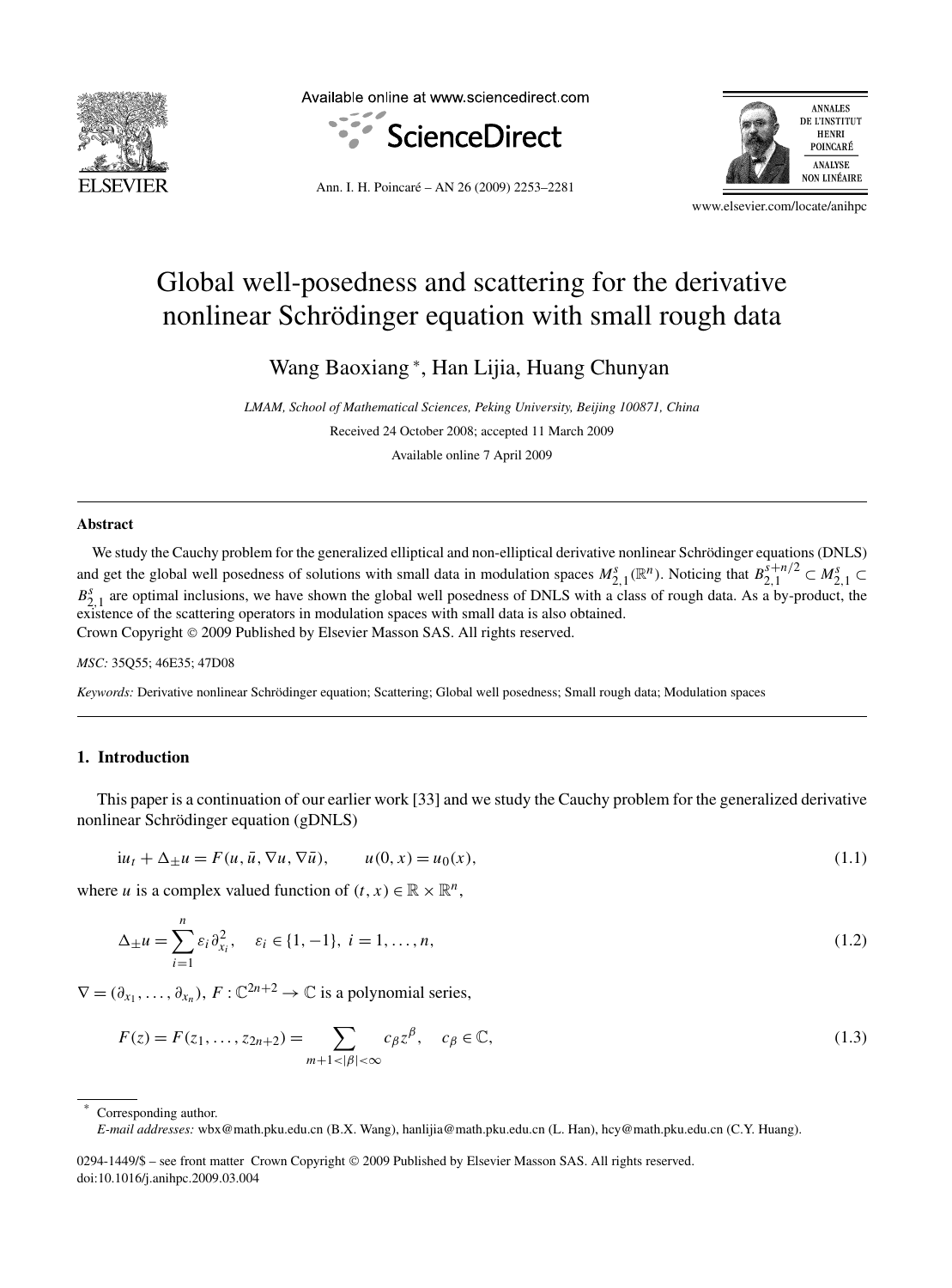

Available online at www.sciencedirect.com





Ann. I. H. Poincaré – AN 26 (2009) 2253–2281

www.elsevier.com/locate/anihpc

# Global well-posedness and scattering for the derivative nonlinear Schrödinger equation with small rough data

Wang Baoxiang <sup>∗</sup> , Han Lijia, Huang Chunyan

*LMAM, School of Mathematical Sciences, Peking University, Beijing 100871, China* Received 24 October 2008; accepted 11 March 2009 Available online 7 April 2009

#### **Abstract**

We study the Cauchy problem for the generalized elliptical and non-elliptical derivative nonlinear Schrödinger equations (DNLS) and get the global well posedness of solutions with small data in modulation spaces  $M_{2,1}^s(\mathbb{R}^n)$ . Noticing that  $B_{2,1}^{s+n/2} \subset M_{2,1}^s \subset$  $B_{2,1}^s$  are optimal inclusions, we have shown the global well posedness of DNLS with a class of rough data. As a by-product, the existence of the scattering operators in modulation spaces with small data is also obtained. Crown Copyright © 2009 Published by Elsevier Masson SAS. All rights reserved.

#### *MSC:* 35Q55; 46E35; 47D08

*Keywords:* Derivative nonlinear Schrödinger equation; Scattering; Global well posedness; Small rough data; Modulation spaces

# **1. Introduction**

This paper is a continuation of our earlier work [33] and we study the Cauchy problem for the generalized derivative nonlinear Schrödinger equation (gDNLS)

$$
i u_t + \Delta_{\pm} u = F(u, \bar{u}, \nabla u, \nabla \bar{u}), \qquad u(0, x) = u_0(x), \tag{1.1}
$$

where *u* is a complex valued function of  $(t, x) \in \mathbb{R} \times \mathbb{R}^n$ ,

$$
\Delta_{\pm}u = \sum_{i=1}^{n} \varepsilon_i \partial_{x_i}^2, \quad \varepsilon_i \in \{1, -1\}, \ i = 1, \dots, n,
$$
\n(1.2)

 $\nabla = (\partial_{x_1}, \ldots, \partial_{x_n}), F : \mathbb{C}^{2n+2} \to \mathbb{C}$  is a polynomial series,

$$
F(z) = F(z_1, ..., z_{2n+2}) = \sum_{m+1 < |\beta| < \infty} c_{\beta} z^{\beta}, \quad c_{\beta} \in \mathbb{C},\tag{1.3}
$$

Corresponding author.

*E-mail addresses:* wbx@math.pku.edu.cn (B.X. Wang), hanlijia@math.pku.edu.cn (L. Han), hcy@math.pku.edu.cn (C.Y. Huang).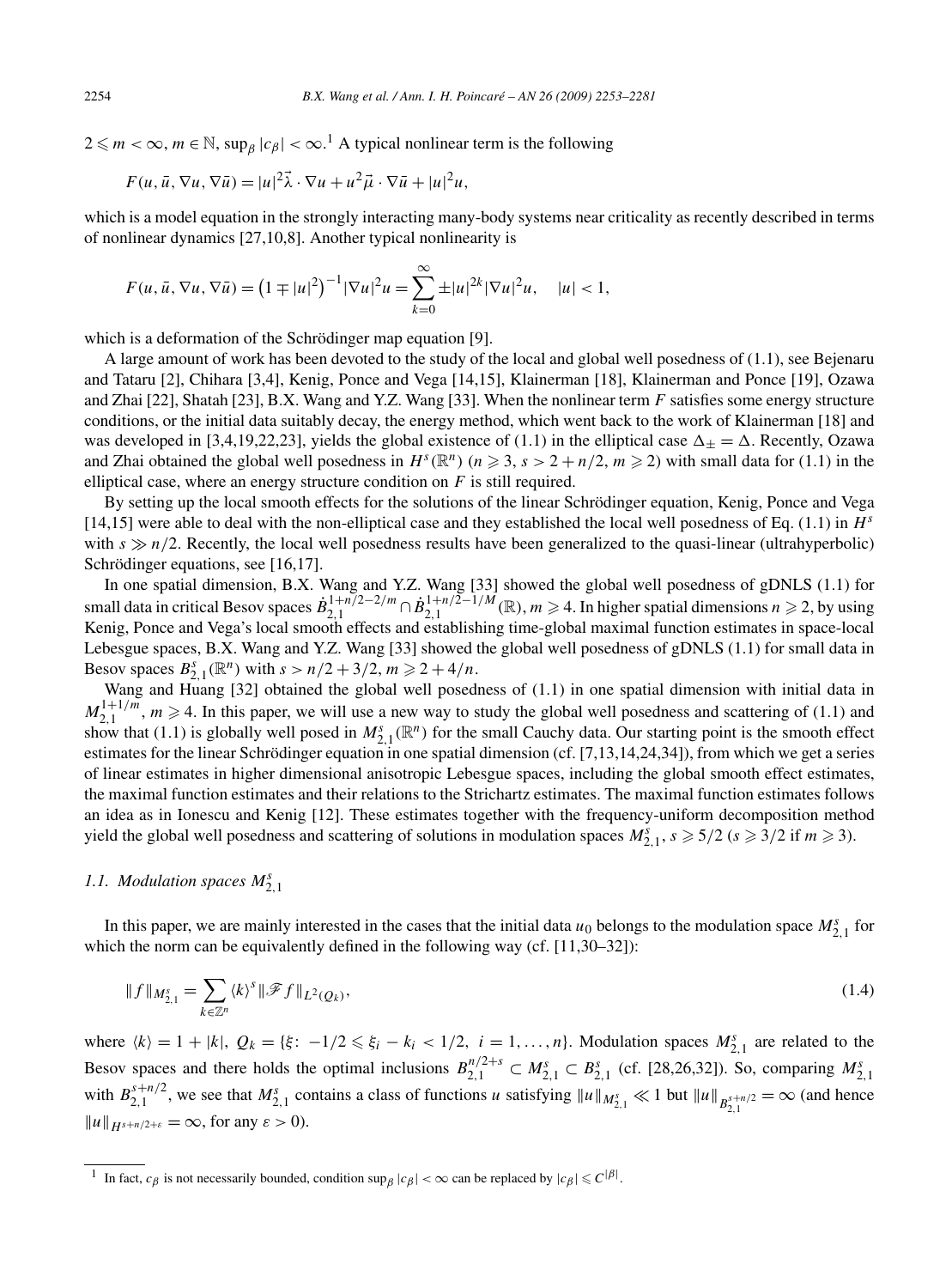$2 \leq m < \infty$ ,  $m \in \mathbb{N}$ , sup<sub>β</sub> |*c*<sub>β</sub>| <  $\infty$ .<sup>1</sup> A typical nonlinear term is the following

$$
F(u, \bar{u}, \nabla u, \nabla \bar{u}) = |u|^2 \vec{\lambda} \cdot \nabla u + u^2 \vec{\mu} \cdot \nabla \bar{u} + |u|^2 u,
$$

which is a model equation in the strongly interacting many-body systems near criticality as recently described in terms of nonlinear dynamics [27,10,8]. Another typical nonlinearity is

$$
F(u, \bar{u}, \nabla u, \nabla \bar{u}) = (1 \mp |u|^2)^{-1} |\nabla u|^2 u = \sum_{k=0}^{\infty} \pm |u|^{2k} |\nabla u|^2 u, \quad |u| < 1,
$$

which is a deformation of the Schrödinger map equation [9].

A large amount of work has been devoted to the study of the local and global well posedness of (1.1), see Bejenaru and Tataru [2], Chihara [3,4], Kenig, Ponce and Vega [14,15], Klainerman [18], Klainerman and Ponce [19], Ozawa and Zhai [22], Shatah [23], B.X. Wang and Y.Z. Wang [33]. When the nonlinear term *F* satisfies some energy structure conditions, or the initial data suitably decay, the energy method, which went back to the work of Klainerman [18] and was developed in [3,4,19,22,23], yields the global existence of (1.1) in the elliptical case  $\Delta_{\pm} = \Delta$ . Recently, Ozawa and Zhai obtained the global well posedness in  $H^s(\mathbb{R}^n)$  ( $n \geq 3$ ,  $s > 2 + n/2$ ,  $m \geq 2$ ) with small data for (1.1) in the elliptical case, where an energy structure condition on *F* is still required.

By setting up the local smooth effects for the solutions of the linear Schrödinger equation, Kenig, Ponce and Vega [14,15] were able to deal with the non-elliptical case and they established the local well posedness of Eq. (1.1) in  $H^s$ with  $s \gg n/2$ . Recently, the local well posedness results have been generalized to the quasi-linear (ultrahyperbolic) Schrödinger equations, see [16,17].

In one spatial dimension, B.X. Wang and Y.Z. Wang [33] showed the global well posedness of gDNLS (1.1) for small data in critical Besov spaces  $\dot{B}_{2,1}^{1+n/2-2/m} \cap \dot{B}_{2,1}^{1+n/2-1/M}(\mathbb{R}), m \geq 4$ . In higher spatial dimensions  $n \geq 2$ , by using Kenig, Ponce and Vega's local smooth effects and establishing time-global maximal function estimates in space-local Lebesgue spaces, B.X. Wang and Y.Z. Wang [33] showed the global well posedness of gDNLS (1.1) for small data in Besov spaces  $B_{2,1}^s(\mathbb{R}^n)$  with  $s > n/2 + 3/2$ ,  $m \ge 2 + 4/n$ .

Wang and Huang [32] obtained the global well posedness of (1.1) in one spatial dimension with initial data in  $M_{2,1}^{1+1/m}$ ,  $m \ge 4$ . In this paper, we will use a new way to study the global well posedness and scattering of (1.1) and show that (1.1) is globally well posed in  $M_{2,1}^s(\mathbb{R}^n)$  for the small Cauchy data. Our starting point is the smooth effect estimates for the linear Schrödinger equation in one spatial dimension (cf. [7,13,14,24,34]), from which we get a series of linear estimates in higher dimensional anisotropic Lebesgue spaces, including the global smooth effect estimates, the maximal function estimates and their relations to the Strichartz estimates. The maximal function estimates follows an idea as in Ionescu and Kenig [12]. These estimates together with the frequency-uniform decomposition method yield the global well posedness and scattering of solutions in modulation spaces  $M_{2,1}^s$ ,  $s \ge 5/2$  ( $s \ge 3/2$  if  $m \ge 3$ ).

# *1.1. Modulation spaces M<sup>s</sup>* 2*,*1

In this paper, we are mainly interested in the cases that the initial data  $u_0$  belongs to the modulation space  $M_{2,1}^s$  for which the norm can be equivalently defined in the following way (cf. [11,30–32]):

$$
\|f\|_{M_{2,1}^s} = \sum_{k \in \mathbb{Z}^n} \langle k \rangle^s \|\mathcal{F}f\|_{L^2(Q_k)},\tag{1.4}
$$

where  $\langle k \rangle = 1 + |k|$ ,  $Q_k = \{\xi: -1/2 \leq \xi_i - k_i < 1/2, i = 1, ..., n\}$ . Modulation spaces  $M_{2,1}^s$  are related to the Besov spaces and there holds the optimal inclusions  $B_{2,1}^{n/2+s} \subset M_{2,1}^s \subset B_{2,1}^s$  (cf. [28,26,32]). So, comparing  $M_{2,1}^s$ with  $B_{2,1}^{s+n/2}$ , we see that  $M_{2,1}^s$  contains a class of functions u satisfying  $||u||_{M_{2,1}^s} \ll 1$  but  $||u||_{B_{2,1}^{s+n/2}} = \infty$  (and hence  $||u||_{H^{s+n/2+\varepsilon}} = \infty$ , for any  $\varepsilon > 0$ ).

<sup>&</sup>lt;sup>1</sup> In fact,  $c_\beta$  is not necessarily bounded, condition sup<sub> $\beta$ </sub>  $|c_\beta| < \infty$  can be replaced by  $|c_\beta| \leq C^{|\beta|}$ .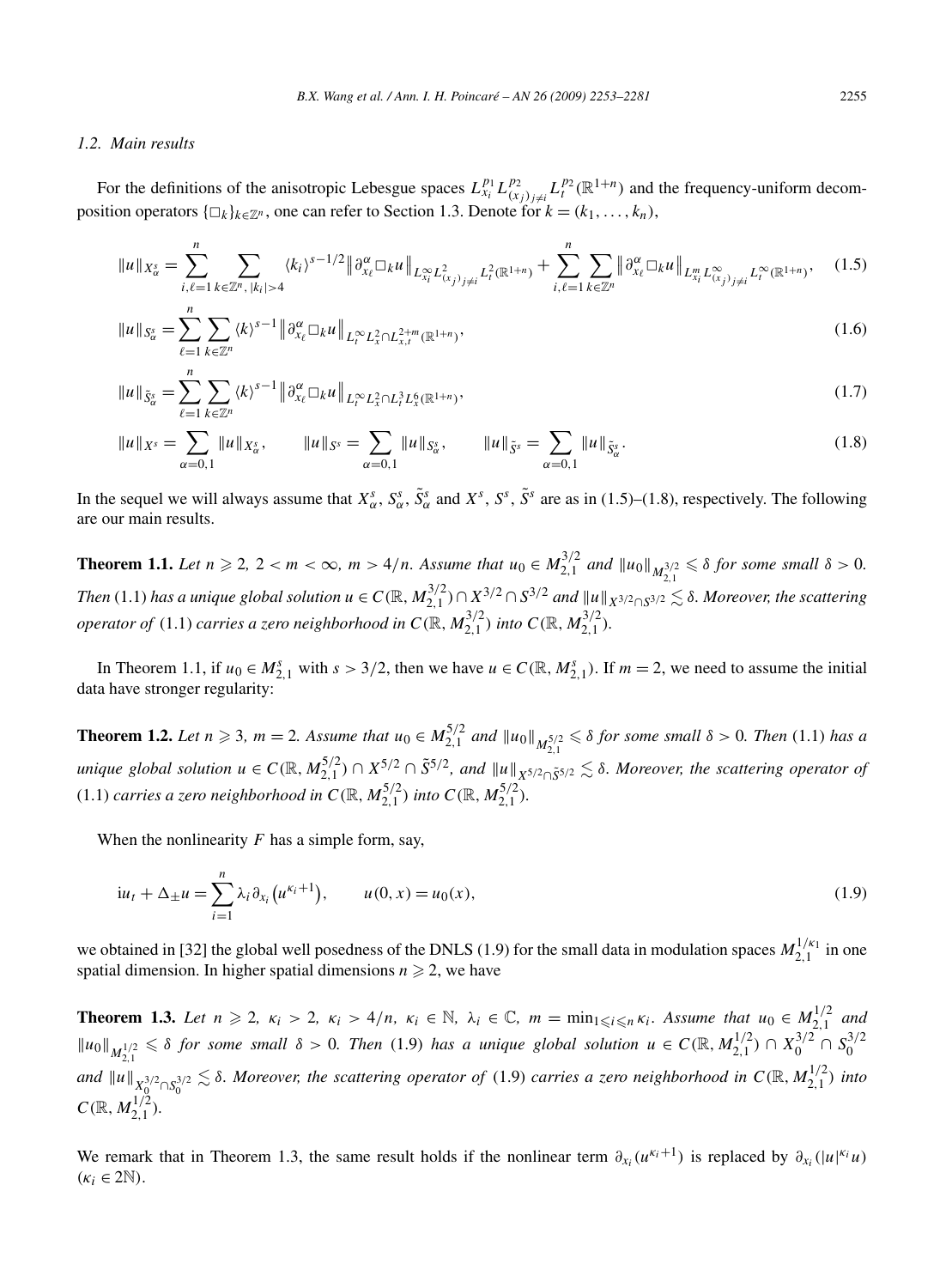#### *1.2. Main results*

For the definitions of the anisotropic Lebesgue spaces  $L_{x_i}^{p_1} L_{(x_j)_{j\neq i}}^{p_2} L_i^{p_2}(\mathbb{R}^{1+n})$  and the frequency-uniform decomposition operators  $\{\Box_k\}_{k\in\mathbb{Z}^n}$ , one can refer to Section 1.3. Denote for  $k = (k_1, \ldots, k_n)$ ,

$$
\|u\|_{X_{\alpha}^{s}} = \sum_{i,\ell=1}^{n} \sum_{k \in \mathbb{Z}^{n}, |k_{i}| > 4} \langle k_{i} \rangle^{s-1/2} \|\partial_{x_{\ell}}^{\alpha} \Box_{k} u\|_{L_{x_{i}}^{\infty} L_{(x_{j})_{j\neq i}}^{2} L_{t}^{2}(\mathbb{R}^{1+n})} + \sum_{i,\ell=1}^{n} \sum_{k \in \mathbb{Z}^{n}} \|\partial_{x_{\ell}}^{\alpha} \Box_{k} u\|_{L_{x_{i}}^{m} L_{(x_{j})_{j\neq i}}^{\infty} L_{t}^{\infty}(\mathbb{R}^{1+n})}, \quad (1.5)
$$

$$
||u||_{S_{\alpha}^{s}} = \sum_{\ell=1}^{n} \sum_{k \in \mathbb{Z}^{n}} \langle k \rangle^{s-1} ||\partial_{x_{\ell}}^{\alpha} \Box_{k} u||_{L_{t}^{\infty} L_{x}^{2} \cap L_{x,t}^{2+m}(\mathbb{R}^{1+n})},
$$
\n(1.6)

$$
\|u\|_{\tilde{S}_{\alpha}^{s}} = \sum_{\ell=1}^{n} \sum_{k \in \mathbb{Z}^{n}} \langle k \rangle^{s-1} \|\partial_{x_{\ell}}^{\alpha} \Box_{k} u\|_{L_{t}^{\infty} L_{x}^{2} \cap L_{t}^{2} L_{x}^{6}(\mathbb{R}^{1+n})},
$$
\n(1.7)

$$
\|u\|_{X^s} = \sum_{\alpha=0,1} \|u\|_{X^s_{\alpha}}, \qquad \|u\|_{S^s} = \sum_{\alpha=0,1} \|u\|_{S^s_{\alpha}}, \qquad \|u\|_{\tilde{S}^s} = \sum_{\alpha=0,1} \|u\|_{\tilde{S}^s_{\alpha}}.
$$
 (1.8)

In the sequel we will always assume that  $X_\alpha^s$ ,  $S_\alpha^s$ ,  $\tilde{S}_\alpha^s$  and  $X^s$ ,  $S^s$ ,  $\tilde{S}^s$  are as in (1.5)–(1.8), respectively. The following are our main results.

**Theorem 1.1.** Let  $n \ge 2$ ,  $2 < m < \infty$ ,  $m > 4/n$ . Assume that  $u_0 \in M_{2,1}^{3/2}$  and  $||u_0||_{M_{2,1}^{3/2}} \le \delta$  for some small  $\delta > 0$ . Then (1.1) has a unique global solution  $u \in C(\mathbb{R}, M_{2,1}^{3/2}) \cap X^{3/2} \cap S^{3/2}$  and  $||u||_{X^{3/2} \cap S^{3/2}} \lesssim \delta$ . Moreover, the scattering *operator of*  $(1.1)$  *carries a zero neighborhood in*  $C(\mathbb{R}, M_{2,1}^{3/2})$  *into*  $C(\mathbb{R}, M_{2,1}^{3/2})$ *.* 

In Theorem 1.1, if  $u_0 \in M_{2,1}^s$  with  $s > 3/2$ , then we have  $u \in C(\mathbb{R}, M_{2,1}^s)$ . If  $m = 2$ , we need to assume the initial data have stronger regularity:

**Theorem 1.2.** Let  $n \ge 3$ ,  $m = 2$ . Assume that  $u_0 \in M_{2,1}^{5/2}$  and  $||u_0||_{M_{2,1}^{5/2}} \le \delta$  for some small  $\delta > 0$ . Then (1.1) has a unique global solution  $u \in C(\mathbb{R}, M_{2,1}^{5/2}) \cap X^{5/2} \cap \tilde{S}^{5/2}$ , and  $||u||_{X^{5/2} \cap \tilde{S}^{5/2}} \lesssim \delta$ . Moreover, the scattering operator of  $(1.1)$  *carries a zero neighborhood in*  $C(\mathbb{R}, M_{2,1}^{5/2})$  *into*  $C(\mathbb{R}, M_{2,1}^{5/2})$ *.* 

When the nonlinearity *F* has a simple form, say,

$$
i u_t + \Delta_{\pm} u = \sum_{i=1}^n \lambda_i \partial_{x_i} \left( u^{\kappa_i + 1} \right), \qquad u(0, x) = u_0(x), \tag{1.9}
$$

we obtained in [32] the global well posedness of the DNLS (1.9) for the small data in modulation spaces  $M_{2,1}^{1/\kappa_1}$  in one spatial dimension. In higher spatial dimensions  $n \geq 2$ , we have

**Theorem 1.3.** Let  $n \ge 2$ ,  $\kappa_i > 2$ ,  $\kappa_i > 4/n$ ,  $\kappa_i \in \mathbb{N}$ ,  $\lambda_i \in \mathbb{C}$ ,  $m = \min_{1 \le i \le n} \kappa_i$ . Assume that  $u_0 \in M_{2,1}^{1/2}$  and  $||u_0||_{M_{2,1}^{1/2}} \leq \delta$  for some small  $\delta > 0$ . Then (1.9) has a unique global solution  $u \in C(\mathbb{R}, M_{2,1}^{1/2}) \cap X_0^{3/2} \cap S_0^{3/2}$ and  $||u||_{X_0^{3/2} \cap S_0^{3/2}} \lesssim \delta$ . Moreover, the scattering operator of (1.9) carries a zero neighborhood in  $C(\mathbb{R}, M_{2,1}^{1/2})$  into  $C(\mathbb{R}, M_{2,1}^{1/2})$ .

We remark that in Theorem 1.3, the same result holds if the nonlinear term  $\partial_{x_i}(u^{k_i+1})$  is replaced by  $\partial_{x_i}(|u|^{k_i}u)$  $(\kappa_i \in 2\mathbb{N}).$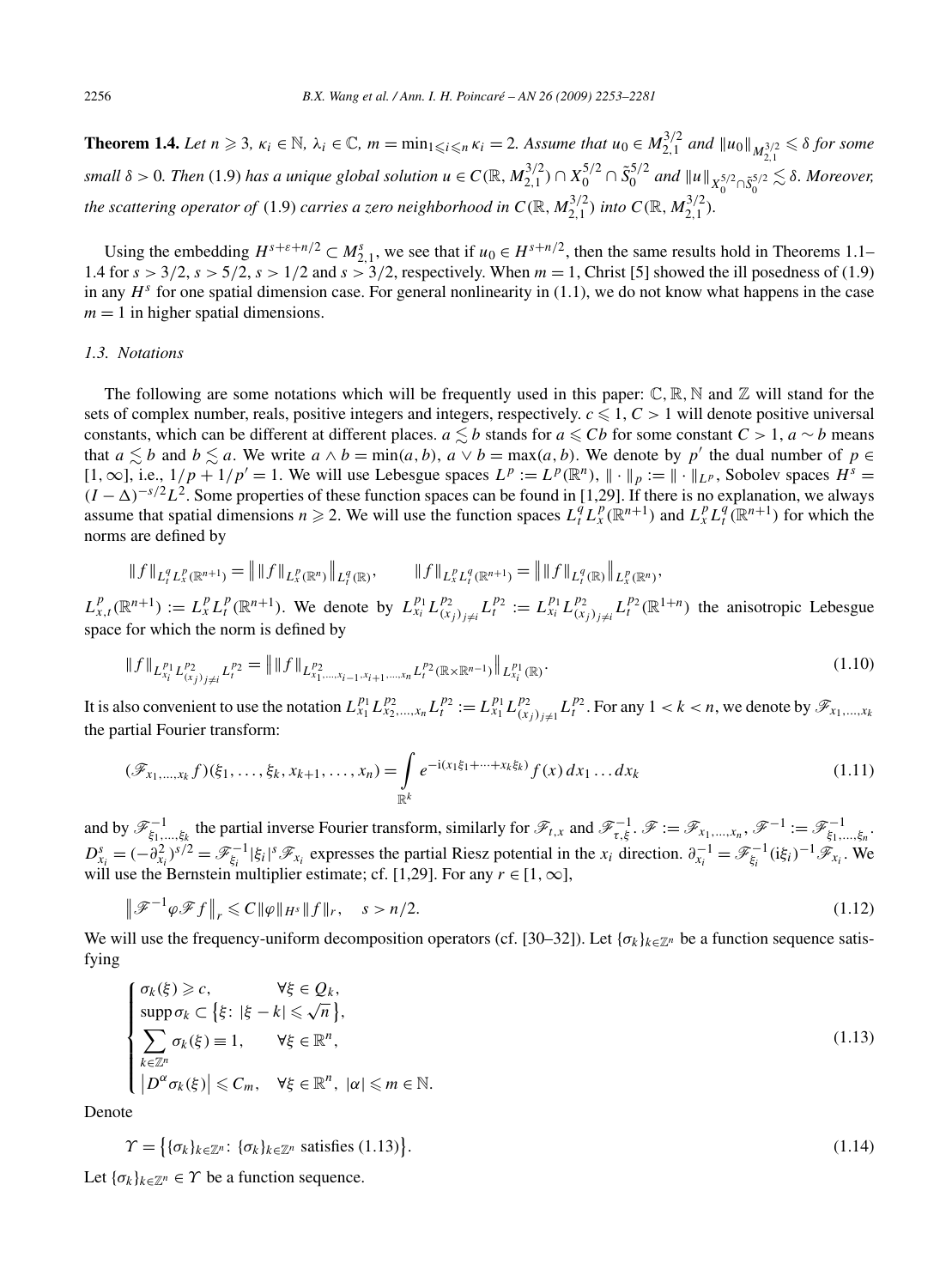**Theorem 1.4.** Let  $n \ge 3$ ,  $\kappa_i \in \mathbb{N}$ ,  $\lambda_i \in \mathbb{C}$ ,  $m = \min_{1 \le i \le n} \kappa_i = 2$ . Assume that  $u_0 \in M_{2,1}^{3/2}$  and  $||u_0||_{M_{2,1}^{3/2}} \le \delta$  for some small  $\delta > 0$ . Then (1.9) has a unique global solution  $u \in C(\mathbb{R}, M_{2,1}^{3/2}) \cap X_0^{5/2} \cap \tilde{S}_0^{5/2}$  and  $||u||_{X_0^{5/2} \cap \tilde{S}_0^{5/2}} \lesssim \delta$ . Moreover, *the scattering operator of* (1.9) *carries a zero neighborhood in*  $C(\mathbb{R}, M_{2,1}^{3/2})$  *into*  $C(\mathbb{R}, M_{2,1}^{3/2})$ .

Using the embedding  $H^{s+\epsilon+n/2} \subset M^s_{2,1}$ , we see that if  $u_0 \in H^{s+n/2}$ , then the same results hold in Theorems 1.1– 1.4 for  $s > 3/2$ ,  $s > 5/2$ ,  $s > 1/2$  and  $s > 3/2$ , respectively. When  $m = 1$ , Christ [5] showed the ill posedness of (1.9) in any  $H<sup>s</sup>$  for one spatial dimension case. For general nonlinearity in (1.1), we do not know what happens in the case  $m = 1$  in higher spatial dimensions.

#### *1.3. Notations*

The following are some notations which will be frequently used in this paper:  $\mathbb{C}, \mathbb{R}, \mathbb{N}$  and  $\mathbb{Z}$  will stand for the sets of complex number, reals, positive integers and integers, respectively.  $c \leq 1$ ,  $C > 1$  will denote positive universal constants, which can be different at different places. *a*  $\leq b$  stands for *a*  $\leq Cb$  for some constant *C* > 1, *a* ∼ *b* means that  $a \leq b$  and  $b \leq a$ . We write  $a \wedge b = \min(a, b)$ ,  $a \vee b = \max(a, b)$ . We denote by p' the dual number of  $p \in$ [1,  $\infty$ ], i.e.,  $1/p + 1/p' = 1$ . We will use Lebesgue spaces  $L^p := L^p(\mathbb{R}^n)$ ,  $\|\cdot\|_p := \|\cdot\|_{L^p}$ , Sobolev spaces  $H^s =$  $(I - \Delta)^{-s/2}L^2$ . Some properties of these function spaces can be found in [1,29]. If there is no explanation, we always assume that spatial dimensions  $n \ge 2$ . We will use the function spaces  $L_t^q L_x^p(\mathbb{R}^{n+1})$  and  $L_x^p L_t^q(\mathbb{R}^{n+1})$  for which the norms are defined by

$$
\|f\|_{L_t^q L_x^p(\mathbb{R}^{n+1})} = \|f\|_{L_x^p(\mathbb{R}^n)} \|_{L_t^q(\mathbb{R})}, \qquad \|f\|_{L_x^p L_t^q(\mathbb{R}^{n+1})} = \|f\|_{L_t^q(\mathbb{R})} \|_{L_x^p(\mathbb{R}^n)},
$$

 $L_{x,t}^p(\mathbb{R}^{n+1}) := L_x^p L_t^p(\mathbb{R}^{n+1})$ . We denote by  $L_{x_i}^{p_1} L_{(x_j)_{j\neq i}}^{p_2} L_t^{p_2} := L_{x_i}^{p_1} L_{(x_j)_{j\neq i}}^{p_2} L_t^{p_2}(\mathbb{R}^{1+n})$  the anisotropic Lebesgue space for which the norm is defined by

$$
\|f\|_{L_{x_i}^{p_1}L_{(x_j)_{j\neq i}}^{p_2}L_t^{p_2}} = \|f\|_{L_{x_1,\ldots,x_{i-1},x_{i+1},\ldots,x_n}^{p_2}L_t^{p_2}(\mathbb{R}\times\mathbb{R}^{n-1})}\|_{L_{x_i}^{p_1}(\mathbb{R})}.
$$
\n(1.10)

It is also convenient to use the notation  $L_{x_1}^{p_1} L_{x_2,...,x_n}^{p_2} L_t^{p_2} := L_{x_1}^{p_1} L_{(x_j)_{j\neq 1}}^{p_2} L_t^{p_2}$ . For any  $1 < k < n$ , we denote by  $\mathscr{F}_{x_1,...,x_k}$ the partial Fourier transform:

$$
(\mathscr{F}_{x_1,\ldots,x_k}f)(\xi_1,\ldots,\xi_k,x_{k+1},\ldots,x_n) = \int\limits_{\mathbb{R}^k} e^{-i(x_1\xi_1+\cdots+x_k\xi_k)} f(x) \, dx_1\ldots dx_k \tag{1.11}
$$

and by  $\mathscr{F}^{-1}_{\xi_1,\dots,\xi_k}$  the partial inverse Fourier transform, similarly for  $\mathscr{F}_{t,x}$  and  $\mathscr{F}^{-1}_{\tau,\xi}$ .  $\mathscr{F} := \mathscr{F}_{x_1,\dots,x_n}$ ,  $\mathscr{F}^{-1} := \mathscr{F}^{-1}_{\xi_1,\dots,\xi_n}$ .  $D_{x_i}^s = (-\partial_{x_i}^2)^{s/2} = \mathscr{F}_{\xi_i}^{-1} |\xi_i|^s \mathscr{F}_{x_i}$  expresses the partial Riesz potential in the  $x_i$  direction.  $\partial_{x_i}^{-1} = \mathscr{F}_{\xi_i}^{-1} (i\xi_i)^{-1} \mathscr{F}_{x_i}$ . We will use the Bernstein multiplier estimate; cf. [1,29]. For any  $r \in [1, \infty]$ ,

$$
\|\mathcal{F}^{-1}\varphi\mathcal{F}f\|_{r} \leq C\|\varphi\|_{H^{s}}\|f\|_{r}, \quad s > n/2.
$$
\n(1.12)

We will use the frequency-uniform decomposition operators (cf. [30–32]). Let  $\{\sigma_k\}_{k \in \mathbb{Z}^n}$  be a function sequence satisfying

$$
\begin{cases}\n\sigma_k(\xi) \geqslant c, & \forall \xi \in Q_k, \\
\text{supp}\,\sigma_k \subset \{\xi: |\xi - k| \leqslant \sqrt{n}\}, \\
\sum_{k \in \mathbb{Z}^n} \sigma_k(\xi) \equiv 1, & \forall \xi \in \mathbb{R}^n, \\
|D^{\alpha} \sigma_k(\xi)| \leqslant C_m, & \forall \xi \in \mathbb{R}^n, |\alpha| \leqslant m \in \mathbb{N}.\n\end{cases}
$$
\n(1.13)

Denote

$$
\Upsilon = \left\{ \{\sigma_k\}_{k \in \mathbb{Z}^n} : \{\sigma_k\}_{k \in \mathbb{Z}^n} \text{ satisfies (1.13)} \right\}. \tag{1.14}
$$

Let  $\{\sigma_k\}_{k \in \mathbb{Z}^n} \in \Upsilon$  be a function sequence.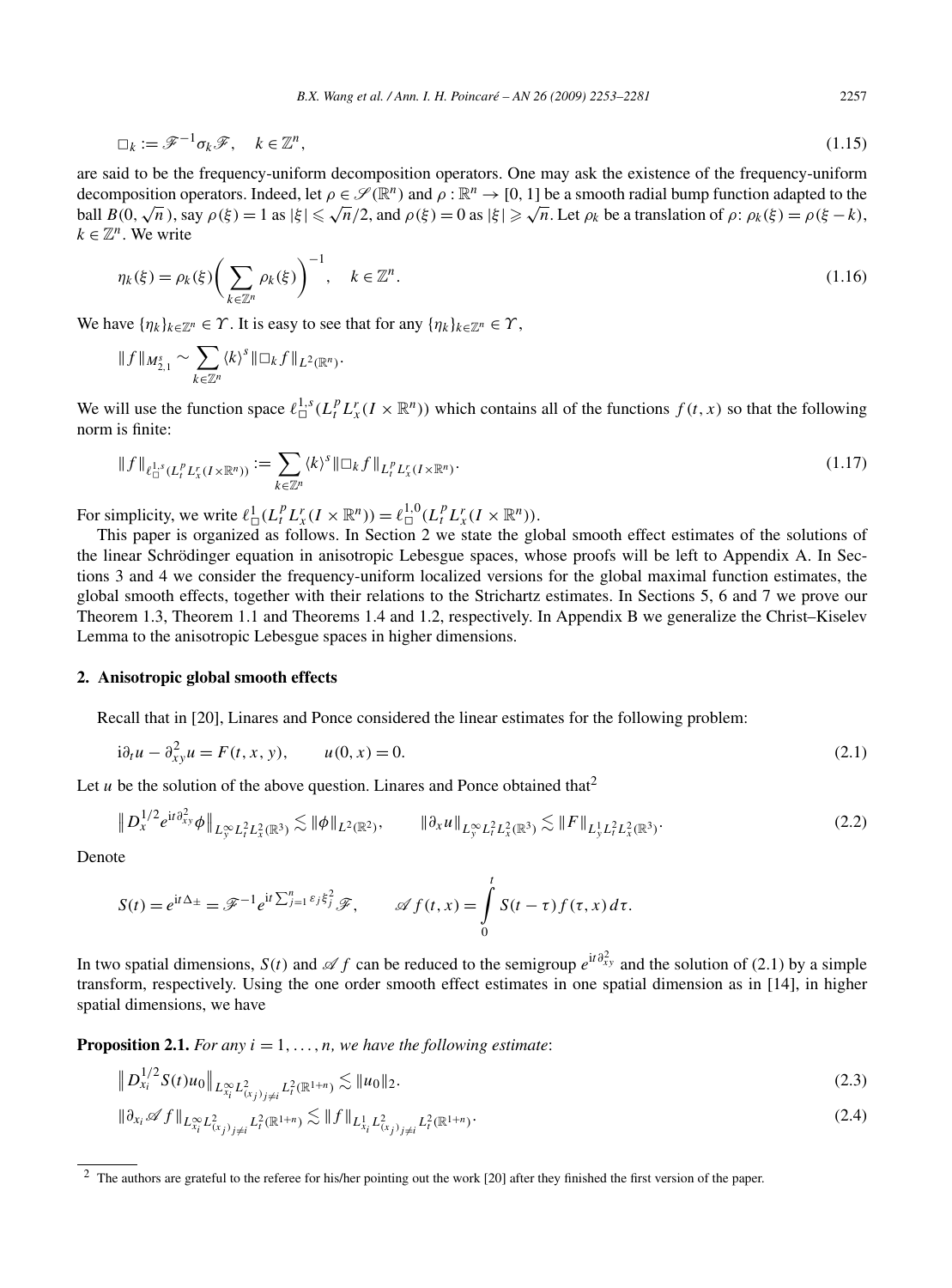$$
\Box_k := \mathscr{F}^{-1} \sigma_k \mathscr{F}, \quad k \in \mathbb{Z}^n, \tag{1.15}
$$

are said to be the frequency-uniform decomposition operators. One may ask the existence of the frequency-uniform decomposition operators. Indeed, let  $\rho \in \mathcal{S}(\mathbb{R}^n)$  and  $\rho : \mathbb{R}^n \to [0, 1]$  be a smooth radial bump function adapted to the ball  $B(0, \sqrt{n})$ , say  $\rho(\xi) = 1$  as  $|\xi| \le \sqrt{n}/2$ , and  $\rho(\xi) = 0$  as  $|\xi| \ge \sqrt{n}$ . Let  $\rho_k$  be a translation of  $\rho: \rho_k(\xi) = \rho(\xi - k)$ ,  $k \in \mathbb{Z}^n$ . We write

$$
\eta_k(\xi) = \rho_k(\xi) \bigg(\sum_{k \in \mathbb{Z}^n} \rho_k(\xi)\bigg)^{-1}, \quad k \in \mathbb{Z}^n.
$$
\n(1.16)

We have  $\{\eta_k\}_{k\in\mathbb{Z}^n} \in \Upsilon$ . It is easy to see that for any  $\{\eta_k\}_{k\in\mathbb{Z}^n} \in \Upsilon$ ,

$$
|| f ||_{M_{2,1}^s} \sim \sum_{k \in \mathbb{Z}^n} \langle k \rangle^s ||\Box_k f ||_{L^2(\mathbb{R}^n)}.
$$

We will use the function space  $\ell_{\Box}^{1,s}(L_t^p L_x^r(I \times \mathbb{R}^n))$  which contains all of the functions  $f(t, x)$  so that the following norm is finite:

$$
\|f\|_{\ell_{\Box}^{1,s}(L_t^p L_x^r(I \times \mathbb{R}^n))} := \sum_{k \in \mathbb{Z}^n} \langle k \rangle^s \|\Box_k f\|_{L_t^p L_x^r(I \times \mathbb{R}^n)}.
$$
\n(1.17)

For simplicity, we write  $\ell_{\Box}^1(L_t^p L_x^r(I \times \mathbb{R}^n)) = \ell_{\Box}^{1,0}(L_t^p L_x^r(I \times \mathbb{R}^n))$ .

This paper is organized as follows. In Section 2 we state the global smooth effect estimates of the solutions of the linear Schrödinger equation in anisotropic Lebesgue spaces, whose proofs will be left to Appendix A. In Sections 3 and 4 we consider the frequency-uniform localized versions for the global maximal function estimates, the global smooth effects, together with their relations to the Strichartz estimates. In Sections 5, 6 and 7 we prove our Theorem 1.3, Theorem 1.1 and Theorems 1.4 and 1.2, respectively. In Appendix B we generalize the Christ–Kiselev Lemma to the anisotropic Lebesgue spaces in higher dimensions.

# **2. Anisotropic global smooth effects**

Recall that in [20], Linares and Ponce considered the linear estimates for the following problem:

$$
i\partial_t u - \partial_{xy}^2 u = F(t, x, y), \qquad u(0, x) = 0.
$$
 (2.1)

Let  $u$  be the solution of the above question. Linares and Ponce obtained that<sup>2</sup>

$$
\|D_x^{1/2}e^{it\partial_{xy}^2}\phi\|_{L_y^{\infty}L_t^2L_x^2(\mathbb{R}^3)} \lesssim \|\phi\|_{L^2(\mathbb{R}^2)}, \qquad \|\partial_x u\|_{L_y^{\infty}L_t^2L_x^2(\mathbb{R}^3)} \lesssim \|F\|_{L_y^1L_t^2L_x^2(\mathbb{R}^3)}.
$$
\n(2.2)

Denote

 $\parallel$ 

$$
S(t) = e^{it\Delta_{\pm}} = \mathscr{F}^{-1}e^{it\sum_{j=1}^{n}\varepsilon_{j}\xi_{j}^{2}}\mathscr{F}, \qquad \mathscr{A} f(t,x) = \int_{0}^{t} S(t-\tau) f(\tau,x) d\tau.
$$

In two spatial dimensions, *S*(*t*) and *≰ f* can be reduced to the semigroup  $e^{it\partial_{xy}^2}$  and the solution of (2.1) by a simple transform, respectively. Using the one order smooth effect estimates in one spatial dimension as in [14], in higher spatial dimensions, we have

**Proposition 2.1.** *For any*  $i = 1, \ldots, n$ *, we have the following estimate:* 

$$
\|D_{x_i}^{1/2} S(t)u_0\|_{L_{x_i}^{\infty}L_{(x_j)_{j\neq i}}^2L_i^2(\mathbb{R}^{1+n})} \lesssim \|u_0\|_2.
$$
\n(2.3)

$$
\|\partial_{x_i} \mathscr{A} f\|_{L^\infty_{x_i} L^2_{(x_j)_{j\neq i}} L^2_{t}(\mathbb{R}^{1+n})} \lesssim \|f\|_{L^1_{x_i} L^2_{(x_j)_{j\neq i}} L^2_{t}(\mathbb{R}^{1+n})}.
$$
\n(2.4)

<sup>&</sup>lt;sup>2</sup> The authors are grateful to the referee for his/her pointing out the work [20] after they finished the first version of the paper.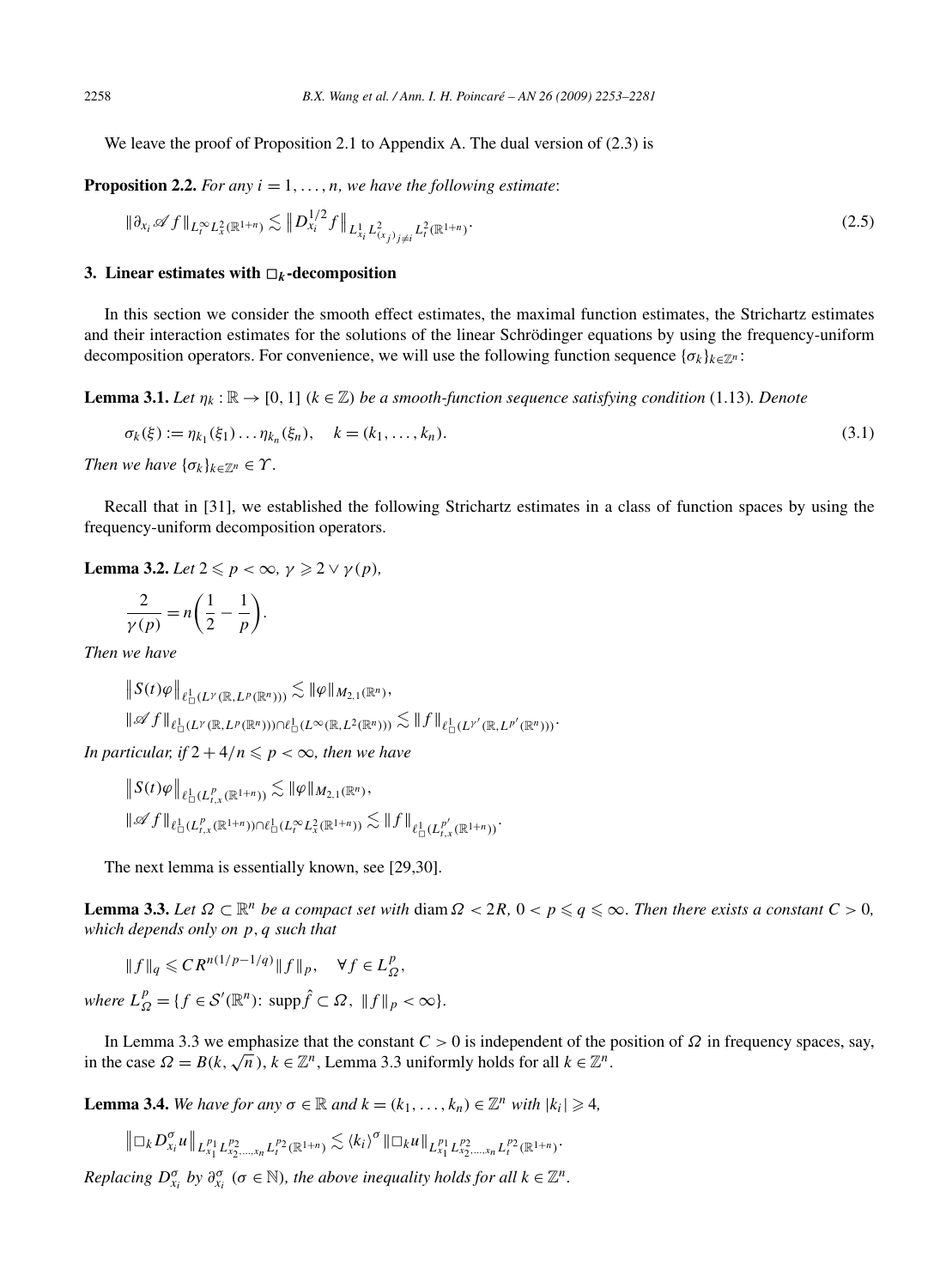We leave the proof of Proposition 2.1 to Appendix A. The dual version of  $(2.3)$  is

**Proposition 2.2.** *For any*  $i = 1, \ldots, n$ *, we have the following estimate:* 

$$
\|\partial_{x_i} \mathscr{A} f\|_{L_t^{\infty} L_x^2(\mathbb{R}^{1+n})} \lesssim \|D_{x_i}^{1/2} f\|_{L_{x_i}^1 L_{(x_j)_{j\neq i}}^2 L_t^2(\mathbb{R}^{1+n})}.
$$
\n(2.5)

#### **3.** Linear estimates with  $\Box_k$ -decomposition

In this section we consider the smooth effect estimates, the maximal function estimates, the Strichartz estimates and their interaction estimates for the solutions of the linear Schrödinger equations by using the frequency-uniform decomposition operators. For convenience, we will use the following function sequence  $\{\sigma_k\}_{k \in \mathbb{Z}^n}$ :

**Lemma 3.1.** *Let*  $\eta_k : \mathbb{R} \to [0, 1]$  *(k* ∈ Z*) be a smooth-function sequence satisfying condition* (1.13)*. Denote* 

$$
\sigma_k(\xi) := \eta_{k_1}(\xi_1) \dots \eta_{k_n}(\xi_n), \quad k = (k_1, \dots, k_n).
$$
\n(3.1)

*Then we have*  $\{\sigma_k\}_{k\in\mathbb{Z}^n} \in \Upsilon$ *.* 

Recall that in [31], we established the following Strichartz estimates in a class of function spaces by using the frequency-uniform decomposition operators.

**Lemma 3.2.** *Let*  $2 \leq p < \infty$ ,  $\gamma \geq 2 \vee \gamma(p)$ *,* 

$$
\frac{2}{\gamma(p)} = n\bigg(\frac{1}{2} - \frac{1}{p}\bigg).
$$

*Then we have*

 $\left\| S(t)\varphi \right\|_{\ell^1_\Box(L^{\gamma}(\mathbb{R},L^p(\mathbb{R}^n)))} \lesssim \|\varphi\|_{M_{2,1}(\mathbb{R}^n)},$  $\|\mathscr{A}f\|_{\ell_{\Box}^1(L^{\gamma}(\mathbb{R}, L^p(\mathbb{R}^n)))\cap \ell_{\Box}^1(L^{\infty}(\mathbb{R}, L^2(\mathbb{R}^n)))} \lesssim \|f\|_{\ell_{\Box}^1(L^{\gamma'}(\mathbb{R}, L^{p'}(\mathbb{R}^n)))}.$ 

*In particular, if*  $2 + 4/n \leqslant p < \infty$ *, then we have* 

 $||S(t)\varphi||_{\ell^1_{\Box}(L^p_{t,x}(\mathbb{R}^{1+n}))} \lesssim ||\varphi||_{M_{2,1}(\mathbb{R}^n)},$  $\|\mathscr{A}f\|_{\ell_{\square}^1(L^p_{t,x}(\mathbb{R}^{1+n}))\cap \ell_{\square}^1(L^\infty_t L^2_x(\mathbb{R}^{1+n}))} \lesssim \|f\|_{\ell_{\square}^1(L^{p'}_{t,x}(\mathbb{R}^{1+n}))}.$ 

The next lemma is essentially known, see [29,30].

**Lemma 3.3.** Let  $\Omega \subset \mathbb{R}^n$  be a compact set with diam  $\Omega < 2R$ ,  $0 < p \leqslant q \leqslant \infty$ . Then there exists a constant  $C > 0$ , *which depends only on p,q such that*

$$
||f||_q \leq C R^{n(1/p-1/q)} ||f||_p, \quad \forall f \in L^p_{\Omega},
$$

 $where L_{\Omega}^{p} = \{f \in \mathcal{S}'(\mathbb{R}^{n}) : supp \hat{f} \subset \Omega, ||f||_{p} < \infty\}.$ 

In Lemma 3.3 we emphasize that the constant *C >* 0 is independent of the position of *Ω* in frequency spaces, say, in the case  $\Omega = B(k, \sqrt{n})$ ,  $k \in \mathbb{Z}^n$ , Lemma 3.3 uniformly holds for all  $k \in \mathbb{Z}^n$ .

**Lemma 3.4.** *We have for any*  $\sigma \in \mathbb{R}$  *and*  $k = (k_1, \ldots, k_n) \in \mathbb{Z}^n$  *with*  $|k_i| \geq 4$ *,* 

$$
\left\|\Box_k D_{x_i}^\sigma u\right\|_{L_{x_1}^{p_1}L_{x_2,\ldots,x_n}^{p_2}L_{t}^{p_2}(\mathbb{R}^{1+n})}\lesssim \langle k_i\rangle^\sigma\|\Box_k u\|_{L_{x_1}^{p_1}L_{x_2,\ldots,x_n}^{p_2}L_{t}^{p_2}(\mathbb{R}^{1+n})}.
$$

*Replacing*  $D_{x_i}^{\sigma}$  *by*  $\partial_{x_i}^{\sigma}$  ( $\sigma \in \mathbb{N}$ ), the above inequality holds for all  $k \in \mathbb{Z}^n$ .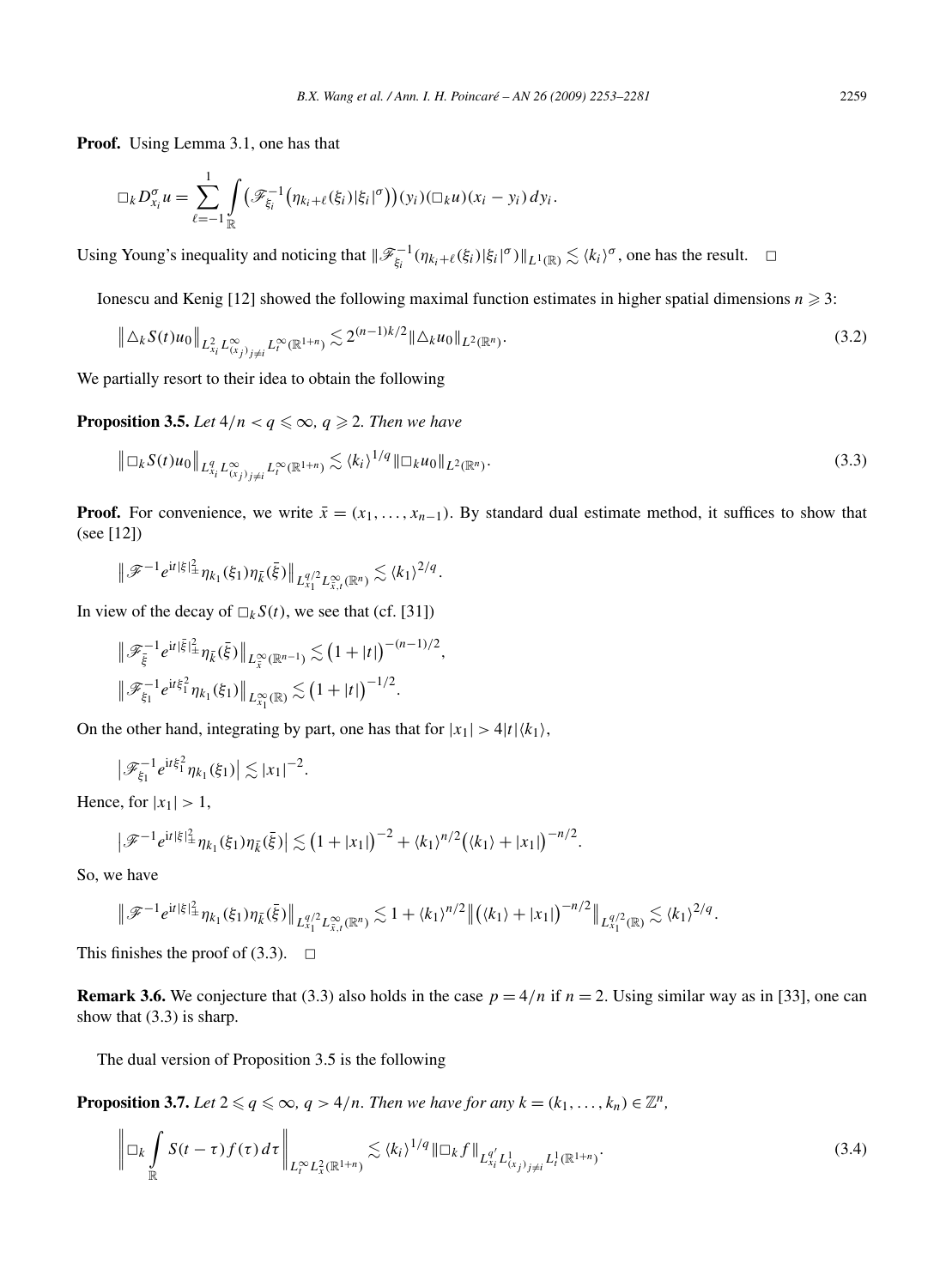**Proof.** Using Lemma 3.1, one has that

$$
\Box_k D_{x_i}^{\sigma} u = \sum_{\ell=-1}^1 \int_{\mathbb{R}} \bigl( \mathscr{F}_{\xi_i}^{-1} \bigl( \eta_{k_i+\ell}(\xi_i) | \xi_i |^{\sigma} \bigr) \bigr) (y_i) (\Box_k u) (x_i - y_i) dy_i.
$$

Using Young's inequality and noticing that  $\|\mathscr{F}_{\xi_i}^{-1}(\eta_{k_i+\ell}(\xi_i)|\xi_i|^{\sigma})\|_{L^1(\mathbb{R})}\lesssim \langle k_i\rangle^{\sigma}$ , one has the result.  $\Box$ 

Ionescu and Kenig [12] showed the following maximal function estimates in higher spatial dimensions  $n \geq 3$ :

$$
\left\| \Delta_k S(t) u_0 \right\|_{L^2_{x_i} L^\infty_{(x_j)_{j \neq i}} L^\infty_t(\mathbb{R}^{1+n})} \lesssim 2^{(n-1)k/2} \|\Delta_k u_0\|_{L^2(\mathbb{R}^n)}.
$$
\n(3.2)

We partially resort to their idea to obtain the following

**Proposition 3.5.** Let  $4/n < q \leq \infty$ ,  $q \geq 2$ . Then we have

$$
\left\|\Box_k S(t)u_0\right\|_{L_{x_i}^q L_{(x_j)_j\neq i}^\infty L_t^\infty(\mathbb{R}^{1+n})} \lesssim \langle k_i \rangle^{1/q} \|\Box_k u_0\|_{L^2(\mathbb{R}^n)}.
$$
\n(3.3)

**Proof.** For convenience, we write  $\bar{x} = (x_1, \ldots, x_{n-1})$ . By standard dual estimate method, it suffices to show that (see [12])

$$
\|\mathscr{F}^{-1}e^{it|\xi|_{\pm}^2}\eta_{k_1}(\xi_1)\eta_{\bar{k}}(\bar{\xi})\|_{L_{x_1}^{q/2}L_{\bar{x},t}^{\infty}(\mathbb{R}^n)}\lesssim \langle k_1\rangle^{2/q}.
$$

In view of the decay of  $\Box_k S(t)$ , we see that (cf. [31])

$$
\|\mathscr{F}_{\bar{\xi}}^{-1}e^{it|\bar{\xi}|_{\pm}^{2}}\eta_{\bar{k}}(\bar{\xi})\|_{L^{\infty}_{\bar{x}}(\mathbb{R}^{n-1})}\lesssim (1+|t|)^{-(n-1)/2},
$$
  

$$
\|\mathscr{F}_{\xi_{1}}^{-1}e^{it\xi_{1}^{2}}\eta_{k_{1}}(\xi_{1})\|_{L^{\infty}_{x_{1}}(\mathbb{R})}\lesssim (1+|t|)^{-1/2}.
$$

On the other hand, integrating by part, one has that for  $|x_1| > 4|t| \langle k_1 \rangle$ ,

$$
\left|\mathscr{F}_{\xi_1}^{-1}e^{it\xi_1^2}\eta_{k_1}(\xi_1)\right|\lesssim |x_1|^{-2}.
$$

Hence, for  $|x_1| > 1$ ,

$$
\left|\mathscr{F}^{-1}e^{it|\xi|_{\pm}^2}\eta_{k_1}(\xi_1)\eta_{\bar{k}}(\bar{\xi})\right|\lesssim (1+|x_1|)^{-2}+\langle k_1\rangle^{n/2}(\langle k_1\rangle+|x_1|)^{-n/2}.
$$

So, we have

$$
\|\mathscr{F}^{-1}e^{it|\xi|^2_{\pm}}\eta_{k_1}(\xi_1)\eta_{\bar{k}}(\bar{\xi})\|_{L^{q/2}_{x_1}L^\infty_{\bar{x},t}(\mathbb{R}^n)}\lesssim 1+\langle k_1\rangle^{n/2}\|(\langle k_1\rangle+|x_1|)^{-n/2}\|_{L^{q/2}_{x_1}(\mathbb{R})}\lesssim \langle k_1\rangle^{2/q}.
$$

This finishes the proof of  $(3.3)$ .  $\Box$ 

**Remark 3.6.** We conjecture that (3.3) also holds in the case  $p = 4/n$  if  $n = 2$ . Using similar way as in [33], one can show that (3.3) is sharp.

The dual version of Proposition 3.5 is the following

**Proposition 3.7.** Let  $2 \leq q \leq \infty$ ,  $q > 4/n$ . Then we have for any  $k = (k_1, \ldots, k_n) \in \mathbb{Z}^n$ ,

$$
\left\| \Box_k \int_{\mathbb{R}} S(t-\tau) f(\tau) d\tau \right\|_{L_t^{\infty} L_x^2(\mathbb{R}^{1+n})} \lesssim \langle k_i \rangle^{1/q} \|\Box_k f\|_{L_{x_i}^{q'} L_{(x_j)_{j\neq i}}^1 L_t^1(\mathbb{R}^{1+n})}.
$$
\n(3.4)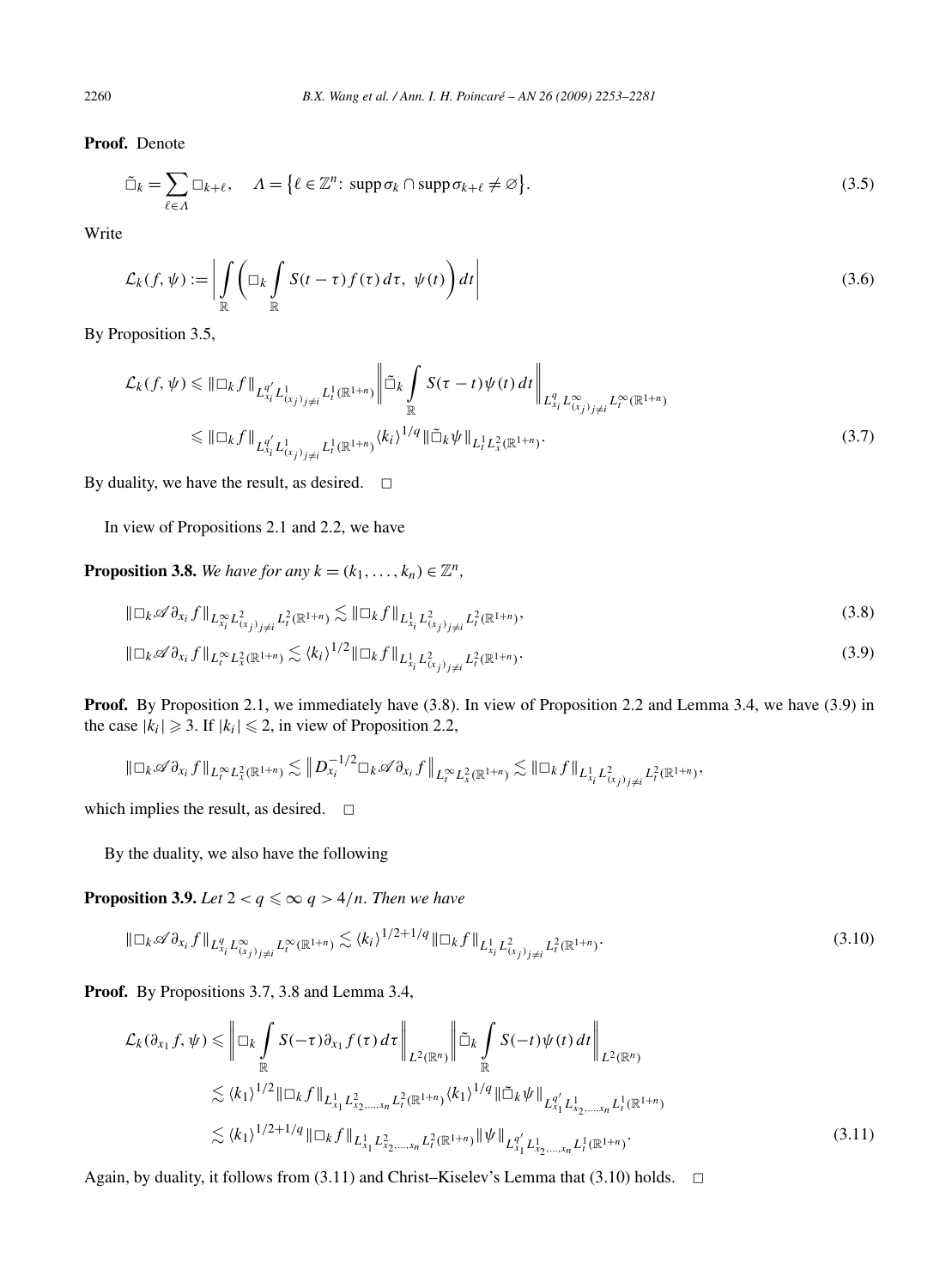**Proof.** Denote

$$
\tilde{\Box}_k = \sum_{\ell \in \Lambda} \Box_{k+\ell}, \quad \Lambda = \{ \ell \in \mathbb{Z}^n \colon \operatorname{supp} \sigma_k \cap \operatorname{supp} \sigma_{k+\ell} \neq \varnothing \}. \tag{3.5}
$$

Write

$$
\mathcal{L}_k(f, \psi) := \left| \int_{\mathbb{R}} \left( \Box_k \int_{\mathbb{R}} S(t - \tau) f(\tau) d\tau, \psi(t) \right) dt \right| \tag{3.6}
$$

By Proposition 3.5,

$$
\mathcal{L}_{k}(f, \psi) \leq \|\Box_{k} f\|_{L_{x_{i}}^{q'} L_{(x_{j})_{j\neq i}}^{1} L_{t}^{1}(\mathbb{R}^{1+n})} \|\tilde{\Box}_{k} \int_{\mathbb{R}} S(\tau - t) \psi(t) dt \|\|_{L_{x_{i}}^{q'} L_{(x_{j})_{j\neq i}}^{\infty} L_{t}^{\infty}(\mathbb{R}^{1+n})} \leq \|\Box_{k} f\|_{L_{x_{i}}^{q'} L_{(x_{j})_{j\neq i}}^{1} L_{(x_{j})_{j\neq i}}^{1} L_{t}^{1}(\mathbb{R}^{1+n})} (3.7)
$$

By duality, we have the result, as desired.  $\Box$ 

In view of Propositions 2.1 and 2.2, we have

**Proposition 3.8.** *We have for any*  $k = (k_1, \ldots, k_n) \in \mathbb{Z}^n$ ,

$$
\|\Box_k \mathscr{A} \partial_{x_i} f\|_{L^\infty_{x_i} L^2_{(x_j)_{j\neq i}} L^2_t(\mathbb{R}^{1+n})} \lesssim \|\Box_k f\|_{L^1_{x_i} L^2_{(x_j)_{j\neq i}} L^2_t(\mathbb{R}^{1+n})},\tag{3.8}
$$

$$
\|\Box_k \mathscr{A}\partial_{x_i} f\|_{L_t^{\infty} L_x^2(\mathbb{R}^{1+n})} \lesssim \langle k_i \rangle^{1/2} \|\Box_k f\|_{L_{x_i}^1 L_{(x_j)_{j\neq i}}^2 L_i^2(\mathbb{R}^{1+n})}.
$$
\n(3.9)

**Proof.** By Proposition 2.1, we immediately have (3.8). In view of Proposition 2.2 and Lemma 3.4, we have (3.9) in the case  $|k_i| \ge 3$ . If  $|k_i| \le 2$ , in view of Proposition 2.2,

$$
\|\Box_k \mathscr{A}\partial_{x_i} f\|_{L_t^{\infty} L_x^2(\mathbb{R}^{1+n})} \lesssim \|D_{x_i}^{-1/2} \Box_k \mathscr{A}\partial_{x_i} f\|_{L_t^{\infty} L_x^2(\mathbb{R}^{1+n})} \lesssim \|\Box_k f\|_{L_{x_i}^1 L_{(x_j)_{j\neq i}}^2 L_t^2(\mathbb{R}^{1+n})},
$$

which implies the result, as desired.  $\square$ 

By the duality, we also have the following

**Proposition 3.9.** Let  $2 < q \leq \infty$   $q > 4/n$ . Then we have

$$
\|\Box_k \mathscr{A}\partial_{x_i} f\|_{L^q_{x_i} L^\infty_{(x_j)_{j\neq i}} L^\infty_{t}(\mathbb{R}^{1+n})} \lesssim \langle k_i \rangle^{1/2+1/q} \|\Box_k f\|_{L^1_{x_i} L^2_{(x_j)_{j\neq i}} L^2_{t}(\mathbb{R}^{1+n})}.
$$
\n(3.10)

**Proof.** By Propositions 3.7, 3.8 and Lemma 3.4,

$$
\mathcal{L}_{k}(\partial_{x_{1}}f, \psi) \leq \left\| \Box_{k} \int_{\mathbb{R}} S(-\tau) \partial_{x_{1}} f(\tau) d\tau \right\|_{L^{2}(\mathbb{R}^{n})} \left\| \tilde{\Box}_{k} \int_{\mathbb{R}} S(-t) \psi(t) dt \right\|_{L^{2}(\mathbb{R}^{n})} \n\lesssim \langle k_{1} \rangle^{1/2} \|\Box_{k} f \|_{L^{1}_{x_{1}} L^{2}_{x_{2},...,x_{n}} L^{2}_{t}(\mathbb{R}^{1+n})} \langle k_{1} \rangle^{1/q} \|\tilde{\Box}_{k} \psi \|_{L^{q'}_{x_{1}} L^{1}_{x_{2},...,x_{n}} L^{1}_{t}(\mathbb{R}^{1+n})} \n\lesssim \langle k_{1} \rangle^{1/2+1/q} \|\Box_{k} f \|_{L^{1}_{x_{1}} L^{2}_{x_{2},...,x_{n}} L^{2}_{t}(\mathbb{R}^{1+n})} \|\psi \|_{L^{q'}_{x_{1}} L^{1}_{x_{2},...,x_{n}} L^{1}_{t}(\mathbb{R}^{1+n})}.
$$
\n(3.11)

Again, by duality, it follows from  $(3.11)$  and Christ–Kiselev's Lemma that  $(3.10)$  holds.  $\Box$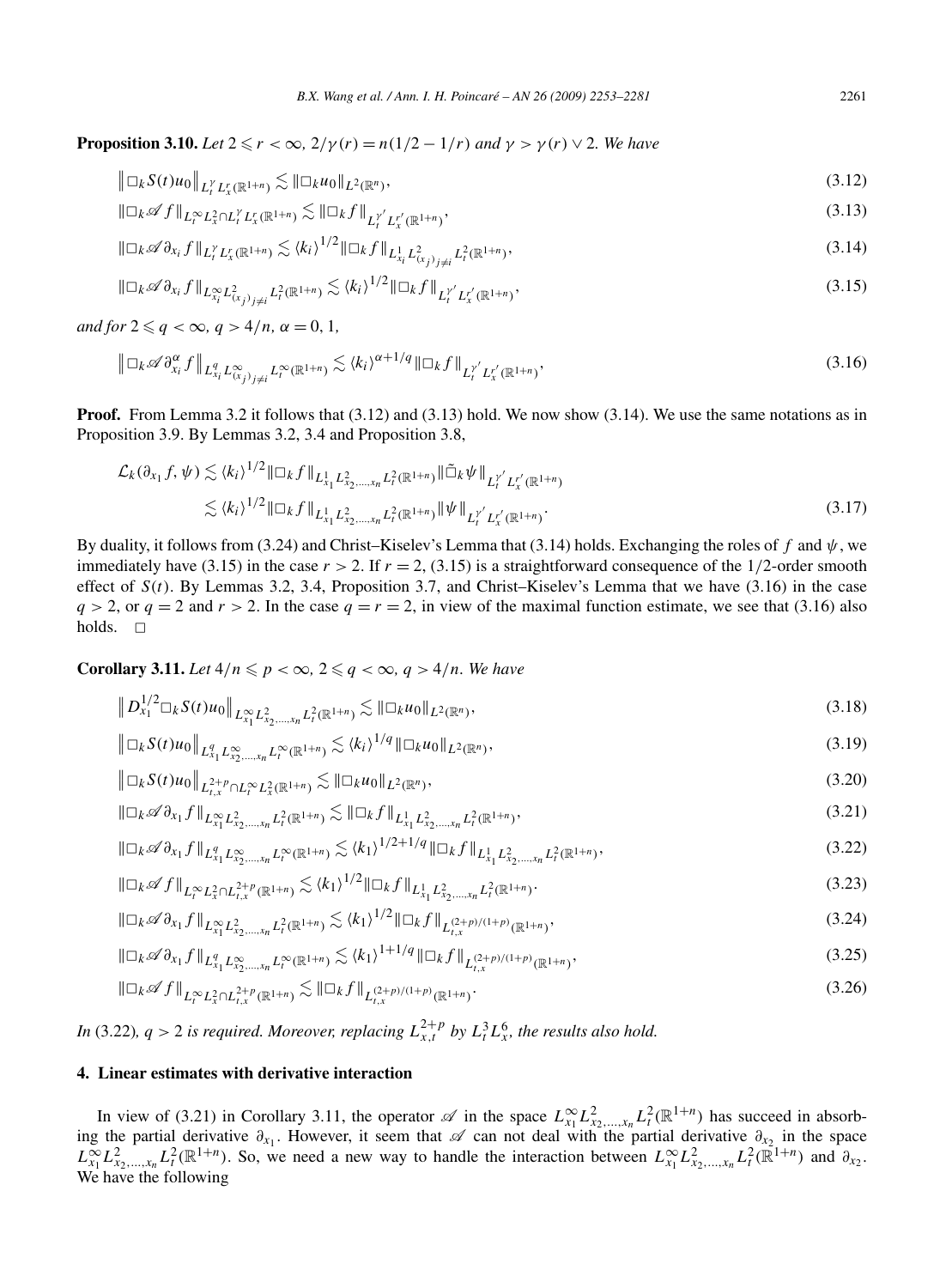**Proposition 3.10.** *Let*  $2 \le r < \infty$ ,  $2/\gamma(r) = n(1/2 - 1/r)$  *and*  $\gamma > \gamma(r) \vee 2$ *. We have* 

$$
\|\Box_k S(t)u_0\|_{L_t^{\gamma}L_x^r(\mathbb{R}^{1+n})} \lesssim \|\Box_k u_0\|_{L^2(\mathbb{R}^n)},
$$
\n(3.12)

$$
\|\Box_k \mathscr{A} f\|_{L_t^\infty L_x^2 \cap L_t^\gamma L_x^r(\mathbb{R}^{1+n})} \lesssim \|\Box_k f\|_{L_t^{\gamma'} L_x^{r'}(\mathbb{R}^{1+n})},\tag{3.13}
$$

$$
\|\Box_k \mathscr{A}\partial_{x_i} f\|_{L_t^{\gamma} L_x^r(\mathbb{R}^{1+n})} \lesssim \langle k_i \rangle^{1/2} \|\Box_k f\|_{L_{x_i}^1 L_{(x_j)_{j \neq i}}^2 L_i^2(\mathbb{R}^{1+n})},\tag{3.14}
$$

$$
\|\Box_k \mathscr{A} \partial_{x_i} f\|_{L^\infty_{x_i} L^2_{(x_j)_{j\neq i}} L^2_{t}(\mathbb{R}^{1+n})} \lesssim \langle k_i \rangle^{1/2} \|\Box_k f\|_{L^{y'}_t L^{r'}_x(\mathbb{R}^{1+n})},\tag{3.15}
$$

 $and$   $for$   $2 \leqslant q < \infty$ ,  $q > 4/n$ ,  $\alpha = 0, 1$ ,

$$
\left\| \Box_k \mathscr{A} \partial_{x_i}^{\alpha} f \right\|_{L_{x_i}^q L_{(x_j)_{j \neq i}}^{\infty} L_i^{\infty}(\mathbb{R}^{1+n})} \lesssim \langle k_i \rangle^{\alpha+1/q} \|\Box_k f\|_{L_i^{\gamma'} L_x^{\gamma'}(\mathbb{R}^{1+n})},\tag{3.16}
$$

**Proof.** From Lemma 3.2 it follows that (3.12) and (3.13) hold. We now show (3.14). We use the same notations as in Proposition 3.9. By Lemmas 3.2, 3.4 and Proposition 3.8,

$$
\mathcal{L}_{k}(\partial_{x_{1}}f, \psi) \lesssim \langle k_{i} \rangle^{1/2} \|\Box_{k}f\|_{L_{x_{1}}^{1} L_{x_{2},...,x_{n}}^{2} L_{t}^{2}(\mathbb{R}^{1+n})}\|\tilde{\Box}_{k} \psi\|_{L_{t}^{\gamma'} L_{x}^{\gamma'}(\mathbb{R}^{1+n})} \lesssim \langle k_{i} \rangle^{1/2} \|\Box_{k}f\|_{L_{x_{1}}^{1} L_{x_{2},...,x_{n}}^{2} L_{t}^{2}(\mathbb{R}^{1+n})}\|\psi\|_{L_{t}^{\gamma'} L_{x}^{\gamma'}(\mathbb{R}^{1+n})}.
$$
\n(3.17)

By duality, it follows from (3.24) and Christ–Kiselev's Lemma that (3.14) holds. Exchanging the roles of *f* and *ψ*, we immediately have (3.15) in the case  $r > 2$ . If  $r = 2$ , (3.15) is a straightforward consequence of the 1/2-order smooth effect of  $S(t)$ . By Lemmas 3.2, 3.4, Proposition 3.7, and Christ–Kiselev's Lemma that we have (3.16) in the case  $q > 2$ , or  $q = 2$  and  $r > 2$ . In the case  $q = r = 2$ , in view of the maximal function estimate, we see that (3.16) also holds.  $\square$ 

**Corollary 3.11.** Let  $4/n \leqslant p < \infty$ ,  $2 \leqslant q < \infty$ ,  $q > 4/n$ . We have

$$
\|D_{x_1}^{1/2}\Box_k S(t)u_0\|_{L_{x_1}^{\infty}L_{x_2,\ldots,x_n}^2L_t^2(\mathbb{R}^{1+n})} \lesssim \|\Box_k u_0\|_{L^2(\mathbb{R}^n)},\tag{3.18}
$$

$$
\left\| \Box_k S(t) u_0 \right\|_{L_{x_1}^q L_{x_2, \dots, x_n}^{\infty} L_t^{\infty}(\mathbb{R}^{1+n})} \lesssim \langle k_i \rangle^{1/q} \|\Box_k u_0\|_{L^2(\mathbb{R}^n)},\tag{3.19}
$$

$$
\|\Box_k S(t)u_0\|_{L^{2+p}_{t,x} \cap L^\infty_t L^2_x(\mathbb{R}^{1+n})} \lesssim \|\Box_k u_0\|_{L^2(\mathbb{R}^n)},
$$
\n(3.20)

$$
\|\Box_k \mathscr{A}\partial_{x_1} f\|_{L^{\infty}_{x_1} L^2_{x_2,\dots,x_n} L^2_t(\mathbb{R}^{1+n})} \lesssim \|\Box_k f\|_{L^1_{x_1} L^2_{x_2,\dots,x_n} L^2_t(\mathbb{R}^{1+n})},\tag{3.21}
$$

$$
\|\Box_k \mathscr{A}\partial_{x_1} f\|_{L^q_{x_1} L^\infty_{x_2,\dots,x_n} L^\infty_t(\mathbb{R}^{1+n})} \lesssim \langle k_1 \rangle^{1/2+1/q} \|\Box_k f\|_{L^1_{x_1} L^2_{x_2,\dots,x_n} L^2_t(\mathbb{R}^{1+n})},\tag{3.22}
$$

$$
\|\Box_k \mathscr{A} f\|_{L_t^\infty L_x^2 \cap L_{t,x}^{2+p}(\mathbb{R}^{1+n})} \lesssim \langle k_1 \rangle^{1/2} \|\Box_k f\|_{L_{x_1}^1 L_{x_2,\dots,x_n}^2 L_t^2(\mathbb{R}^{1+n})}.
$$
\n(3.23)

$$
\|\Box_k \mathscr{A}\partial_{x_1} f\|_{L^{\infty}_{x_1} L^2_{x_2,\dots,x_n} L^2_t(\mathbb{R}^{1+n})} \lesssim \langle k_1 \rangle^{1/2} \|\Box_k f\|_{L^{(2+p)/(1+p)}_{t,x}(\mathbb{R}^{1+n})},\tag{3.24}
$$

$$
\|\Box_k \mathscr{A}\partial_{x_1} f\|_{L^q_{x_1} L^\infty_{x_2,\dots,x_n} L^\infty_t(\mathbb{R}^{1+n})} \lesssim \langle k_1 \rangle^{1+1/q} \|\Box_k f\|_{L^{(2+p)/(1+p)}_{t,x}(\mathbb{R}^{1+n})},\tag{3.25}
$$

$$
\|\Box_k \mathscr{A} f\|_{L_t^\infty L_x^2 \cap L_{t,x}^{2+p}(\mathbb{R}^{1+n})} \lesssim \|\Box_k f\|_{L_{t,x}^{(2+p)/(1+p)}(\mathbb{R}^{1+n})}.
$$
\n(3.26)

*In* (3.22),  $q > 2$  *is required. Moreover, replacing*  $L_{x,t}^{2+p}$  *by*  $L_t^3 L_x^6$ *, the results also hold.* 

# **4. Linear estimates with derivative interaction**

In view of (3.21) in Corollary 3.11, the operator  $\mathscr A$  in the space  $L_{x_1}^{\infty} L_{x_2,...,x_n}^2 L_t^2(\mathbb{R}^{1+n})$  has succeed in absorbing the partial derivative *∂x*<sup>1</sup> . However, it seem that A can not deal with the partial derivative *∂x*<sup>2</sup> in the space  $L_{x_1}^{\infty}L_{x_2,...,x_n}^2L_t^2(\mathbb{R}^{1+n})$ . So, we need a new way to handle the interaction between  $L_{x_1}^{\infty}L_{x_2,...,x_n}^2L_t^2(\mathbb{R}^{1+n})$  and  $\partial_{x_2}$ . We have the following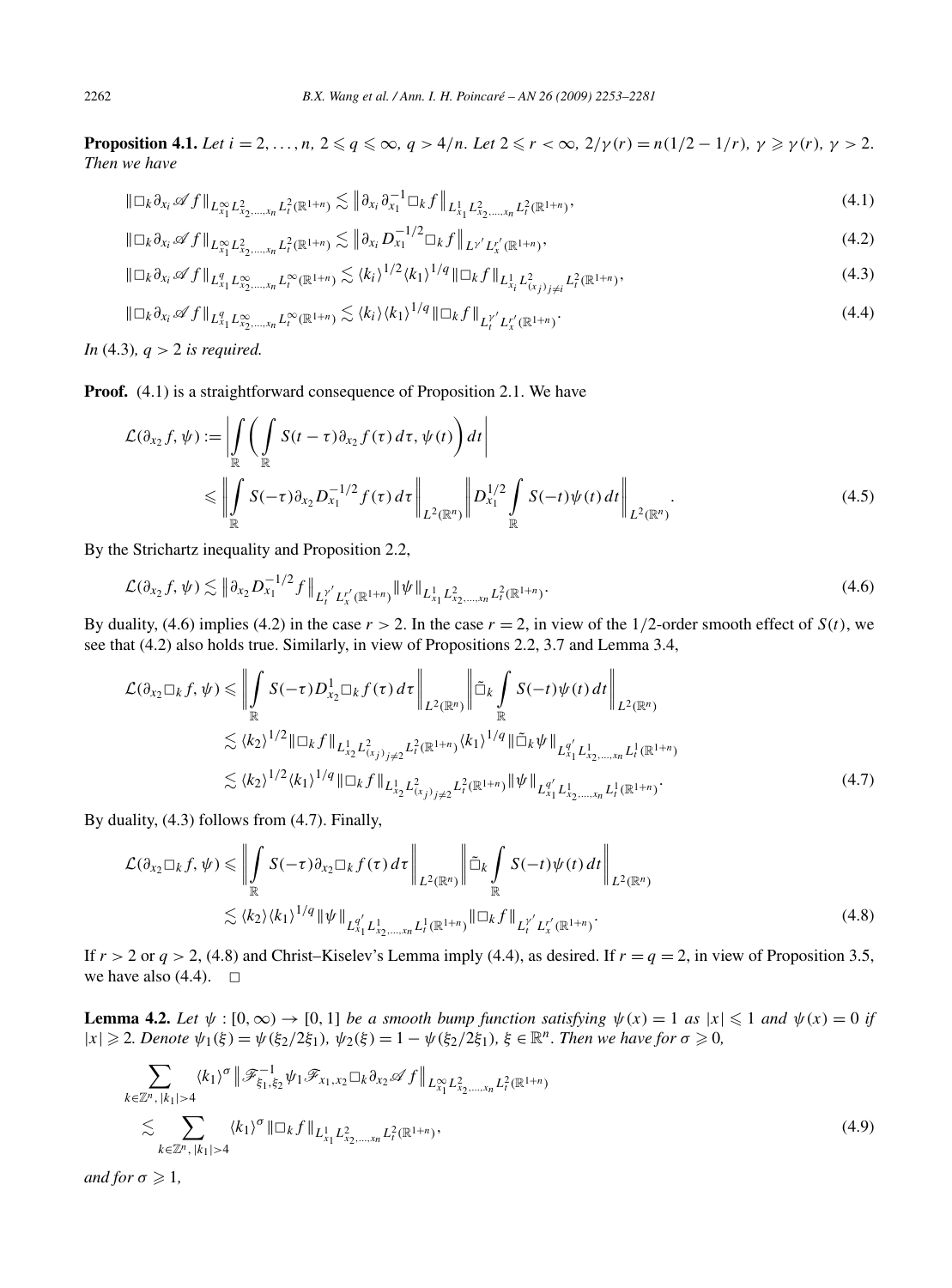**Proposition 4.1.** Let  $i = 2, ..., n$ ,  $2 \leq q \leq \infty$ ,  $q > 4/n$ . Let  $2 \leq r < \infty$ ,  $2/\gamma(r) = n(1/2 - 1/r)$ ,  $\gamma \geq \gamma(r)$ ,  $\gamma > 2$ . *Then we have*

$$
\|\Box_k \partial_{x_i} \mathscr{A} f\|_{L^\infty_{x_1} L^2_{x_2,\ldots,x_n} L^2_t(\mathbb{R}^{1+n})} \lesssim \left\| \partial_{x_i} \partial_{x_1}^{-1} \Box_k f \right\|_{L^1_{x_1} L^2_{x_2,\ldots,x_n} L^2_t(\mathbb{R}^{1+n})},\tag{4.1}
$$

$$
\|\Box_k \partial_{x_i} \mathscr{A} f\|_{L^{\infty}_{x_1} L^2_{x_2,\dots,x_n} L^2_t(\mathbb{R}^{1+n})} \lesssim \left\| \partial_{x_i} D^{-1/2}_{x_1} \Box_k f \right\|_{L^{\gamma'} L^{r'}_x(\mathbb{R}^{1+n})},\tag{4.2}
$$

$$
\|\Box_k \partial_{x_i} \mathscr{A} f\|_{L_{x_1}^q L_{x_2,\ldots,x_n}^\infty L_t^\infty(\mathbb{R}^{1+n})} \lesssim \langle k_i \rangle^{1/2} \langle k_1 \rangle^{1/q} \|\Box_k f\|_{L_{x_i}^1 L_{(x_j)_{j\neq i}}^2 L_t^2(\mathbb{R}^{1+n})},\tag{4.3}
$$

$$
\|\Box_k \partial_{x_i} \mathscr{A} f\|_{L^q_{x_1} L^\infty_{x_2,\ldots,x_n} L^\infty_t(\mathbb{R}^{1+n})} \lesssim \langle k_i \rangle \langle k_1 \rangle^{1/q} \|\Box_k f\|_{L^{y'}_t L^{r'}_x(\mathbb{R}^{1+n})}.
$$
\n
$$
(4.4)
$$

*In* (4.3)*, q >* 2 *is required.*

**Proof.** (4.1) is a straightforward consequence of Proposition 2.1. We have

$$
\mathcal{L}(\partial_{x_2} f, \psi) := \left| \int_{\mathbb{R}} \left( \int_{\mathbb{R}} S(t - \tau) \partial_{x_2} f(\tau) d\tau, \psi(t) \right) dt \right|
$$
  
\n
$$
\leq \left| \int_{\mathbb{R}} S(-\tau) \partial_{x_2} D_{x_1}^{-1/2} f(\tau) d\tau \right|_{L^2(\mathbb{R}^n)} \left| D_{x_1}^{1/2} \int_{\mathbb{R}} S(-t) \psi(t) dt \right|_{L^2(\mathbb{R}^n)} .
$$
\n(4.5)

By the Strichartz inequality and Proposition 2.2,

$$
\mathcal{L}(\partial_{x_2} f, \psi) \lesssim \left\| \partial_{x_2} D_{x_1}^{-1/2} f \right\|_{L_t^{\gamma'} L_x^{r'}(\mathbb{R}^{1+n})} \|\psi\|_{L_{x_1}^1 L_{x_2,\dots,x_n}^2 L_t^2(\mathbb{R}^{1+n})}.
$$
\n(4.6)

By duality, (4.6) implies (4.2) in the case  $r > 2$ . In the case  $r = 2$ , in view of the  $1/2$ -order smooth effect of  $S(t)$ , we see that (4.2) also holds true. Similarly, in view of Propositions 2.2, 3.7 and Lemma 3.4,

$$
\mathcal{L}(\partial_{x_2} \Box_k f, \psi) \leq \left\| \int_{\mathbb{R}} S(-\tau) D_{x_2}^1 \Box_k f(\tau) d\tau \right\|_{L^2(\mathbb{R}^n)} \left\| \tilde{\Box}_k \int_{\mathbb{R}} S(-t) \psi(t) d\tau \right\|_{L^2(\mathbb{R}^n)} \n\lesssim \langle k_2 \rangle^{1/2} \|\Box_k f\|_{L_{x_2}^1 L_{(x_j)j \neq 2}^2} L_t^2(\mathbb{R}^{1+n})} \langle k_1 \rangle^{1/q} \|\tilde{\Box}_k \psi\|_{L_{x_1}^{q'} L_{x_2,\dots,x_n}^1 L_t^1(\mathbb{R}^{1+n})} \n\lesssim \langle k_2 \rangle^{1/2} \langle k_1 \rangle^{1/q} \|\Box_k f\|_{L_{x_2}^1 L_{(x_j)j \neq 2}^2} L_t^2(\mathbb{R}^{1+n})} \|\psi\|_{L_{x_1}^{q'} L_{x_2,\dots,x_n}^1 L_t^1(\mathbb{R}^{1+n})}.
$$
\n(4.7)

By duality, (4.3) follows from (4.7). Finally,

$$
\mathcal{L}(\partial_{x_2} \Box_k f, \psi) \leq \left\| \int_{\mathbb{R}} S(-\tau) \partial_{x_2} \Box_k f(\tau) d\tau \right\|_{L^2(\mathbb{R}^n)} \left\| \tilde{\Box}_k \int_{\mathbb{R}} S(-t) \psi(t) dt \right\|_{L^2(\mathbb{R}^n)}
$$
  
 
$$
\lesssim \langle k_2 \rangle \langle k_1 \rangle^{1/q} \|\psi\|_{L^{q'}_{x_1} L^1_{x_2, \dots, x_n} L^1_t(\mathbb{R}^{1+n})} \|\Box_k f\|_{L^{r'}_t L^{r'}_{x}(\mathbb{R}^{1+n})}.
$$
 (4.8)

If  $r > 2$  or  $q > 2$ , (4.8) and Christ–Kiselev's Lemma imply (4.4), as desired. If  $r = q = 2$ , in view of Proposition 3.5, we have also  $(4.4)$ .  $\Box$ 

**Lemma 4.2.** Let  $\psi : [0, \infty) \to [0, 1]$  be a smooth bump function satisfying  $\psi(x) = 1$  as  $|x| \leq 1$  and  $\psi(x) = 0$  if  $|x| \ge 2$ . Denote  $\psi_1(\xi) = \psi(\xi_2/2\xi_1)$ ,  $\psi_2(\xi) = 1 - \psi(\xi_2/2\xi_1)$ ,  $\xi \in \mathbb{R}^n$ . Then we have for  $\sigma \ge 0$ ,

$$
\sum_{k \in \mathbb{Z}^n, |k_1| > 4} \langle k_1 \rangle^{\sigma} \| \mathcal{F}_{\xi_1, \xi_2}^{-1} \psi_1 \mathcal{F}_{x_1, x_2} \Box_k \partial_{x_2} \mathscr{A} f \|_{L_{x_1}^{\infty} L_{x_2, \dots, x_n}^2 L_t^2(\mathbb{R}^{1+n})} \n\lesssim \sum_{k \in \mathbb{Z}^n, |k_1| > 4} \langle k_1 \rangle^{\sigma} \| \Box_k f \|_{L_{x_1}^1 L_{x_2, \dots, x_n}^2 L_t^2(\mathbb{R}^{1+n})},
$$
\n(4.9)

*and for*  $\sigma \geq 1$ *,*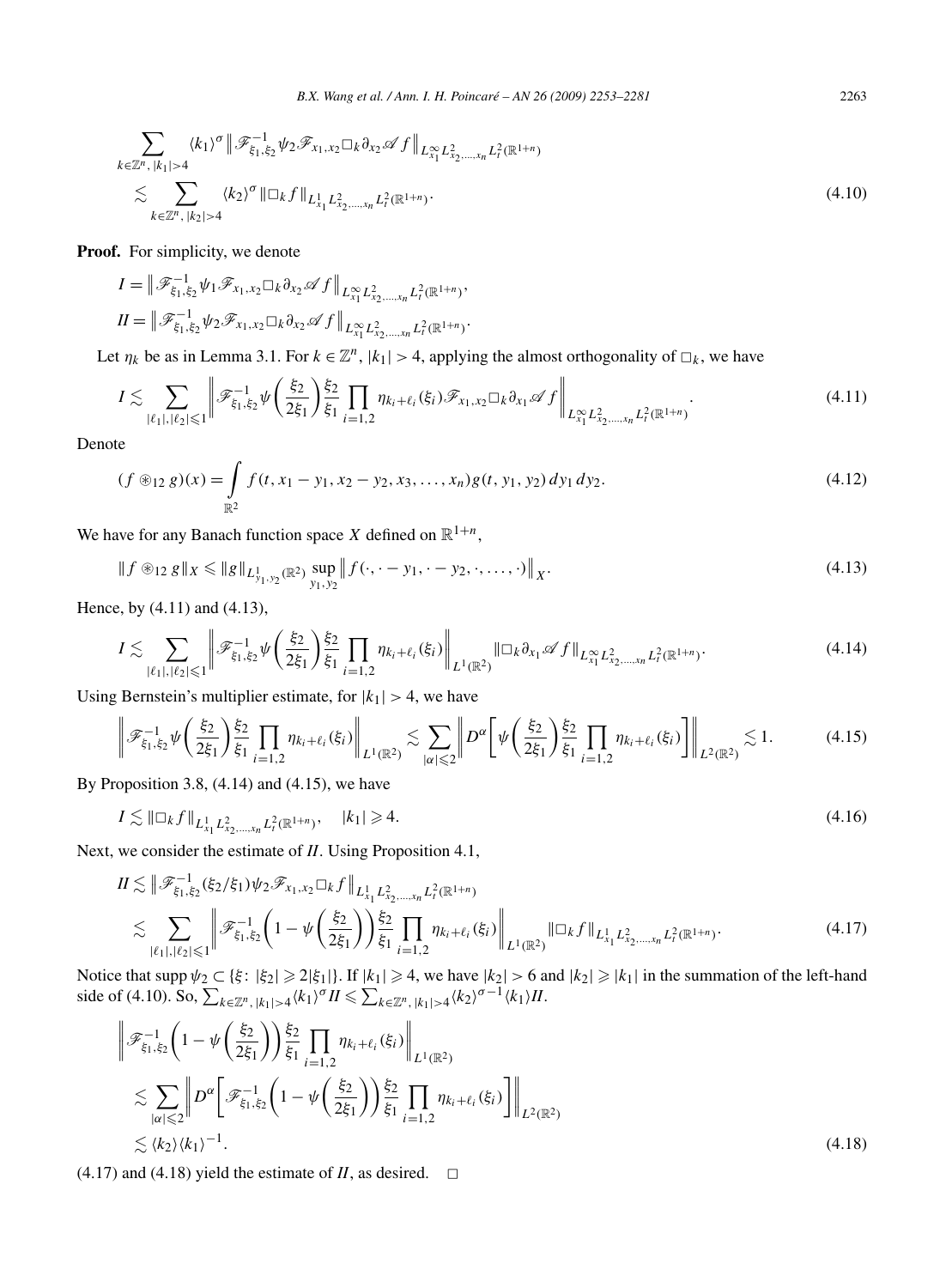$$
\sum_{k \in \mathbb{Z}^n, |k_1| > 4} \langle k_1 \rangle^{\sigma} \| \mathcal{F}_{\xi_1, \xi_2}^{-1} \psi_2 \mathcal{F}_{x_1, x_2} \Box_k \partial_{x_2} \mathscr{A} f \|_{L^{\infty}_{x_1} L^2_{x_2, \dots, x_n} L^2_t(\mathbb{R}^{1+n})} \n\lesssim \sum_{k \in \mathbb{Z}^n, |k_2| > 4} \langle k_2 \rangle^{\sigma} \| \Box_k f \|_{L^1_{x_1} L^2_{x_2, \dots, x_n} L^2_t(\mathbb{R}^{1+n})}.
$$
\n(4.10)

**Proof.** For simplicity, we denote

$$
I = \|\mathscr{F}_{\xi_1,\xi_2}^{-1} \psi_1 \mathscr{F}_{x_1,x_2} \Box_k \partial_{x_2} \mathscr{A} f\|_{L^\infty_{x_1} L^2_{x_2,\dots,x_n} L^2_t(\mathbb{R}^{1+n})},
$$
  

$$
II = \|\mathscr{F}_{\xi_1,\xi_2}^{-1} \psi_2 \mathscr{F}_{x_1,x_2} \Box_k \partial_{x_2} \mathscr{A} f\|_{L^\infty_{x_1} L^2_{x_2,\dots,x_n} L^2_t(\mathbb{R}^{1+n})}.
$$

Let  $\eta_k$  be as in Lemma 3.1. For  $k \in \mathbb{Z}^n$ ,  $|k_1| > 4$ , applying the almost orthogonality of  $\Box_k$ , we have

$$
I \lesssim \sum_{|\ell_1|, |\ell_2| \leq 1} \left\| \mathcal{F}_{\xi_1, \xi_2}^{-1} \psi \left( \frac{\xi_2}{2\xi_1} \right) \frac{\xi_2}{\xi_1} \prod_{i=1,2} \eta_{k_i + \ell_i}(\xi_i) \mathcal{F}_{x_1, x_2} \Box_k \partial_{x_1} \mathscr{A} f \right\|_{L^{\infty}_{x_1} L^2_{x_2, \dots, x_n} L^2_{t}(\mathbb{R}^{1+n})}.
$$
\n(4.11)

Denote

$$
(f \circledast_{12} g)(x) = \int_{\mathbb{R}^2} f(t, x_1 - y_1, x_2 - y_2, x_3, \dots, x_n) g(t, y_1, y_2) dy_1 dy_2.
$$
 (4.12)

We have for any Banach function space *X* defined on  $\mathbb{R}^{1+n}$ ,

$$
\|f \circledast_{12} g\|_X \le \|g\|_{L^1_{y_1, y_2}(\mathbb{R}^2)} \sup_{y_1, y_2} \|f(\cdot, \cdot - y_1, \cdot - y_2, \cdot, \dots, \cdot)\|_X. \tag{4.13}
$$

Hence, by (4.11) and (4.13),

$$
I \lesssim \sum_{|\ell_1|, |\ell_2| \leq 1} \left\| \mathcal{F}_{\xi_1, \xi_2}^{-1} \psi \left( \frac{\xi_2}{2\xi_1} \right) \frac{\xi_2}{\xi_1} \prod_{i=1,2} \eta_{k_i + \ell_i}(\xi_i) \right\|_{L^1(\mathbb{R}^2)} \| \Box_k \partial_{x_1} \mathscr{A} f \|_{L^\infty_{x_1} L^2_{x_2, \dots, x_n} L^2_t(\mathbb{R}^{1+n})}.
$$
\n(4.14)

Using Bernstein's multiplier estimate, for  $|k_1| > 4$ , we have

$$
\left\| \mathcal{F}_{\xi_1,\xi_2}^{-1} \psi\left(\frac{\xi_2}{2\xi_1}\right) \frac{\xi_2}{\xi_1} \prod_{i=1,2} \eta_{k_i+\ell_i}(\xi_i) \right\|_{L^1(\mathbb{R}^2)} \lesssim \sum_{|\alpha| \leq 2} \left\| D^{\alpha} \left[ \psi\left(\frac{\xi_2}{2\xi_1}\right) \frac{\xi_2}{\xi_1} \prod_{i=1,2} \eta_{k_i+\ell_i}(\xi_i) \right] \right\|_{L^2(\mathbb{R}^2)} \lesssim 1. \tag{4.15}
$$

By Proposition 3.8, (4.14) and (4.15), we have

$$
I \lesssim ||\Box_k f||_{L^1_{x_1} L^2_{x_2,\dots,x_n} L^2_l(\mathbb{R}^{1+n})}, \quad |k_1| \geq 4. \tag{4.16}
$$

Next, we consider the estimate of *II*. Using Proposition 4.1,

$$
II \lesssim \|\mathcal{F}_{\xi_1,\xi_2}^{-1}(\xi_2/\xi_1)\psi_2\mathcal{F}_{x_1,x_2}\Box_k f\|_{L_{x_1}^1 L_{x_2,\ldots,x_n}^2 L_t^2(\mathbb{R}^{1+n})}\n\lesssim \sum_{|\ell_1|,|\ell_2|\leq 1} \|\mathcal{F}_{\xi_1,\xi_2}^{-1}\left(1-\psi\left(\frac{\xi_2}{2\xi_1}\right)\right)\frac{\xi_2}{\xi_1}\prod_{i=1,2} \eta_{k_i+\ell_i}(\xi_i)\n\|_{L_{x_1}^1(\mathbb{R}^2)}\|\Box_k f\|_{L_{x_1}^1 L_{x_2,\ldots,x_n}^2 L_t^2(\mathbb{R}^{1+n})}.\n\tag{4.17}
$$

Notice that supp  $\psi_2 \subset \{\xi: |\xi_2| \geq 2|\xi_1|\}$ . If  $|k_1| \geq 4$ , we have  $|k_2| > 6$  and  $|k_2| \geq |k_1|$  in the summation of the left-hand side of (4.10). So,  $\sum_{k \in \mathbb{Z}^n, |k_1| > 4} \langle k_1 \rangle^{\sigma} H \le \sum_{k \in \mathbb{Z}^n, |k_1| > 4} \langle k_2 \rangle^{\sigma - 1} \langle k_1 \rangle H$ .

$$
\begin{split} &\left\| \mathcal{F}_{\xi_1,\xi_2}^{-1} \left( 1 - \psi \left( \frac{\xi_2}{2\xi_1} \right) \right) \frac{\xi_2}{\xi_1} \prod_{i=1,2} \eta_{k_i + \ell_i}(\xi_i) \right\|_{L^1(\mathbb{R}^2)} \\ &\lesssim \sum_{|\alpha| \leq 2} \left\| D^{\alpha} \left[ \mathcal{F}_{\xi_1,\xi_2}^{-1} \left( 1 - \psi \left( \frac{\xi_2}{2\xi_1} \right) \right) \frac{\xi_2}{\xi_1} \prod_{i=1,2} \eta_{k_i + \ell_i}(\xi_i) \right] \right\|_{L^2(\mathbb{R}^2)} \\ &\lesssim \langle k_2 \rangle \langle k_1 \rangle^{-1}. \end{split} \tag{4.18}
$$

(4.17) and (4.18) yield the estimate of  $II$ , as desired.  $\Box$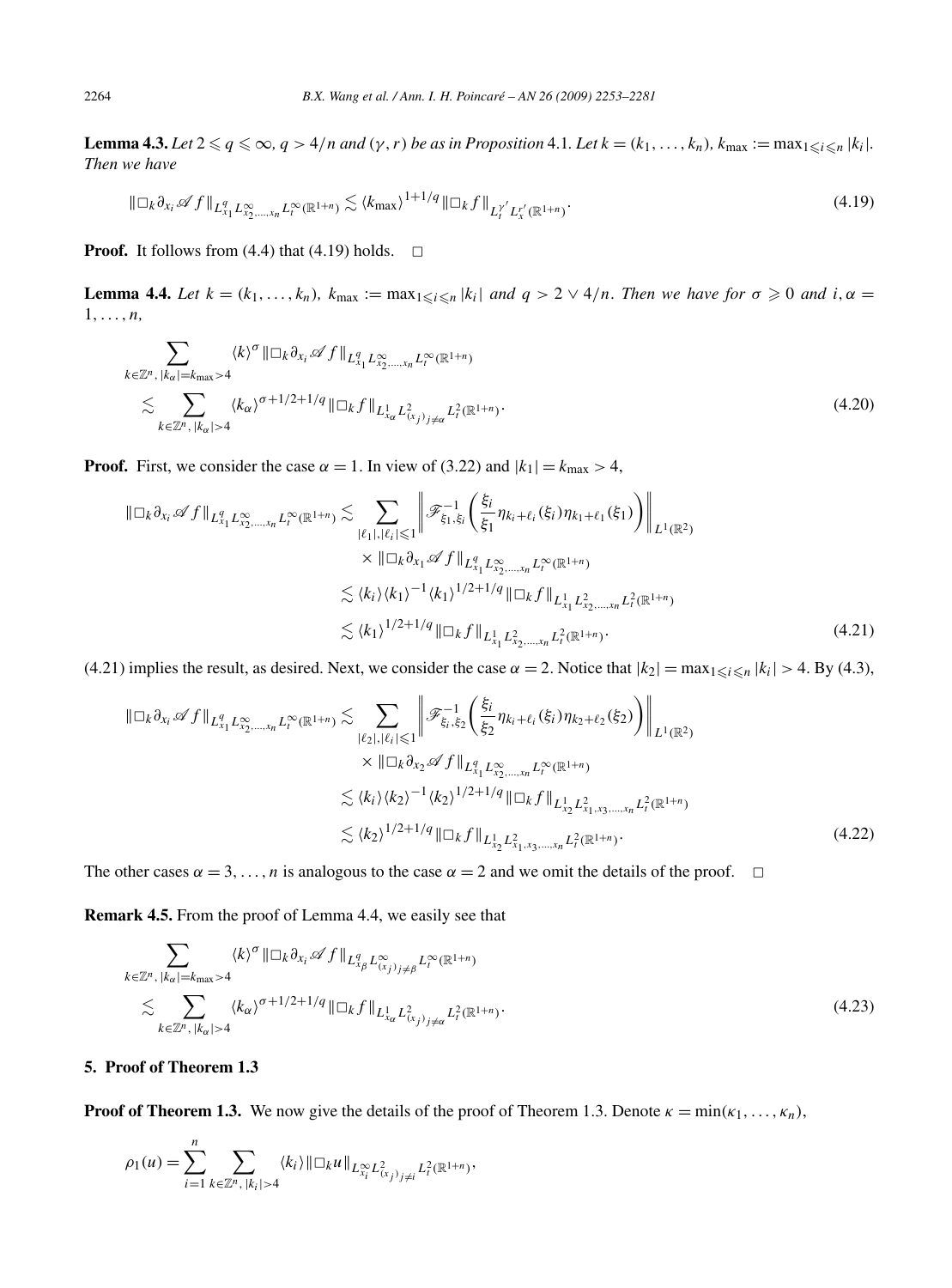**Lemma 4.3.** Let  $2 \le q \le \infty$ ,  $q > 4/n$  and  $(\gamma, r)$  be as in Proposition 4.1. Let  $k = (k_1, \ldots, k_n)$ ,  $k_{\max} := \max_{1 \le i \le n} |k_i|$ . *Then we have*

$$
\|\Box_k \partial_{x_i} \mathscr{A} f\|_{L_{x_1}^q L_{x_2,\ldots,x_n}^\infty L_t^\infty(\mathbb{R}^{1+n})} \lesssim \langle k_{\max} \rangle^{1+1/q} \|\Box_k f\|_{L_t^{\gamma'} L_x^{\gamma'}(\mathbb{R}^{1+n})}.
$$
\n
$$
(4.19)
$$

**Proof.** It follows from (4.4) that (4.19) holds.  $\Box$ 

**Lemma 4.4.** *Let*  $k = (k_1, \ldots, k_n)$ ,  $k_{\text{max}} := \max_{1 \leq i \leq n} |k_i|$  *and*  $q > 2 \vee 4/n$ . *Then we have for*  $\sigma \geq 0$  *and*  $i, \alpha =$ 1*,...,n,*

$$
\sum_{k \in \mathbb{Z}^n, |k_{\alpha}| = k_{\max} > 4} \langle k \rangle^{\sigma} \| \Box_k \partial_{x_i} \mathscr{A} f \|_{L_{x_1}^q L_{x_2, \dots, x_n}^{\infty} L_r^{\infty}(\mathbb{R}^{1+n})} \le \sum_{k \in \mathbb{Z}^n, |k_{\alpha}| > 4} \langle k_{\alpha} \rangle^{\sigma + 1/2 + 1/q} \| \Box_k f \|_{L_{x_\alpha}^1 L_{(x_j)}^2} \le L_r^2(\mathbb{R}^{1+n})}.
$$
\n(4.20)

**Proof.** First, we consider the case  $\alpha = 1$ . In view of (3.22) and  $|k_1| = k_{\text{max}} > 4$ ,

$$
\|\Box_k \partial_{x_i} \mathscr{A} f\|_{L_{x_1}^q L_{x_2,\ldots,x_n}^\infty L_t^\infty(\mathbb{R}^{1+n})} \lesssim \sum_{|\ell_1|,|\ell_i| \leqslant 1} \left\| \mathscr{F}_{\xi_1,\xi_i}^{-1} \left( \frac{\xi_i}{\xi_1} \eta_{k_i+\ell_i}(\xi_i) \eta_{k_1+\ell_1}(\xi_1) \right) \right\|_{L^1(\mathbb{R}^2)} \times \|\Box_k \partial_{x_1} \mathscr{A} f\|_{L_{x_1}^q L_{x_2,\ldots,x_n}^\infty L_t^\infty(\mathbb{R}^{1+n})} \lesssim \langle k_i \rangle \langle k_1 \rangle^{-1} \langle k_1 \rangle^{1/2+1/q} \|\Box_k f\|_{L_{x_1}^1 L_{x_2,\ldots,x_n}^2 L_t^2(\mathbb{R}^{1+n})} \lesssim \langle k_1 \rangle^{1/2+1/q} \|\Box_k f\|_{L_{x_1}^1 L_{x_2,\ldots,x_n}^\infty L_t^2(\mathbb{R}^{1+n})}.
$$
\n(4.21)

(4.21) implies the result, as desired. Next, we consider the case  $\alpha = 2$ . Notice that  $|k_2| = \max_{1 \le i \le n} |k_i| > 4$ . By (4.3),

$$
\|\Box_{k}\partial_{x_{i}}\mathscr{A}f\|_{L_{x_{1}}^{q}L_{x_{2},...,x_{n}}^{\infty}L_{t}^{\infty}(\mathbb{R}^{1+n})}\n\lesssim \sum_{|\ell_{2}|,|\ell_{i}|\leqslant 1} \left\|\mathscr{F}_{\xi_{i},\xi_{2}}^{-1}\left(\frac{\xi_{i}}{\xi_{2}}\eta_{k_{i}+\ell_{i}}(\xi_{i})\eta_{k_{2}+\ell_{2}}(\xi_{2})\right)\right\|_{L^{1}(\mathbb{R}^{2})}\n\times \|\Box_{k}\partial_{x_{2}}\mathscr{A}f\|_{L_{x_{1}}^{q}L_{x_{2},...,x_{n}}^{\infty}L_{t}^{\infty}(\mathbb{R}^{1+n})}\n\times \langle k_{i}\rangle\langle k_{2}\rangle^{-1}\langle k_{2}\rangle^{1/2+1/q}\|\Box_{k}f\|_{L_{x_{2}}^{1}L_{x_{1},x_{3},...,x_{n}}^2L_{t}^{2}(\mathbb{R}^{1+n})}\n\times \langle k_{2}\rangle^{1/2+1/q}\|\Box_{k}f\|_{L_{x_{2}}^{1}L_{x_{1},x_{3},...,x_{n}}^2L_{t}^{2}(\mathbb{R}^{1+n})}.
$$
\n(4.22)

The other cases  $\alpha = 3, \ldots, n$  is analogous to the case  $\alpha = 2$  and we omit the details of the proof.  $\Box$ 

**Remark 4.5.** From the proof of Lemma 4.4, we easily see that

$$
\sum_{k \in \mathbb{Z}^n, |k_{\alpha}| = k_{\max} > 4} \langle k \rangle^{\sigma} \| \Box_k \partial_{x_i} \mathscr{A} f \|_{L^q_{x_\beta} L^\infty_{(x_j)_{j \neq \beta}} L^\infty_t(\mathbb{R}^{1+n})} \leq \sum_{k \in \mathbb{Z}^n, |k_{\alpha}| > 4} \langle k_{\alpha} \rangle^{\sigma + 1/2 + 1/q} \| \Box_k f \|_{L^1_{x_\alpha} L^2_{(x_j)_{j \neq \alpha}} L^2_t(\mathbb{R}^{1+n})}.
$$
\n(4.23)

# **5. Proof of Theorem 1.3**

**Proof of Theorem 1.3.** We now give the details of the proof of Theorem 1.3. Denote  $\kappa = \min(\kappa_1, \ldots, \kappa_n)$ ,

$$
\rho_1(u) = \sum_{i=1}^n \sum_{k \in \mathbb{Z}^n, |k_i| > 4} \langle k_i \rangle ||\Box_k u||_{L^\infty_{x_i} L^2_{(x_j)_{j \neq i}} L^2_t(\mathbb{R}^{1+n})},
$$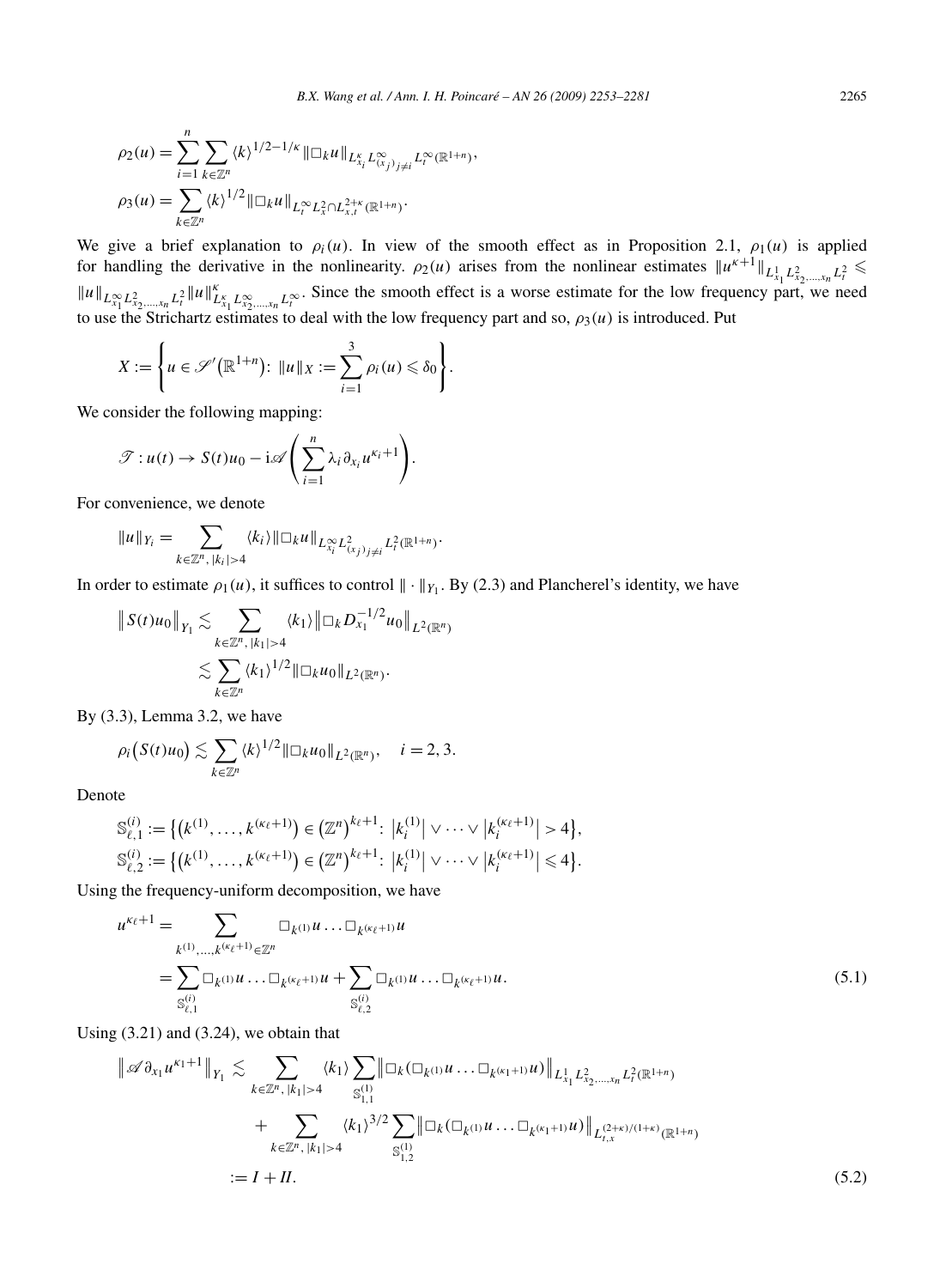We give a brief explanation to  $\rho_i(u)$ . In view of the smooth effect as in Proposition 2.1,  $\rho_1(u)$  is applied for handling the derivative in the nonlinearity.  $\rho_2(u)$  arises from the nonlinear estimates  $||u^{\kappa+1}||_{L_{x_1}^1 L_{x_2,\dots,x_n}^2 L_i^2} \le$  $||u||_{L^{\infty}_{x_1} L^2_{x_2,...,x_n} L^2_t} ||u||_{L^{\infty}_{x_1} L^{\infty}_{x_2,...,x_n} L^{\infty}_t}^2$ . Since the smooth effect is a worse estimate for the low frequency part, we need to use the Strichartz estimates to deal with the low frequency part and so,  $\rho_3(u)$  is introduced. Put

$$
X := \left\{ u \in \mathscr{S}'(\mathbb{R}^{1+n}) : ||u||_X := \sum_{i=1}^3 \rho_i(u) \leq \delta_0 \right\}.
$$

We consider the following mapping:

$$
\mathscr{T}: u(t) \to S(t)u_0 - \mathrm{i}\mathscr{A}\left(\sum_{i=1}^n \lambda_i \partial_{x_i} u^{\kappa_i+1}\right).
$$

For convenience, we denote

$$
||u||_{Y_i} = \sum_{k \in \mathbb{Z}^n, |k_i| > 4} \langle k_i \rangle ||\Box_k u||_{L^{\infty}_{X_i} L^2_{(X_j)_{j \neq i}} L^2_t(\mathbb{R}^{1+n})}.
$$

In order to estimate  $\rho_1(u)$ , it suffices to control  $\|\cdot\|_{Y_1}$ . By (2.3) and Plancherel's identity, we have

$$
|| S(t)u_0 ||_{Y_1} \lesssim \sum_{k \in \mathbb{Z}^n, |k_1| > 4} \langle k_1 \rangle || \Box_k D_{x_1}^{-1/2} u_0 ||_{L^2(\mathbb{R}^n)}
$$
  

$$
\lesssim \sum_{k \in \mathbb{Z}^n} \langle k_1 \rangle^{1/2} || \Box_k u_0 ||_{L^2(\mathbb{R}^n)}.
$$

By (3.3), Lemma 3.2, we have

$$
\rho_i(S(t)u_0) \lesssim \sum_{k \in \mathbb{Z}^n} \langle k \rangle^{1/2} ||\Box_k u_0||_{L^2(\mathbb{R}^n)}, \quad i = 2, 3.
$$

Denote

$$
S_{\ell,1}^{(i)} := \left\{ \left( k^{(1)}, \ldots, k^{(\kappa_{\ell}+1)} \right) \in \left( \mathbb{Z}^n \right)^{k_{\ell}+1} : \left| k_i^{(1)} \right| \vee \cdots \vee \left| k_i^{(\kappa_{\ell}+1)} \right| > 4 \right\},
$$
  

$$
S_{\ell,2}^{(i)} := \left\{ \left( k^{(1)}, \ldots, k^{(\kappa_{\ell}+1)} \right) \in \left( \mathbb{Z}^n \right)^{k_{\ell}+1} : \left| k_i^{(1)} \right| \vee \cdots \vee \left| k_i^{(\kappa_{\ell}+1)} \right| \leq 4 \right\}.
$$

Using the frequency-uniform decomposition, we have

$$
u^{\kappa_{\ell}+1} = \sum_{k^{(1)},...,k^{(\kappa_{\ell}+1)} \in \mathbb{Z}^{n}} \Box_{k^{(1)}} u \dots \Box_{k^{(\kappa_{\ell}+1)}} u
$$
  
= 
$$
\sum_{S_{\ell,1}^{(i)}} \Box_{k^{(1)}} u \dots \Box_{k^{(\kappa_{\ell}+1)}} u + \sum_{S_{\ell,2}^{(i)}} \Box_{k^{(1)}} u \dots \Box_{k^{(\kappa_{\ell}+1)}} u.
$$
 (5.1)

Using (3.21) and (3.24), we obtain that

$$
\|\mathscr{A}\partial_{x_1} u^{\kappa_1+1}\|_{Y_1} \lesssim \sum_{k \in \mathbb{Z}^n, |k_1| > 4} \langle k_1 \rangle \sum_{\mathbb{S}_{1,1}^{(1)}} \|\Box_k(\Box_{k^{(1)}} u \dots \Box_{k^{(\kappa_1+1)}} u) \|_{L_{x_1}^1 L_{x_2,\dots,x_n}^2 L_t^2(\mathbb{R}^{1+n})} + \sum_{k \in \mathbb{Z}^n, |k_1| > 4} \langle k_1 \rangle^{3/2} \sum_{\mathbb{S}_{1,2}^{(1)}} \|\Box_k(\Box_{k^{(1)}} u \dots \Box_{k^{(\kappa_1+1)}} u) \|_{L_{t,x}^{(2+\kappa)/(1+\kappa)}(\mathbb{R}^{1+n})} := I + II.
$$
 (5.2)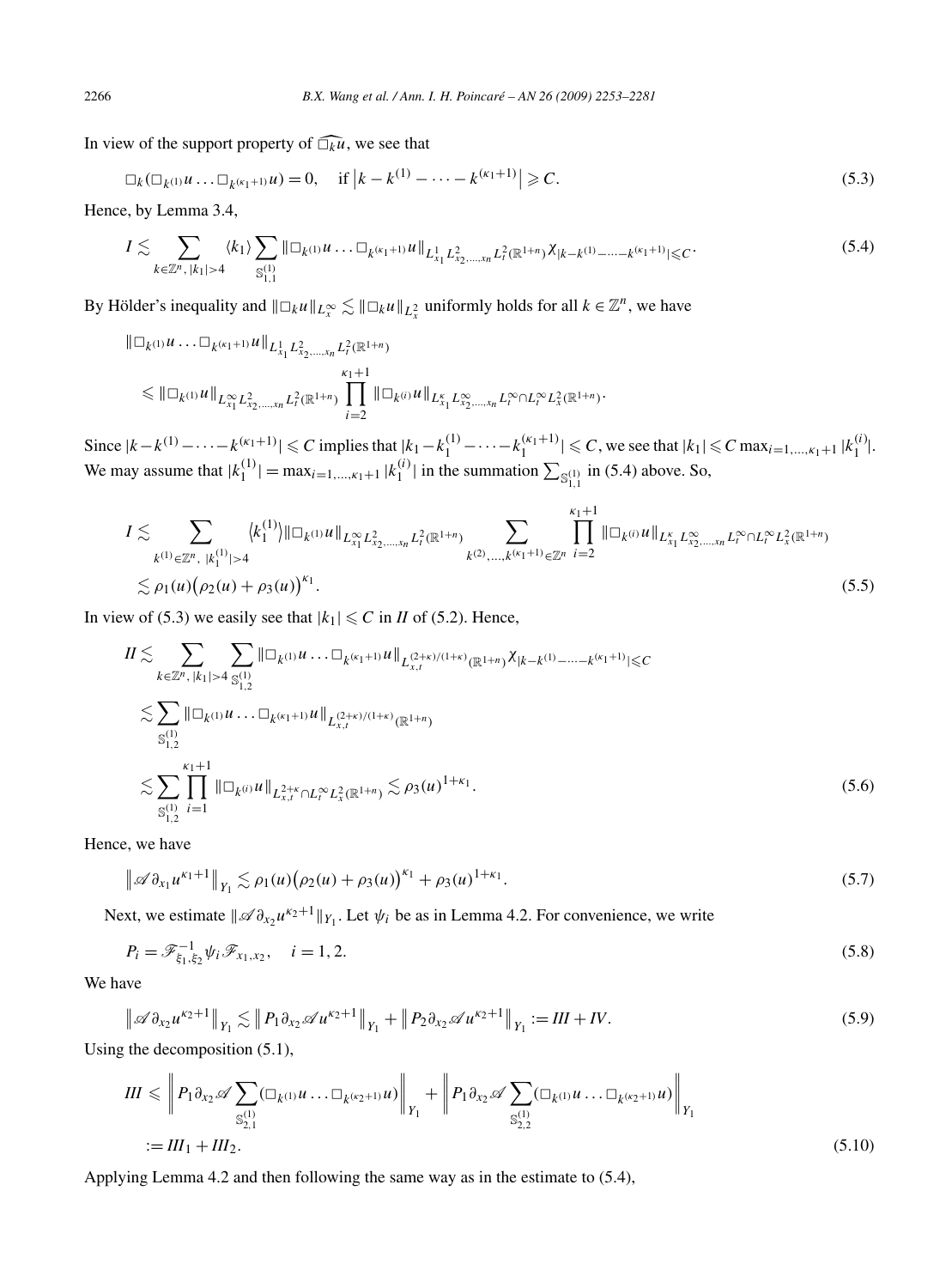In view of the support property of  $\widehat{\Box_k u}$ , we see that

$$
\Box_k(\Box_{k^{(1)}}u \dots \Box_{k^{(\kappa_1+1)}}u) = 0, \quad \text{if } |k - k^{(1)} - \dots - k^{(\kappa_1+1)}| \geq C. \tag{5.3}
$$

Hence, by Lemma 3.4,

$$
I \lesssim \sum_{k \in \mathbb{Z}^n, |k_1| > 4} \langle k_1 \rangle \sum_{\mathbb{S}_{1,1}^{(1)}} \|\Box_{k^{(1)}} u \ldots \Box_{k^{(\kappa_1 + 1)}} u \|_{L_{x_1}^1 L_{x_2, \ldots, x_n}^2 L_t^2(\mathbb{R}^{1+n})} \chi_{|k - k^{(1)} - \cdots - k^{(\kappa_1 + 1)}| \leq C}.
$$
\n
$$
(5.4)
$$

By Hölder's inequality and  $||\Box_k u||_{L_x^{\infty}} \lesssim ||\Box_k u||_{L_x^2}$  uniformly holds for all  $k \in \mathbb{Z}^n$ , we have

$$
\| \Box_{k^{(1)}} u \dots \Box_{k^{(\kappa_1+1)}} u \|_{L_{x_1}^1 L_{x_2,\dots,x_n}^2 L_t^2(\mathbb{R}^{1+n})} \leq \| \Box_{k^{(1)}} u \|_{L_{x_1}^{\infty} L_{x_2,\dots,x_n}^2 L_t^2(\mathbb{R}^{1+n})} \prod_{i=2}^{\kappa_1+1} \| \Box_{k^{(i)}} u \|_{L_{x_1}^{\kappa} L_{x_2,\dots,x_n}^{\infty} L_t^{\infty} \cap L_t^{\infty} L_x^2(\mathbb{R}^{1+n})}.
$$

Since  $|k - k^{(1)} - \cdots - k^{(\kappa_1 + 1)}| \le C$  implies that  $|k_1 - k_1^{(1)} - \cdots - k_1^{(\kappa_1 + 1)}| \le C$ , we see that  $|k_1| \le C$  max<sub>i=1,..., $\kappa_1 + 1 |k_1^{(i)}|$ .</sub> We may assume that  $|k_1^{(1)}| = \max_{i=1,\dots,\kappa_1+1} |k_1^{(i)}|$  in the summation  $\sum_{S_{1,1}^{(1)}}$  in (5.4) above. So,

$$
I \lesssim \sum_{k^{(1)} \in \mathbb{Z}^n, |k_1^{(1)}| > 4} \langle k_1^{(1)} \rangle \| \Box_k u \|_{L_{x_1}^{\infty} L_{x_2, \dots, x_n}^2 L_r^2(\mathbb{R}^{1+n})} \sum_{k^{(2)}, \dots, k^{(\kappa_1+1)} \in \mathbb{Z}^n} \prod_{i=2}^{\kappa_1+1} \| \Box_k u \|_{L_{x_1}^{\kappa} L_{x_2, \dots, x_n}^{\infty} L_r^{\infty} \cap L_r^{\infty} L_x^2(\mathbb{R}^{1+n})} \lesssim \rho_1(u) \big( \rho_2(u) + \rho_3(u) \big)^{\kappa_1} .
$$
\n(5.5)

In view of (5.3) we easily see that  $|k_1| \leq C$  in *II* of (5.2). Hence,

$$
II \lesssim \sum_{k \in \mathbb{Z}^n, |k_1| > 4} \sum_{S_{1,2}^{(1)}} \|\Box_{k^{(1)}} u \dots \Box_{k^{(\kappa_1+1)}} u \|_{L_{x,t}^{(2+\kappa)/(1+\kappa)}(\mathbb{R}^{1+n})} \chi_{|k-k^{(1)}-\dots-k^{(\kappa_1+1)}| \leq C}
$$
  

$$
\lesssim \sum_{S_{1,2}^{(1)}} \|\Box_{k^{(1)}} u \dots \Box_{k^{(\kappa_1+1)}} u \|_{L_{x,t}^{(2+\kappa)/(1+\kappa)}(\mathbb{R}^{1+n})}
$$
  

$$
\lesssim \sum_{S_{1,2}^{(1)}} \prod_{j=1}^{\kappa_1+1} \|\Box_{k^{(j)}} u \|_{L_{x,t}^{2+\kappa} \cap L_{t}^{\infty} L_{x}^{2}(\mathbb{R}^{1+n})} \lesssim \rho_3(u)^{1+\kappa_1}.
$$
 (5.6)

Hence, we have

$$
\left\|\mathscr{A}\partial_{x_1}u^{\kappa_1+1}\right\|_{Y_1}\lesssim \rho_1(u)\big(\rho_2(u)+\rho_3(u)\big)^{\kappa_1}+\rho_3(u)^{1+\kappa_1}.\tag{5.7}
$$

Next, we estimate  $\|\mathscr{A} \partial_{x_2} u^{\kappa_2+1}\|_{Y_1}$ . Let  $\psi_i$  be as in Lemma 4.2. For convenience, we write

$$
P_i = \mathcal{F}_{\xi_1, \xi_2}^{-1} \psi_i \mathcal{F}_{x_1, x_2}, \quad i = 1, 2. \tag{5.8}
$$

We have

$$
\|\mathscr{A}\partial_{x_2}u^{\kappa_2+1}\|_{Y_1} \lesssim \|P_1\partial_{x_2}\mathscr{A}u^{\kappa_2+1}\|_{Y_1} + \|P_2\partial_{x_2}\mathscr{A}u^{\kappa_2+1}\|_{Y_1} := III + IV. \tag{5.9}
$$

Using the decomposition (5.1),

$$
III \leqslant \left\| P_1 \partial_{x_2} \mathscr{A} \sum_{\substack{S^{(1)}_{2,1} \\ \vdots \\ S^{(1)}_{2,1}}} (\Box_{k^{(1)}} u \dots \Box_{k^{(k_2+1)}} u) \right\|_{Y_1} + \left\| P_1 \partial_{x_2} \mathscr{A} \sum_{\substack{S^{(1)}_{2,2} \\ \vdots \\ S^{(1)}_{2,2}}} (\Box_{k^{(1)}} u \dots \Box_{k^{(k_2+1)}} u) \right\|_{Y_1}
$$
\n
$$
:= III_1 + III_2. \tag{5.10}
$$

Applying Lemma 4.2 and then following the same way as in the estimate to (5.4),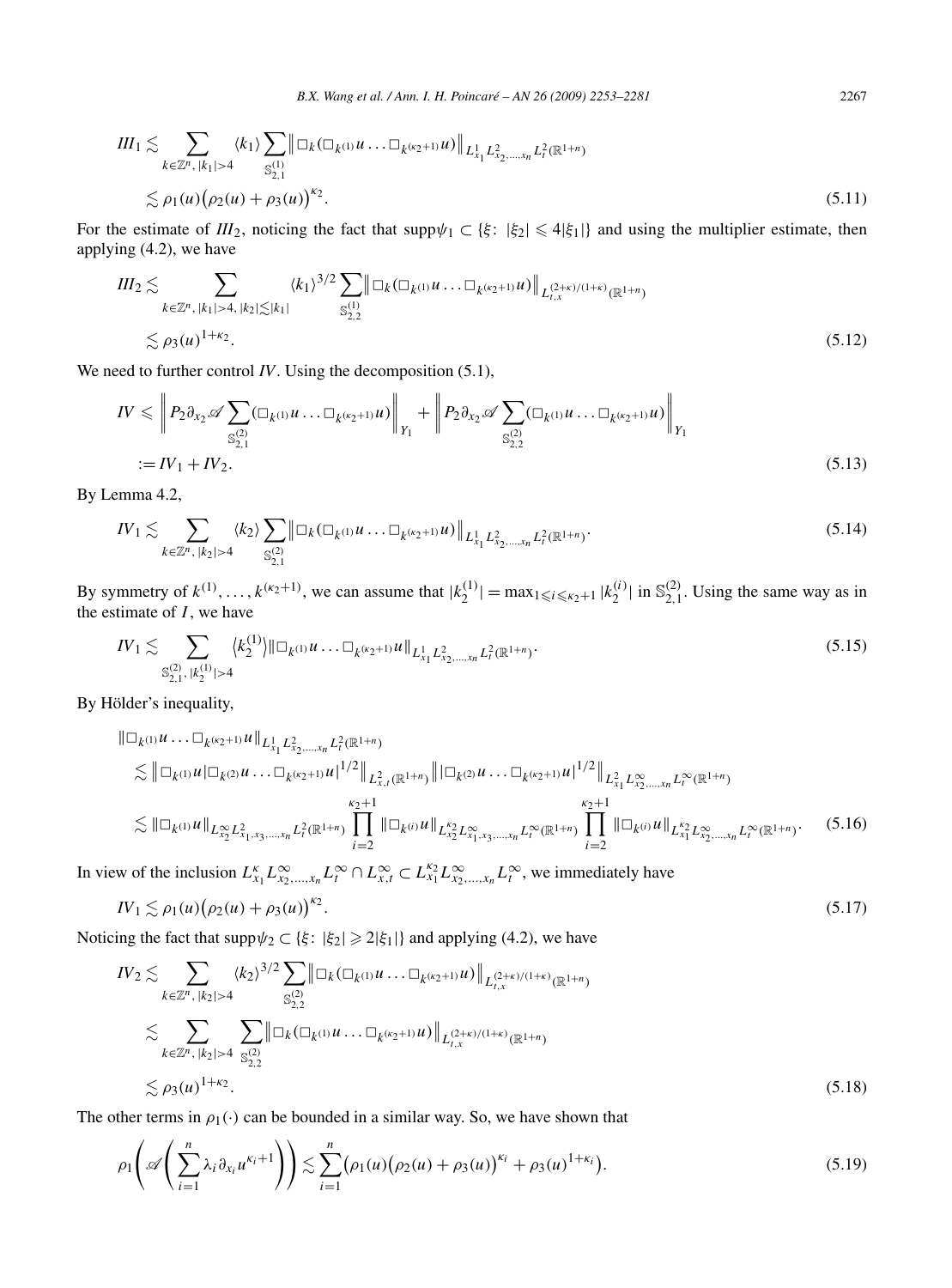$$
III_{1} \lesssim \sum_{k \in \mathbb{Z}^{n}, |k_{1}| > 4} \langle k_{1} \rangle \sum_{\mathbb{S}_{2,1}^{(1)}} \|\Box_{k}(\Box_{k^{(1)}} u \dots \Box_{k^{(k_{2}+1)}} u) \|_{L^{1}_{x_{1}} L^{2}_{x_{2},...,x_{n}} L^{2}_{t}(\mathbb{R}^{1+n})}
$$
  

$$
\lesssim \rho_{1}(u) (\rho_{2}(u) + \rho_{3}(u))^{k_{2}}.
$$
 (5.11)

For the estimate of  $III_2$ , noticing the fact that supp $\psi_1 \subset \{\xi: |\xi_2| \leq 4|\xi_1|\}$  and using the multiplier estimate, then applying (4.2), we have

$$
III_2 \lesssim \sum_{k \in \mathbb{Z}^n, |k_1| > 4, |k_2| \lesssim |k_1|} \langle k_1 \rangle^{3/2} \sum_{\mathbb{S}_{2,2}^{(1)}} \|\Box_k (\Box_{k^{(1)}} u \dots \Box_{k^{(k_2+1)}} u) \|_{L_{t,x}^{(2+\kappa)/(1+\kappa)}(\mathbb{R}^{1+n})} \lesssim \rho_3(u)^{1+\kappa_2}.
$$
\n(5.12)

We need to further control *IV*. Using the decomposition (5.1),

$$
IV \leqslant \left\| P_2 \partial_{x_2} \mathscr{A} \sum_{\mathbb{S}_{2,1}^{(2)}} (\Box_{k^{(1)}} u \dots \Box_{k^{(k_2+1)}} u) \right\|_{Y_1} + \left\| P_2 \partial_{x_2} \mathscr{A} \sum_{\mathbb{S}_{2,2}^{(2)}} (\Box_{k^{(1)}} u \dots \Box_{k^{(k_2+1)}} u) \right\|_{Y_1}
$$
  
:= IV<sub>1</sub> + IV<sub>2</sub>. (5.13)

By Lemma 4.2,

$$
IV_{1} \lesssim \sum_{k \in \mathbb{Z}^{n}, |k_{2}| > 4} \langle k_{2} \rangle \sum_{\mathbb{S}_{2,1}^{(2)}} \|\Box_{k} (\Box_{k^{(1)}} u \dots \Box_{k^{(k_{2}+1)}} u) \|_{L^{1}_{x_{1}} L^{2}_{x_{2},...,x_{n}} L^{2}_{t}(\mathbb{R}^{1+n})}.
$$
\n(5.14)

By symmetry of  $k^{(1)}, \ldots, k^{(k_2+1)}$ , we can assume that  $|k_2^{(1)}| = \max_{1 \le i \le k_2+1} |k_2^{(i)}|$  in  $\mathbb{S}_{2,1}^{(2)}$ . Using the same way as in the estimate of  $I$ , we have

$$
IV_{1} \lesssim \sum_{\mathbb{S}_{2,1}^{(2)}, |k_{2}^{(1)}| > 4} \langle k_{2}^{(1)} \rangle ||\Box_{k^{(1)}} u \dots \Box_{k^{(k_{2}+1)}} u ||_{L_{x_{1}}^{1} L_{x_{2},...,x_{n}}^{2} L_{t}^{2}(\mathbb{R}^{1+n})}.
$$
\n(5.15)

By Hölder's inequality,

$$
\|\Box_{k^{(1)}} u \dots \Box_{k^{(k_{2}+1)}} u \|_{L^{1}_{x_{1}} L^{2}_{x_{2},...,x_{n}} L^{2}_{t}(\mathbb{R}^{1+n})}
$$
\n
$$
\lesssim \|\Box_{k^{(1)}} u \|_{L^{2}_{x_{2}} L^{2}_{x_{1},x_{3},...,x_{n}} L^{2}_{t}(\mathbb{R}^{1+n})} \|^{1/2} \|_{L^{2}_{x_{1}} L^{2}_{x_{2}} L^{2}_{x_{1},x_{3},...,x_{n}} L^{2}_{t}(\mathbb{R}^{1+n})} \|_{L^{2}_{x_{2}} L^{2}_{x_{1},x_{3},...,x_{n}} L^{2}_{t}(\mathbb{R}^{1+n})} \|_{L^{2}_{x_{2}} L^{2}_{x_{1},x_{3},...,x_{n}} L^{2}_{t}(\mathbb{R}^{1+n})} \prod_{i=2}^{k_{2}+1} \| \Box_{k^{(i)}} u \|_{L^{k_{2}}_{x_{2}} L^{2}_{x_{1},x_{3},...,x_{n}} L^{2}_{t}(\mathbb{R}^{1+n})} \prod_{i=2}^{k_{2}+1} \|\Box_{k^{(i)}} u \|_{L^{k_{2}}_{x_{1}} L^{2}_{x_{2},...,x_{n}} L^{2}_{t}(\mathbb{R}^{1+n})}.
$$
\n(5.16)

In view of the inclusion  $L_{x_1}^k L_{x_2,...,x_n}^{\infty} L_t^{\infty} \cap L_{x,t}^{\infty} \subset L_{x_1}^{k_2} L_{x_2,...,x_n}^{\infty} L_t^{\infty}$ , we immediately have

$$
IV_1 \lesssim \rho_1(u) \big( \rho_2(u) + \rho_3(u) \big)^{k_2} . \tag{5.17}
$$

Noticing the fact that  $\text{supp}\psi_2 \subset {\{\xi: |\xi_2| \geq 2|\xi_1|\}}$  and applying (4.2), we have

$$
IV_{2} \lesssim \sum_{k \in \mathbb{Z}^{n}, |k_{2}| > 4} \langle k_{2} \rangle^{3/2} \sum_{\mathbb{S}_{2,2}^{(2)}} \|\Box_{k}(\Box_{k^{(1)}} u \dots \Box_{k^{(k_{2}+1)}} u) \|_{L_{t,x}^{(2+\kappa)/(1+\kappa)}(\mathbb{R}^{1+n})} \lesssim \sum_{k \in \mathbb{Z}^{n}, |k_{2}| > 4} \sum_{\mathbb{S}_{2,2}^{(2)}} \|\Box_{k}(\Box_{k^{(1)}} u \dots \Box_{k^{(k_{2}+1)}} u) \|_{L_{t,x}^{(2+\kappa)/(1+\kappa)}(\mathbb{R}^{1+n})} \lesssim \rho_{3}(u)^{1+\kappa_{2}}.
$$
\n(5.18)

The other terms in  $\rho_1(\cdot)$  can be bounded in a similar way. So, we have shown that

$$
\rho_1\left(\mathscr{A}\left(\sum_{i=1}^n \lambda_i \partial_{x_i} u^{\kappa_i+1}\right)\right) \lesssim \sum_{i=1}^n (\rho_1(u) (\rho_2(u) + \rho_3(u))^{\kappa_i} + \rho_3(u)^{1+\kappa_i}).\tag{5.19}
$$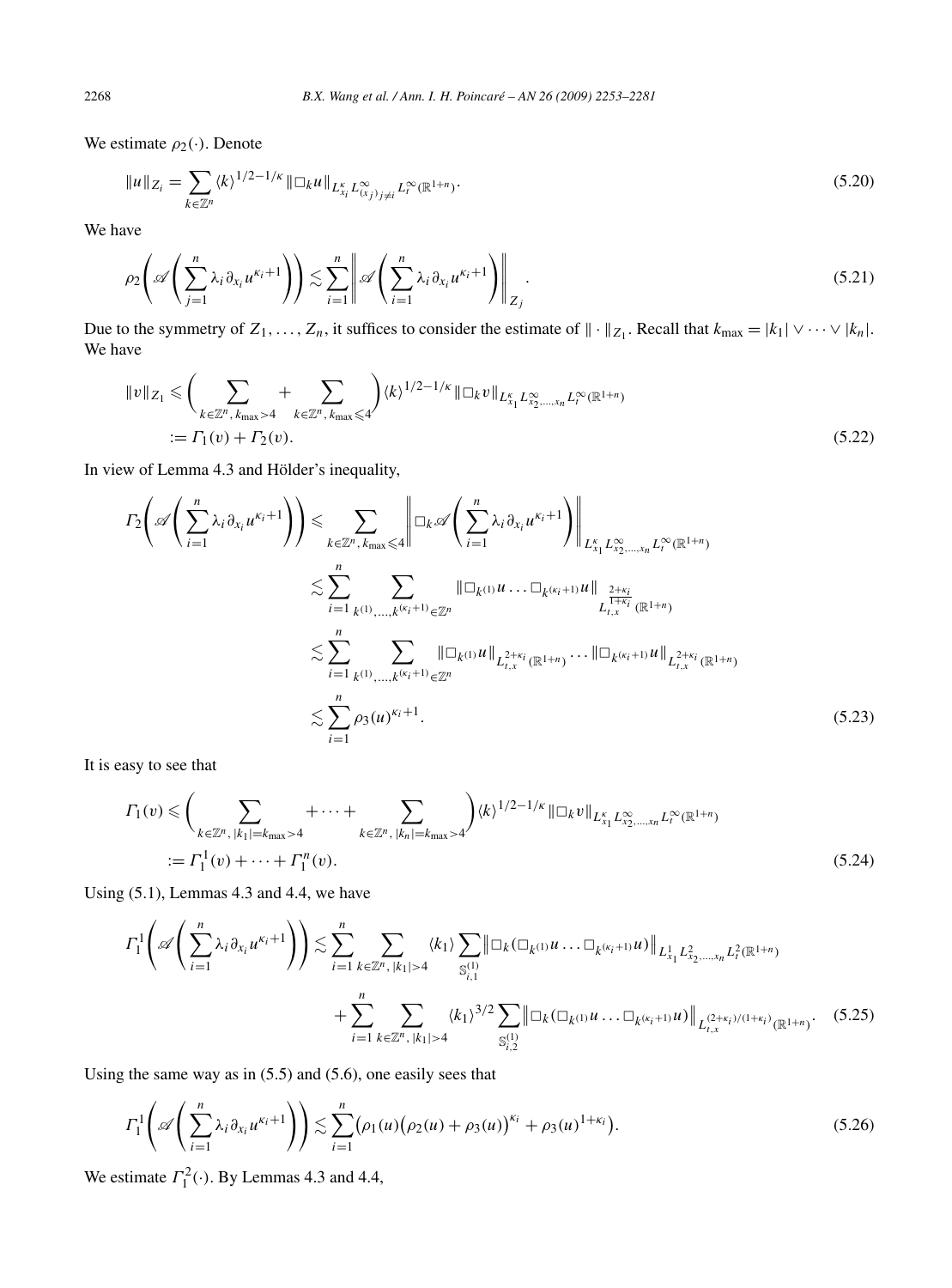We estimate  $\rho_2(\cdot)$ . Denote

$$
||u||_{Z_i} = \sum_{k \in \mathbb{Z}^n} \langle k \rangle^{1/2 - 1/\kappa} ||\Box_k u||_{L_{X_i}^{\kappa} L_{(X_j)_{j \neq i}}^{\infty} L_i^{\infty}(\mathbb{R}^{1+n})}.
$$
\n(5.20)

We have

$$
\rho_2\left(\mathscr{A}\left(\sum_{j=1}^n \lambda_i \partial_{x_i} u^{\kappa_i+1}\right)\right) \lesssim \sum_{i=1}^n \left\|\mathscr{A}\left(\sum_{i=1}^n \lambda_i \partial_{x_i} u^{\kappa_i+1}\right)\right\|_{Z_j}.
$$
\n(5.21)

Due to the symmetry of  $Z_1, \ldots, Z_n$ , it suffices to consider the estimate of  $\| \cdot \|_{Z_1}$ . Recall that  $k_{\text{max}} = |k_1| \vee \cdots \vee |k_n|$ . We have

$$
||v||_{Z_1} \leq \left(\sum_{k \in \mathbb{Z}^n, k_{\max} > 4} + \sum_{k \in \mathbb{Z}^n, k_{\max} \leq 4} \right) \langle k \rangle^{1/2 - 1/\kappa} ||\Box_k v||_{L_{X_1}^{\kappa} L_{X_2, \dots, X_n}^{\infty} L_l^{\infty}(\mathbb{R}^{1+n})
$$
  
:=  $\Gamma_1(v) + \Gamma_2(v).$  (5.22)

In view of Lemma 4.3 and Hölder's inequality,

$$
I_{2}\left(\mathscr{A}\left(\sum_{i=1}^{n}\lambda_{i}\partial_{x_{i}}u^{\kappa_{i}+1}\right)\right) \leq \sum_{k \in \mathbb{Z}^{n}, k_{\max} \leq 4} \left\|\Box_{k}\mathscr{A}\left(\sum_{i=1}^{n}\lambda_{i}\partial_{x_{i}}u^{\kappa_{i}+1}\right)\right\|_{L_{x_{1}}^{K}L_{x_{2},...,x_{n}}^{x_{2}}L_{t}^{\infty}(\mathbb{R}^{1+n})}
$$
  

$$
\lesssim \sum_{i=1}^{n}\sum_{k^{(1)},...,k^{(\kappa_{i}+1)} \in \mathbb{Z}^{n}} \left\|\Box_{k^{(1)}}u...\Box_{k^{(\kappa_{i}+1)}}u\right\|_{L_{t,x}^{\frac{1+\kappa_{i}}{1+\kappa_{i}}}(\mathbb{R}^{1+n})}
$$
  

$$
\lesssim \sum_{i=1}^{n}\sum_{k^{(1)},...,k^{(\kappa_{i}+1)} \in \mathbb{Z}^{n}} \left\|\Box_{k^{(1)}}u\right\|_{L_{t,x}^{2+\kappa_{i}}(\mathbb{R}^{1+n})} \cdots \left\|\Box_{k^{(\kappa_{i}+1)}}u\right\|_{L_{t,x}^{2+\kappa_{i}}(\mathbb{R}^{1+n})}
$$
  

$$
\lesssim \sum_{i=1}^{n}\rho_{3}(u)^{\kappa_{i}+1}.
$$
 (5.23)

It is easy to see that

$$
\Gamma_1(v) \leq \left(\sum_{k \in \mathbb{Z}^n, |k_1| = k_{\max} > 4} + \cdots + \sum_{k \in \mathbb{Z}^n, |k_n| = k_{\max} > 4}\right) \langle k \rangle^{1/2 - 1/\kappa} \|\Box_k v\|_{L_{x_1}^{\kappa} L_{x_2, \dots, x_n}^{\infty} L_{t}^{\infty}(\mathbb{R}^{1+n})}
$$
\n
$$
:= \Gamma_1^1(v) + \cdots + \Gamma_1^n(v). \tag{5.24}
$$

Using (5.1), Lemmas 4.3 and 4.4, we have

$$
\Gamma_{1}^{1}\left(\mathscr{A}\left(\sum_{i=1}^{n}\lambda_{i}\partial_{x_{i}}u^{\kappa_{i}+1}\right)\right) \lesssim \sum_{i=1}^{n}\sum_{k\in\mathbb{Z}^{n},|k_{1}|>4}\langle k_{1}\rangle\sum_{\mathbb{S}_{i,1}^{(1)}}\|\Box_{k}(\Box_{k^{(1)}}u\ldots\Box_{k^{(\kappa_{i}+1)}}u)\|_{L^{1}_{x_{1}}L^{2}_{x_{2},\ldots,x_{n}}L^{2}_{t}(\mathbb{R}^{1+n})}+\sum_{i=1}^{n}\sum_{k\in\mathbb{Z}^{n},|k_{1}|>4}\langle k_{1}\rangle^{3/2}\sum_{\mathbb{S}_{i,2}^{(1)}}\|\Box_{k}(\Box_{k^{(1)}}u\ldots\Box_{k^{(\kappa_{i}+1)}}u)\|_{L^{(2+\kappa_{i})/(1+\kappa_{i})}_{t,x}(\mathbb{R}^{1+n})}.
$$
(5.25)

Using the same way as in (5.5) and (5.6), one easily sees that

$$
\Gamma_1^1\left(\mathscr{A}\left(\sum_{i=1}^n \lambda_i \partial_{x_i} u^{\kappa_i+1}\right)\right) \lesssim \sum_{i=1}^n (\rho_1(u) (\rho_2(u) + \rho_3(u))^{\kappa_i} + \rho_3(u)^{1+\kappa_i}).\tag{5.26}
$$

We estimate  $\Gamma_1^2(\cdot)$ . By Lemmas 4.3 and 4.4,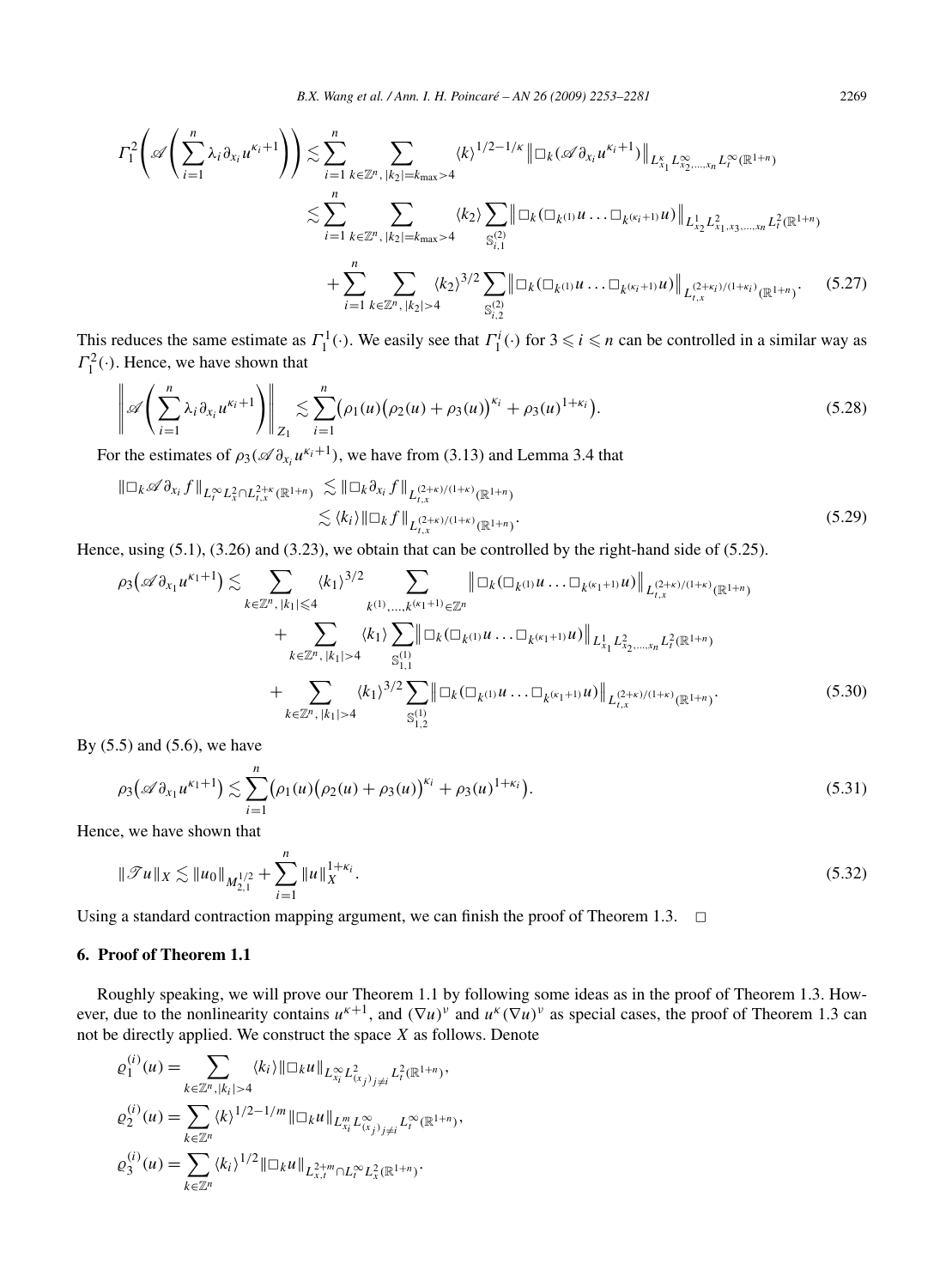*B.X. Wang et al. / Ann. I. H. Poincaré – AN 26 (2009) 2253–2281* 2269

$$
\Gamma_{1}^{2}\left(\mathscr{A}\left(\sum_{i=1}^{n}\lambda_{i}\partial_{x_{i}}u^{\kappa_{i}+1}\right)\right) \lesssim \sum_{i=1}^{n}\sum_{k\in\mathbb{Z}^{n},|k_{2}|=k_{\max}>4} \langle k\rangle^{1/2-1/\kappa} \|\Box_{k}(\mathscr{A}\partial_{x_{i}}u^{\kappa_{i}+1})\|_{L_{x_{1}}^{K}L_{x_{2},...,x_{n}}^{\infty}L_{t}^{\infty}(\mathbb{R}^{1+n})} \lesssim \sum_{i=1}^{n}\sum_{k\in\mathbb{Z}^{n},|k_{2}|=k_{\max}>4} \langle k_{2}\rangle \sum_{S_{i,1}^{(2)}} \|\Box_{k}(\Box_{k^{(1)}}u...\Box_{k^{(\kappa_{i}+1)}}u)\|_{L_{x_{2}}^{1}L_{x_{1},x_{3},...,x_{n}}^{2}L_{t}^{2}(\mathbb{R}^{1+n})} + \sum_{i=1}^{n}\sum_{k\in\mathbb{Z}^{n},|k_{2}|>4} \langle k_{2}\rangle^{3/2} \sum_{S_{i,2}^{(2)}} \|\Box_{k}(\Box_{k^{(1)}}u...\Box_{k^{(\kappa_{i}+1)}}u)\|_{L_{t,x}^{(2+\kappa_{i})/(1+\kappa_{i})}(\mathbb{R}^{1+n})}.
$$
(5.27)

This reduces the same estimate as  $\Gamma_1^1(\cdot)$ . We easily see that  $\Gamma_1^i(\cdot)$  for  $3 \leq i \leq n$  can be controlled in a similar way as  $\Gamma_1^2(\cdot)$ . Hence, we have shown that

$$
\left\|\mathscr{A}\left(\sum_{i=1}^n \lambda_i \partial_{x_i} u^{\kappa_i+1}\right)\right\|_{Z_1} \lesssim \sum_{i=1}^n (\rho_1(u) (\rho_2(u) + \rho_3(u))^{\kappa_i} + \rho_3(u)^{1+\kappa_i}). \tag{5.28}
$$

For the estimates of  $\rho_3(\mathscr{A} \partial_{x_i} u^{\kappa_i+1})$ , we have from (3.13) and Lemma 3.4 that

$$
\|\Box_k \mathscr{A} \partial_{x_i} f\|_{L_t^\infty L_x^2 \cap L_{t,x}^{2+\kappa}(\mathbb{R}^{1+n})} \lesssim \|\Box_k \partial_{x_i} f\|_{L_{t,x}^{(2+\kappa)/(1+\kappa)}(\mathbb{R}^{1+n})} \lesssim \langle k_i \rangle \|\Box_k f\|_{L_{t,x}^{(2+\kappa)/(1+\kappa)}(\mathbb{R}^{1+n})}.
$$
\n(5.29)

Hence, using (5.1), (3.26) and (3.23), we obtain that can be controlled by the right-hand side of (5.25).

$$
\rho_3(\mathscr{A}\partial_{x_1}u^{\kappa_1+1}) \lesssim \sum_{k \in \mathbb{Z}^n, |k_1| \leq 4} \langle k_1 \rangle^{3/2} \sum_{k^{(1)}, \dots, k^{(\kappa_1+1)}} \|\Box_k(\Box_{k^{(1)}}u \dots \Box_{k^{(\kappa_1+1)}}u)\|_{L_{t,x}^{(2+\kappa)/(1+\kappa)}(\mathbb{R}^{1+n})} + \sum_{k \in \mathbb{Z}^n, |k_1| > 4} \langle k_1 \rangle \sum_{S_{1,1}^{(1)}} \|\Box_k(\Box_{k^{(1)}}u \dots \Box_{k^{(\kappa_1+1)}}u)\|_{L_{x_1}^1 L_{x_2,\dots,x_n}^2 L_t^2(\mathbb{R}^{1+n})} + \sum_{k \in \mathbb{Z}^n, |k_1| > 4} \langle k_1 \rangle^{3/2} \sum_{S_{1,2}^{(1)}} \|\Box_k(\Box_{k^{(1)}}u \dots \Box_{k^{(\kappa_1+1)}}u)\|_{L_{t,x}^{(2+\kappa)/(1+\kappa)}(\mathbb{R}^{1+n})}.
$$
\n(5.30)

By (5.5) and (5.6), we have

$$
\rho_3(\mathscr{A}\partial_{x_1}u^{\kappa_1+1}) \lesssim \sum_{i=1}^n (\rho_1(u)(\rho_2(u)+\rho_3(u))^{\kappa_i} + \rho_3(u)^{1+\kappa_i}). \tag{5.31}
$$

Hence, we have shown that

$$
\|\mathcal{T}u\|_{X} \lesssim \|u_0\|_{M_{2,1}^{1/2}} + \sum_{i=1}^{n} \|u\|_{X}^{1+\kappa_i}.
$$
\n(5.32)

Using a standard contraction mapping argument, we can finish the proof of Theorem 1.3.  $\Box$ 

# **6. Proof of Theorem 1.1**

Roughly speaking, we will prove our Theorem 1.1 by following some ideas as in the proof of Theorem 1.3. However, due to the nonlinearity contains  $u^{k+1}$ , and  $(\nabla u)^{\nu}$  and  $u^{k}(\nabla u)^{\nu}$  as special cases, the proof of Theorem 1.3 can not be directly applied. We construct the space *X* as follows. Denote

$$
\varrho_1^{(i)}(u) = \sum_{k \in \mathbb{Z}^n, |k_i| > 4} \langle k_i \rangle ||\Box_k u||_{L_{x_i}^{\infty} L_{(x_j)_{j \neq i}}^2 L_i^2(\mathbb{R}^{1+n})},
$$
  
\n
$$
\varrho_2^{(i)}(u) = \sum_{k \in \mathbb{Z}^n} \langle k \rangle^{1/2 - 1/m} ||\Box_k u||_{L_{x_i}^m L_{(x_j)_{j \neq i}}^{\infty} L_i^{\infty}(\mathbb{R}^{1+n})},
$$
  
\n
$$
\varrho_3^{(i)}(u) = \sum_{k \in \mathbb{Z}^n} \langle k_i \rangle^{1/2} ||\Box_k u||_{L_{x,i}^{2+m} \cap L_t^{\infty} L_x^2(\mathbb{R}^{1+n})}.
$$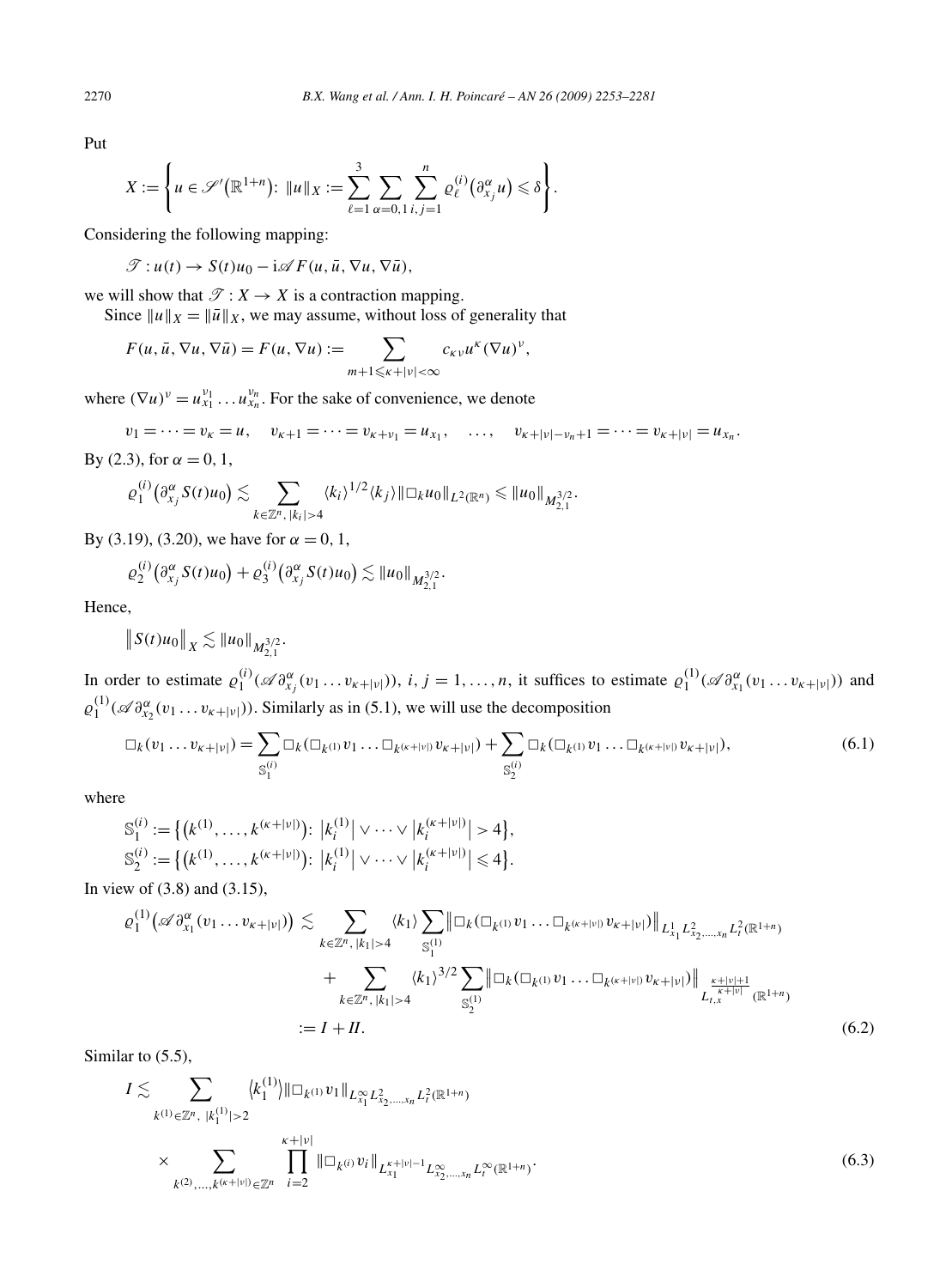Put

$$
X:=\left\{u\in\mathscr{S}'(\mathbb{R}^{1+n})\colon \|u\|_X:=\sum_{\ell=1}^3\sum_{\alpha=0,1}\sum_{i,j=1}^n\varrho_\ell^{(i)}(\partial_{x_j}^\alpha u)\leq \delta\right\}.
$$

Considering the following mapping:

$$
\mathcal{T}: u(t) \to S(t)u_0 - \mathrm{i}\mathscr{A}F(u, \bar{u}, \nabla u, \nabla \bar{u}),
$$

we will show that  $\mathcal{T} : X \to X$  is a contraction mapping.

Since  $||u||_X = ||\overline{u}||_X$ , we may assume, without loss of generality that

$$
F(u, \bar{u}, \nabla u, \nabla \bar{u}) = F(u, \nabla u) := \sum_{m+1 \leq \kappa + |\nu| < \infty} c_{\kappa \nu} u^{\kappa} (\nabla u)^{\nu},
$$

where  $(\nabla u)^v = u_{x_1}^{v_1} \dots u_{x_n}^{v_n}$ . For the sake of convenience, we denote

 $v_1 = \cdots = v_k = u$ ,  $v_{k+1} = \cdots = v_{k+v_1} = u_{x_1}$ ,  $\ldots$ ,  $v_{k+|v|-v_n+1} = \cdots = v_{k+|v|} = u_{x_n}$ . By (2.3), for  $\alpha = 0, 1$ ,

$$
\varrho_1^{(i)}(\partial_{x_j}^{\alpha} S(t)u_0)\lesssim \sum_{k\in\mathbb{Z}^n,\,|k_i|>4}\langle k_i\rangle^{1/2}\langle k_j\rangle\|\Box_k u_0\|_{L^2(\mathbb{R}^n)}\leq \|u_0\|_{M_{2,1}^{3/2}}.
$$

By (3.19), (3.20), we have for  $\alpha = 0, 1$ ,

$$
\varrho_2^{(i)}(\partial_{x_j}^{\alpha} S(t)u_0) + \varrho_3^{(i)}(\partial_{x_j}^{\alpha} S(t)u_0) \lesssim \|u_0\|_{M_{2,1}^{3/2}}.
$$

Hence,

$$
\|S(t)u_0\|_X \lesssim \|u_0\|_{M_{2,1}^{3/2}}.
$$

In order to estimate  $\varrho_1^{(i)}(\mathscr{A} \partial_{x_j}^{\alpha}(v_1 \dots v_{\kappa+|\nu|}))$ ,  $i, j = 1, \dots, n$ , it suffices to estimate  $\varrho_1^{(1)}(\mathscr{A} \partial_{x_1}^{\alpha}(v_1 \dots v_{\kappa+|\nu|}))$  and  $\varrho_1^{(1)}$  ( $\mathscr{A} \partial_{x_2}^{\alpha}(v_1 \dots v_{\kappa+|\nu|})$ ). Similarly as in (5.1), we will use the decomposition

$$
\Box_k(v_1 \dots v_{k+|\nu|}) = \sum_{S_1^{(i)}} \Box_k(\Box_{k^{(1)}} v_1 \dots \Box_{k^{(k+|\nu|)}} v_{k+|\nu|}) + \sum_{S_2^{(i)}} \Box_k(\Box_{k^{(1)}} v_1 \dots \Box_{k^{(k+|\nu|)}} v_{k+|\nu|}),
$$
(6.1)

where

$$
S_1^{(i)} := \{ (k^{(1)}, \dots, k^{(\kappa+|\nu|)}) : |k_i^{(1)}| \vee \dots \vee |k_i^{(\kappa+|\nu|)}| > 4 \},
$$
  
\n
$$
S_2^{(i)} := \{ (k^{(1)}, \dots, k^{(\kappa+|\nu|)}) : |k_i^{(1)}| \vee \dots \vee |k_i^{(\kappa+|\nu|)}| \leq 4 \}.
$$

In view of (3.8) and (3.15),

$$
\varrho_1^{(1)}\big(\mathscr{A}\partial_{x_1}^{\alpha}(v_1\ldots v_{\kappa+|\nu|})\big) \lesssim \sum_{k \in \mathbb{Z}^n, |k_1| > 4} \langle k_1 \rangle \sum_{\mathbb{S}_1^{(1)}} \|\Box_k(\Box_{k^{(1)}}v_1\ldots\Box_{k^{(\kappa+|\nu|)}}v_{\kappa+|\nu|})\|_{L_{x_1}^1 L_{x_2,\ldots,x_n}^2 L_t^2(\mathbb{R}^{1+n})} + \sum_{k \in \mathbb{Z}^n, |k_1| > 4} \langle k_1 \rangle^{3/2} \sum_{\mathbb{S}_2^{(1)}} \|\Box_k(\Box_{k^{(1)}}v_1\ldots\Box_{k^{(\kappa+|\nu|)}}v_{\kappa+|\nu|})\|_{L_{t,x}^{\frac{\kappa+|\nu|+1}{\kappa+|\nu|}}(\mathbb{R}^{1+n})} + \cdots = I + II. \tag{6.2}
$$

Similar to  $(5.5)$ ,

$$
I \lesssim \sum_{k^{(1)} \in \mathbb{Z}^n, |k_1^{(1)}| > 2} \langle k_1^{(1)} \rangle ||\Box_k(1)} v_1 ||_{L_{x_1}^{\infty} L_{x_2, \dots, x_n}^2 L_t^2(\mathbb{R}^{1+n})}
$$
  
 
$$
\times \sum_{k^{(2)}, \dots, k^{(\kappa+|\nu|)} \in \mathbb{Z}^n} \prod_{i=2}^{\kappa+|\nu|} ||\Box_k(0)} v_i ||_{L_{x_1}^{\kappa+|\nu|-1} L_{x_2, \dots, x_n}^{\infty} L_t^{\infty}(\mathbb{R}^{1+n})}.
$$
  
(6.3)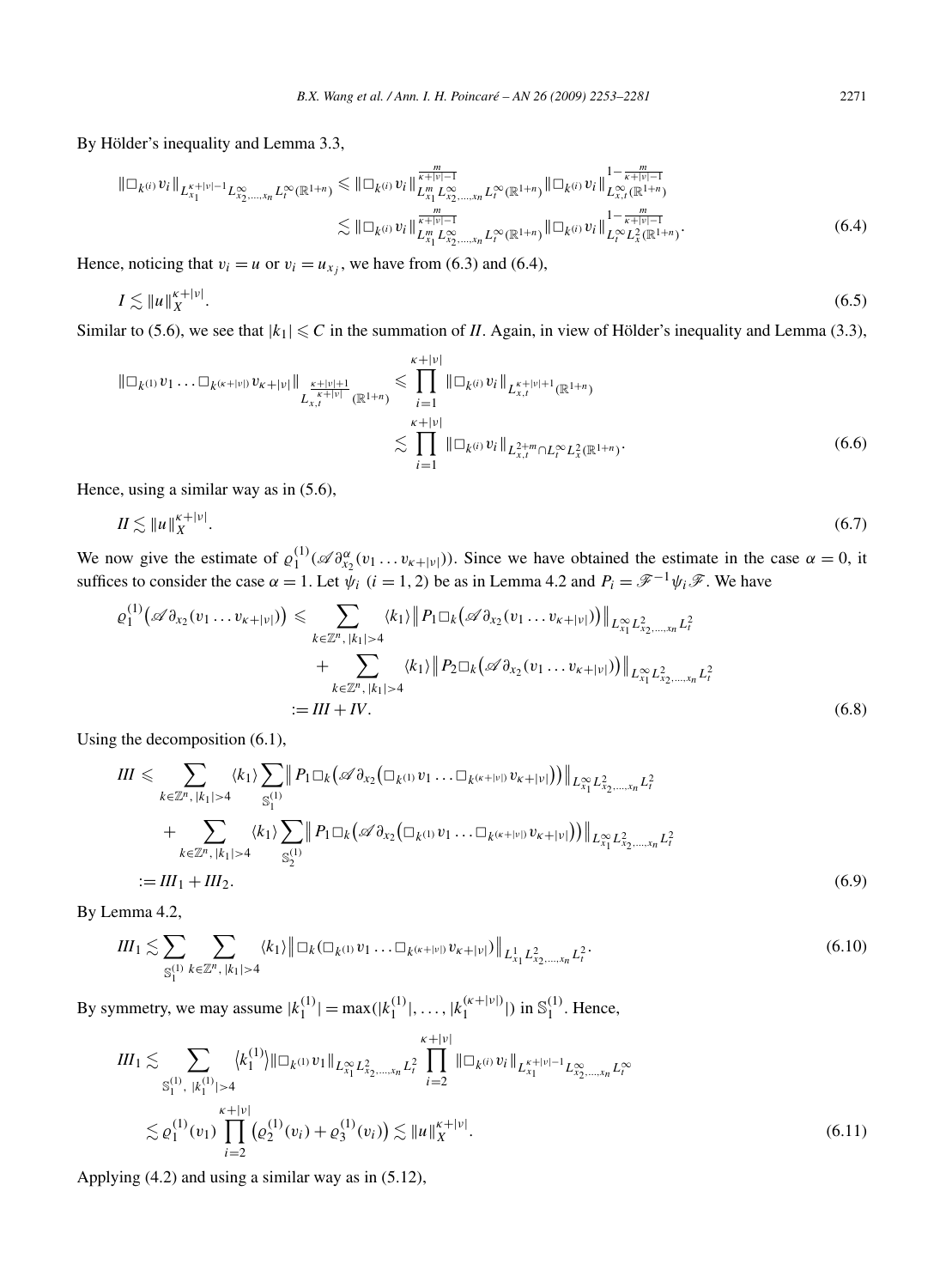By Hölder's inequality and Lemma 3.3,

$$
\|\Box_{k^{(i)}} v_{i}\|_{L_{x_{1}}^{k+|v|-1}L_{x_{2},...,x_{n}}^{\infty}L_{t}^{\infty}(\mathbb{R}^{1+n})} \leq \|\Box_{k^{(i)}} v_{i}\|_{L_{x_{1}}^{m}L_{x_{2},...,x_{n}}^{\infty}L_{t}^{\infty}(\mathbb{R}^{1+n})}^{\frac{m}{k+|v|-1}}\| \Box_{k^{(i)}} v_{i}\|_{L_{x_{1}}^{\infty}(\mathbb{R}^{1+n})}^{1-\frac{m}{k+|v|-1}} \n\lesssim \|\Box_{k^{(i)}} v_{i}\|_{L_{x_{1}}^{\infty}L_{x_{2},...,x_{n}}^{\infty}L_{t}^{\infty}(\mathbb{R}^{1+n})}\|\Box_{k^{(i)}} v_{i}\|_{L_{t}^{\infty}L_{x}^{2}(\mathbb{R}^{1+n})}^{1-\frac{m}{k+|v|-1}}.
$$
\n(6.4)

Hence, noticing that  $v_i = u$  or  $v_i = u_{x_i}$ , we have from (6.3) and (6.4),

$$
I \lesssim \|u\|_X^{\kappa+|\nu|}.\tag{6.5}
$$

Similar to (5.6), we see that  $|k_1| \leq C$  in the summation of *II*. Again, in view of Hölder's inequality and Lemma (3.3),

$$
\|\Box_{k^{(1)}} v_1 \dots \Box_{k^{(k+|\nu|)}} v_{k+|\nu|} \|_{L_{x,t}^{\frac{\kappa+|\nu|+1}{\kappa+|\nu|}}(\mathbb{R}^{1+n})} \leq \prod_{i=1}^{k+|\nu|} \|\Box_{k^{(i)}} v_i \|_{L_{x,t}^{\kappa+|\nu|+1}(\mathbb{R}^{1+n})}
$$
  

$$
\lesssim \prod_{i=1}^{k+|\nu|} \|\Box_{k^{(i)}} v_i \|_{L_{x,t}^{2+m} \cap L_t^{\infty} L_x^2(\mathbb{R}^{1+n})}.
$$
 (6.6)

Hence, using a similar way as in (5.6),

$$
II \lesssim \|u\|_X^{\kappa+|\nu|}.\tag{6.7}
$$

We now give the estimate of  $\varrho_1^{(1)}(\mathscr{A} \partial_{x_2}^{\alpha}(v_1 \dots v_{\kappa+|\nu|}))$ . Since we have obtained the estimate in the case  $\alpha = 0$ , it suffices to consider the case  $\alpha = 1$ . Let  $\psi_i$   $(i = 1, 2)$  be as in Lemma 4.2 and  $P_i = \mathscr{F}^{-1} \psi_i \mathscr{F}$ . We have

$$
\varrho_1^{(1)}\big(\mathscr{A}\partial_{x_2}(v_1\ldots v_{\kappa+|\nu|})\big) \leq \sum_{k\in\mathbb{Z}^n, |k_1|>4} \langle k_1 \rangle \big\| P_1 \Box_k \big(\mathscr{A}\partial_{x_2}(v_1\ldots v_{\kappa+|\nu|})\big) \big\|_{L_{x_1}^{\infty} L_{x_2,\ldots,x_n}^2 L_t^2} + \sum_{k\in\mathbb{Z}^n, |k_1|>4} \langle k_1 \rangle \big\| P_2 \Box_k \big(\mathscr{A}\partial_{x_2}(v_1\ldots v_{\kappa+|\nu|})\big) \big\|_{L_{x_1}^{\infty} L_{x_2,\ldots,x_n}^2 L_t^2}
$$
  
:= *III* + *IV*. (6.8)

Using the decomposition (6.1),

$$
III \leqslant \sum_{k \in \mathbb{Z}^n, |k_1| > 4} \langle k_1 \rangle \sum_{S_1^{(1)}} \| P_1 \Box_k \big( \mathscr{A} \partial_{x_2} \big( \Box_{k^{(1)}} v_1 \dots \Box_{k^{(\kappa+|\nu|)}} v_{\kappa+|\nu|} \big) \big) \Big|_{L_{x_1}^{\infty} L_{x_2, \dots, x_n}^2 L_t^2}
$$
  
+ 
$$
\sum_{k \in \mathbb{Z}^n, |k_1| > 4} \langle k_1 \rangle \sum_{S_2^{(1)}} \| P_1 \Box_k \big( \mathscr{A} \partial_{x_2} \big( \Box_{k^{(1)}} v_1 \dots \Box_{k^{(\kappa+|\nu|)}} v_{\kappa+|\nu|} \big) \big) \Big|_{L_{x_1}^{\infty} L_{x_2, \dots, x_n}^2 L_t^2}
$$
  
:=  $III_1 + III_2$ . (6.9)

By Lemma 4.2,

$$
III_1 \lesssim \sum_{\mathbb{S}_1^{(1)}} \sum_{k \in \mathbb{Z}^n, |k_1| > 4} \langle k_1 \rangle \left\| \Box_k (\Box_{k^{(1)}} v_1 \dots \Box_{k^{(\kappa+|\nu|)}} v_{\kappa+|\nu|}) \right\|_{L^1_{x_1} L^2_{x_2, \dots, x_n} L^2_t}.
$$
\n
$$
(6.10)
$$

By symmetry, we may assume  $|k_1^{(1)}| = \max(|k_1^{(1)}|, \dots, |k_1^{(\kappa+|\nu|)}|)$  in  $\mathbb{S}_1^{(1)}$ . Hence,

$$
III_{1} \lesssim \sum_{\mathbb{S}_{1}^{(1)}, \, |k_{1}^{(1)}| > 4} \langle k_{1}^{(1)} \rangle ||\Box_{k^{(1)}} v_{1}||_{L_{x_{1}}^{\infty} L_{x_{2},...,x_{n}}^{2} L_{t}^{2}} \prod_{i=2}^{\kappa + |v|} ||\Box_{k^{(i)}} v_{i}||_{L_{x_{1}}^{\kappa + |v|-1} L_{x_{2},...,x_{n}}^{\infty} L_{t}^{\infty}
$$
  

$$
\lesssim \varrho_{1}^{(1)}(v_{1}) \prod_{i=2}^{\kappa + |v|} (\varrho_{2}^{(1)}(v_{i}) + \varrho_{3}^{(1)}(v_{i})) \lesssim ||u||_{X}^{\kappa + |v|}.
$$
 (6.11)

Applying (4.2) and using a similar way as in (5.12),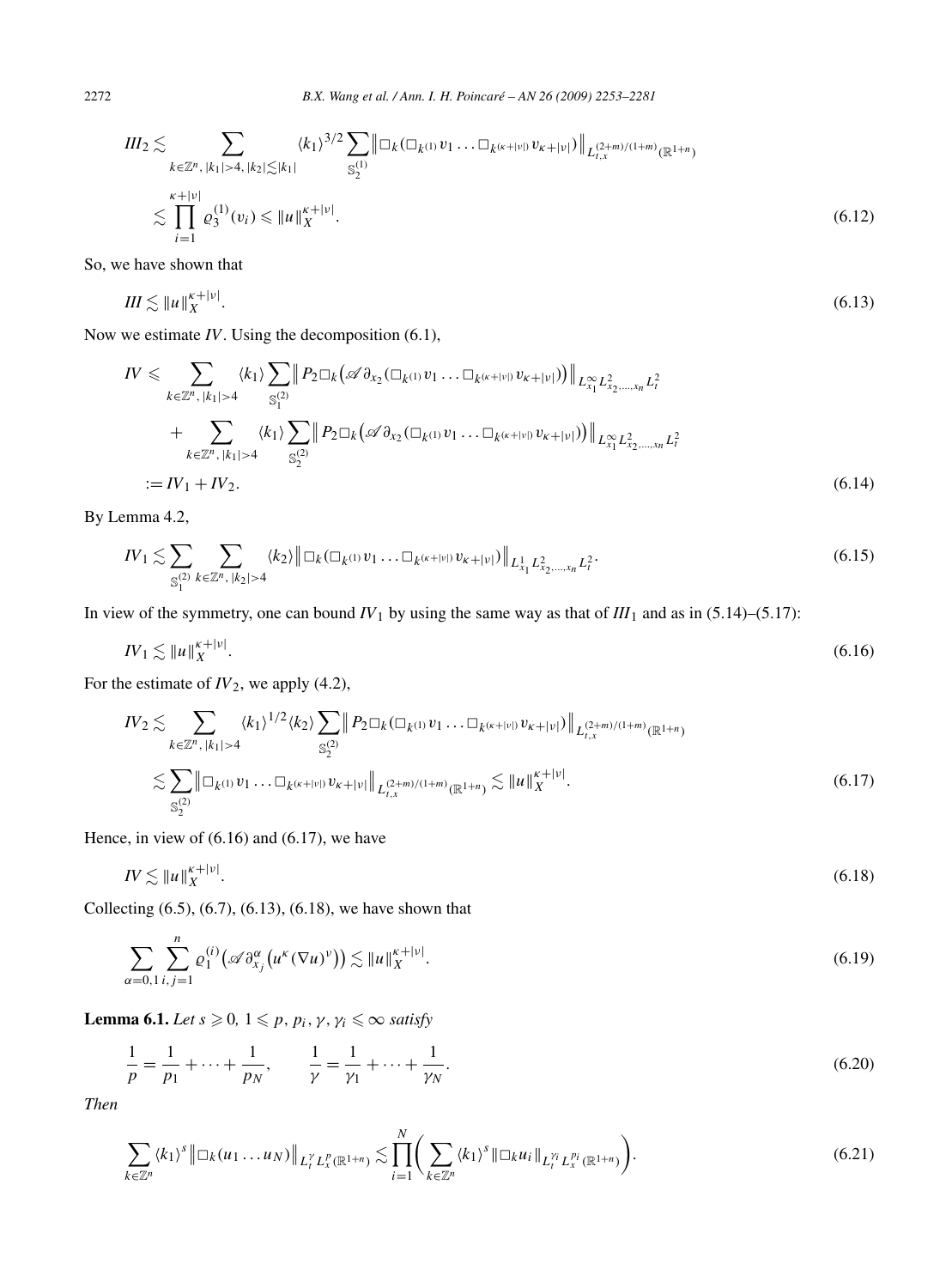$$
III_2 \lesssim \sum_{k \in \mathbb{Z}^n, |k_1| > 4, |k_2| \lesssim |k_1|} \langle k_1 \rangle^{3/2} \sum_{\mathbb{S}_2^{(1)}} \|\Box_k (\Box_{k^{(1)}} v_1 \dots \Box_{k^{(\kappa+|\nu|)}} v_{\kappa+|\nu|})\|_{L_{t,x}^{(2+m)/(1+m)}(\mathbb{R}^{1+n})}
$$
  

$$
\lesssim \prod_{i=1}^{\kappa+|\nu|} \varrho_3^{(1)}(v_i) \leq \|u\|_X^{\kappa+|\nu|}.
$$
 (6.12)

So, we have shown that

$$
III \lesssim ||u||_X^{\kappa + |\nu|}.\tag{6.13}
$$

Now we estimate *IV*. Using the decomposition (6.1),

$$
IV \leqslant \sum_{k \in \mathbb{Z}^n, |k_1| > 4} \langle k_1 \rangle \sum_{S_1^{(2)}} \left\| P_2 \Box_k \left( \mathscr{A} \partial_{x_2} (\Box_k u_1 v_1 \dots \Box_k (\kappa + |v|) v_{k+|v|}) \right) \right\|_{L_{x_1}^{\infty} L_{x_2, \dots, x_n}^2 L_t^2}
$$
  
+ 
$$
\sum_{k \in \mathbb{Z}^n, |k_1| > 4} \langle k_1 \rangle \sum_{S_2^{(2)}} \left\| P_2 \Box_k \left( \mathscr{A} \partial_{x_2} (\Box_k u_1 v_1 \dots \Box_k (\kappa + |v|) v_{k+|v|}) \right) \right\|_{L_{x_1}^{\infty} L_{x_2, \dots, x_n}^2 L_t^2}
$$
  
:= IV\_1 + IV\_2. \tag{6.14}

By Lemma 4.2,

$$
IV_1 \lesssim \sum_{\mathbb{S}_1^{(2)}} \sum_{k \in \mathbb{Z}^n, \, |k_2| > 4} \langle k_2 \rangle \left\| \Box_k (\Box_{k^{(1)}} v_1 \dots \Box_{k^{(\kappa+|\nu|)}} v_{\kappa+|\nu|}) \right\|_{L^1_{x_1} L^2_{x_2, \dots, x_n} L^2_t} . \tag{6.15}
$$

In view of the symmetry, one can bound  $IV_1$  by using the same way as that of  $III_1$  and as in (5.14)–(5.17):

$$
IV_1 \lesssim \|u\|_X^{\kappa+|\nu|}.\tag{6.16}
$$

For the estimate of *IV*2, we apply (4.2),

$$
IV_{2} \lesssim \sum_{k \in \mathbb{Z}^{n}, |k_{1}| > 4} \langle k_{1} \rangle^{1/2} \langle k_{2} \rangle \sum_{\mathbb{S}_{2}^{(2)}} \| P_{2} \Box_{k} (\Box_{k^{(1)}} v_{1} \dots \Box_{k^{(\kappa+|\nu|)}} v_{\kappa+|\nu|}) \|_{L_{t,x}^{(2+m)/(1+m)}(\mathbb{R}^{1+n})} \lesssim \sum_{\mathbb{S}_{2}^{(2)}} \| \Box_{k^{(1)}} v_{1} \dots \Box_{k^{(\kappa+|\nu|)}} v_{\kappa+|\nu|} \|_{L_{t,x}^{(2+m)/(1+m)}(\mathbb{R}^{1+n})} \lesssim \| u \|_{X}^{\kappa+|\nu|}.
$$
\n(6.17)

Hence, in view of (6.16) and (6.17), we have

$$
IV \lesssim \|u\|_X^{\kappa+|\nu|}.\tag{6.18}
$$

Collecting (6.5), (6.7), (6.13), (6.18), we have shown that

$$
\sum_{\alpha=0,1}\sum_{i,j=1}^n\varrho_1^{(i)}\big(\mathscr{A}\partial_{x_j}^{\alpha}\big(u^{\kappa}(\nabla u)^{\nu}\big)\big)\lesssim\|u\|_X^{\kappa+|\nu|}.\tag{6.19}
$$

**Lemma 6.1.** *Let*  $s \ge 0$ ,  $1 \le p$ ,  $p_i$ ,  $\gamma$ ,  $\gamma_i \le \infty$  *satisfy* 

$$
\frac{1}{p} = \frac{1}{p_1} + \dots + \frac{1}{p_N}, \qquad \frac{1}{\gamma} = \frac{1}{\gamma_1} + \dots + \frac{1}{\gamma_N}.
$$
\n(6.20)

*Then*

$$
\sum_{k \in \mathbb{Z}^n} \langle k_1 \rangle^s \left\| \Box_k(u_1 \dots u_N) \right\|_{L_t^{\gamma} L_x^p(\mathbb{R}^{1+n})} \lesssim \prod_{i=1}^N \left( \sum_{k \in \mathbb{Z}^n} \langle k_1 \rangle^s \left\| \Box_k u_i \right\|_{L_t^{\gamma_i} L_x^{p_i}(\mathbb{R}^{1+n})} \right).
$$
\n(6.21)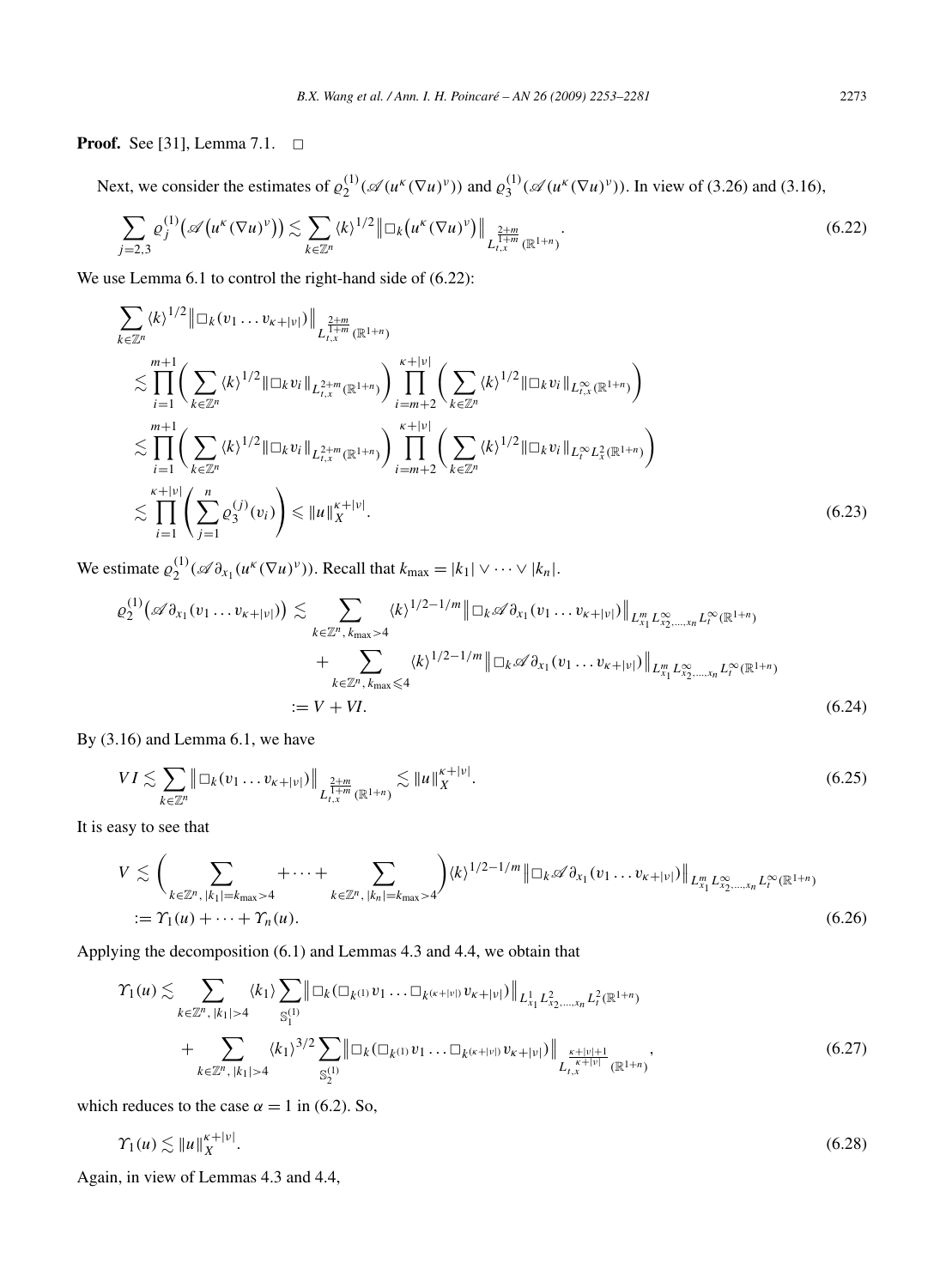**Proof.** See [31], Lemma 7.1.  $\Box$ 

Next, we consider the estimates of  $\varrho_2^{(1)}(\mathscr{A}(u^k(\nabla u)^v))$  and  $\varrho_3^{(1)}(\mathscr{A}(u^k(\nabla u)^v))$ . In view of (3.26) and (3.16),

$$
\sum_{j=2,3} \varrho_j^{(1)}\big(\mathscr{A}\big(u^{\kappa}(\nabla u)^{\nu}\big)\big) \lesssim \sum_{k \in \mathbb{Z}^n} \langle k \rangle^{1/2} \big\| \Box_k\big(u^{\kappa}(\nabla u)^{\nu}\big)\big\|_{L^{\frac{2+m}{1+m}}_{t,x}(\mathbb{R}^{1+n})}.
$$
\n
$$
(6.22)
$$

We use Lemma 6.1 to control the right-hand side of  $(6.22)$ :

$$
\sum_{k \in \mathbb{Z}^n} \langle k \rangle^{1/2} \|\Box_k(v_1 \dots v_{\kappa+|\nu|})\|_{L^{\frac{2+m}{1+m}}_{t,x}(\mathbb{R}^{1+n})} \n\lesssim \prod_{i=1}^{m+1} \left( \sum_{k \in \mathbb{Z}^n} \langle k \rangle^{1/2} \|\Box_k v_i\|_{L^{2+m}_{t,x}(\mathbb{R}^{1+n})} \right) \prod_{i=m+2}^{\kappa+|\nu|} \left( \sum_{k \in \mathbb{Z}^n} \langle k \rangle^{1/2} \|\Box_k v_i\|_{L^{\infty}_{t,x}(\mathbb{R}^{1+n})} \right) \n\lesssim \prod_{i=1}^{m+1} \left( \sum_{k \in \mathbb{Z}^n} \langle k \rangle^{1/2} \|\Box_k v_i\|_{L^{2+m}_{t,x}(\mathbb{R}^{1+n})} \right) \prod_{i=m+2}^{\kappa+|\nu|} \left( \sum_{k \in \mathbb{Z}^n} \langle k \rangle^{1/2} \|\Box_k v_i\|_{L^{\infty}_t L^2_x(\mathbb{R}^{1+n})} \right) \n\lesssim \prod_{i=1}^{\kappa+|\nu|} \left( \sum_{j=1}^n \varrho_j^{(j)}(v_i) \right) \leq \|u\|_{X}^{\kappa+|\nu|}.
$$
\n(6.23)

We estimate  $\varrho_2^{(1)}(\mathscr{A}\partial_{x_1}(u^k(\nabla u)^{\nu}))$ . Recall that  $k_{\max} = |k_1| \vee \cdots \vee |k_n|$ .

$$
\varrho_2^{(1)}\big(\mathscr{A}\partial_{x_1}(v_1 \dots v_{\kappa+|\nu|})\big) \lesssim \sum_{k \in \mathbb{Z}^n, k_{\max} > 4} \langle k \rangle^{1/2 - 1/m} \|\Box_k \mathscr{A}\partial_{x_1}(v_1 \dots v_{\kappa+|\nu|})\|_{L_{x_1}^m L_{x_2,\dots,x_n}^\infty L_{t}^\infty(\mathbb{R}^{1+n})} + \sum_{k \in \mathbb{Z}^n, k_{\max} \le 4} \langle k \rangle^{1/2 - 1/m} \|\Box_k \mathscr{A}\partial_{x_1}(v_1 \dots v_{\kappa+|\nu|})\|_{L_{x_1}^m L_{x_2,\dots,x_n}^\infty L_{t}^\infty(\mathbb{R}^{1+n})} := V + VI.
$$
\n(6.24)

By (3.16) and Lemma 6.1, we have

$$
VI \lesssim \sum_{k \in \mathbb{Z}^n} \left\| \Box_k (v_1 \dots v_{k+|\nu|}) \right\|_{L^{\frac{2+m}{1+m}}_{t,x}(\mathbb{R}^{1+n})} \lesssim \|u\|_X^{\kappa+|\nu|}.
$$
 (6.25)

It is easy to see that

$$
V \lesssim \left(\sum_{k \in \mathbb{Z}^n, |k_1| = k_{\max} > 4} + \cdots + \sum_{k \in \mathbb{Z}^n, |k_n| = k_{\max} > 4} \right) \langle k \rangle^{1/2 - 1/m} \|\Box_k \mathscr{A} \partial_{x_1} (v_1 \dots v_{k+|v|}) \|_{L_{x_1}^m L_{x_2, \dots, x_n}^\infty L_t^\infty(\mathbb{R}^{1+n})}
$$
  
:=  $\Upsilon_1(u) + \cdots + \Upsilon_n(u).$  (6.26)

Applying the decomposition (6.1) and Lemmas 4.3 and 4.4, we obtain that

$$
\gamma_{1}(u) \lesssim \sum_{k \in \mathbb{Z}^{n}, |k_{1}| > 4} \langle k_{1} \rangle \sum_{\mathbb{S}_{1}^{(1)}} \|\Box_{k}(\Box_{k^{(1)}} v_{1} \dots \Box_{k^{(\kappa+|\nu|)}} v_{\kappa+|\nu|})\|_{L^{1}_{x_{1}} L^{2}_{x_{2},...,x_{n}} L^{2}_{t}(\mathbb{R}^{1+n})} + \sum_{k \in \mathbb{Z}^{n}, |k_{1}| > 4} \langle k_{1} \rangle^{3/2} \sum_{\mathbb{S}_{2}^{(1)}} \|\Box_{k}(\Box_{k^{(1)}} v_{1} \dots \Box_{k^{(\kappa+|\nu|)}} v_{\kappa+|\nu|})\|_{L^{\frac{\kappa+|\nu|+1}{\kappa+|\nu|}}_{t,x}(\mathbb{R}^{1+n})}, \tag{6.27}
$$

which reduces to the case  $\alpha = 1$  in (6.2). So,

$$
\Upsilon_1(u) \lesssim \|u\|_X^{\kappa+|\nu|}.\tag{6.28}
$$

Again, in view of Lemmas 4.3 and 4.4,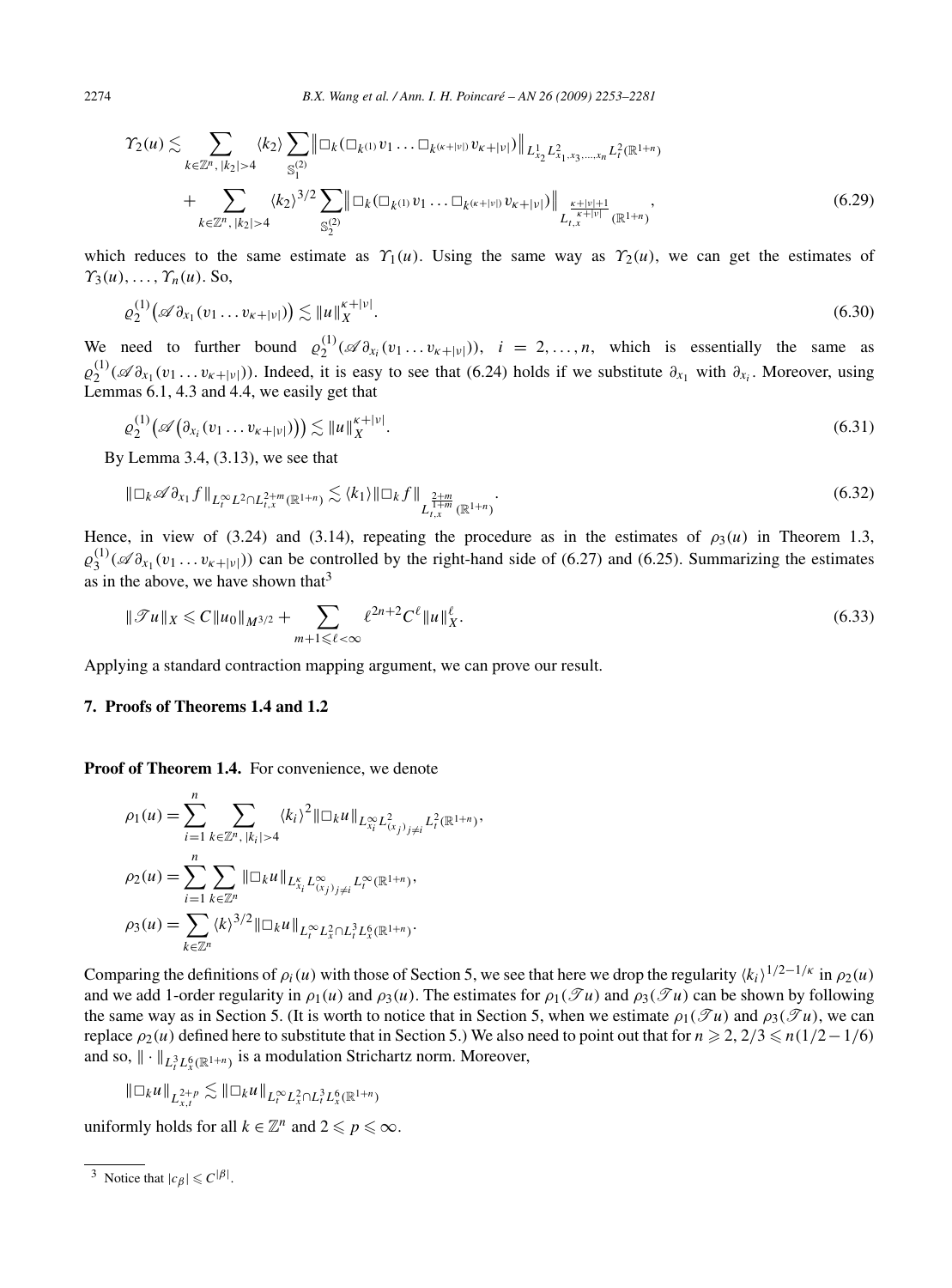$$
\gamma_2(u) \lesssim \sum_{k \in \mathbb{Z}^n, |k_2| > 4} \langle k_2 \rangle \sum_{\mathbb{S}_1^{(2)}} \|\Box_k (\Box_{k^{(1)}} v_1 \dots \Box_{k^{(\kappa+|\nu|)}} v_{\kappa+|\nu|})\|_{L^1_{x_2} L^2_{x_1, x_3, \dots, x_n} L^2_t(\mathbb{R}^{1+n})} + \sum_{k \in \mathbb{Z}^n, |k_2| > 4} \langle k_2 \rangle^{3/2} \sum_{\mathbb{S}_2^{(2)}} \|\Box_k (\Box_{k^{(1)}} v_1 \dots \Box_{k^{(\kappa+|\nu|)}} v_{\kappa+|\nu|})\|_{L^{\frac{\kappa+|\nu|+1}{\kappa+|\nu|}}_{t, x}(\mathbb{R}^{1+n})},
$$
\n(6.29)

which reduces to the same estimate as  $\gamma_1(u)$ . Using the same way as  $\gamma_2(u)$ , we can get the estimates of  $\gamma_3(u), \ldots, \gamma_n(u)$ . So,

$$
\varrho_2^{(1)}\big(\mathscr{A}\partial_{x_1}(v_1\ldots v_{\kappa+|\nu|})\big) \lesssim \|u\|_X^{\kappa+|\nu|}.\tag{6.30}
$$

We need to further bound  $\varrho_2^{(1)}(\mathscr{A}\partial_{x_i}(v_1\ldots v_{\kappa+|v|}))$ ,  $i=2,\ldots,n$ , which is essentially the same as  $\varrho_2^{(1)}$  ( $\mathscr{A}\partial_{x_1}(v_1...v_{\kappa+|v|})$ ). Indeed, it is easy to see that (6.24) holds if we substitute  $\partial_{x_1}$  with  $\partial_{x_i}$ . Moreover, using Lemmas 6.1, 4.3 and 4.4, we easily get that

$$
\varrho_2^{(1)}\big(\mathscr{A}\big(\partial_{x_i}(v_1\dots v_{\kappa+|\nu|})\big)\big) \lesssim \|u\|_X^{\kappa+|\nu|}.\tag{6.31}
$$

By Lemma 3.4, (3.13), we see that

$$
\|\Box_k \mathscr{A}\partial_{x_1} f\|_{L_t^{\infty} L^2 \cap L_{t,x}^{2+m}(\mathbb{R}^{1+n})} \lesssim \langle k_1 \rangle \|\Box_k f\|_{L_{t,x}^{\frac{2+m}{1+m}}(\mathbb{R}^{1+n})}.
$$
\n(6.32)

Hence, in view of (3.24) and (3.14), repeating the procedure as in the estimates of  $\rho_3(u)$  in Theorem 1.3,  $\varrho_3^{(1)}$  ( $\mathscr{A}_{\partial x_1}(v_1 \dots v_{\kappa+|\nu|})$ ) can be controlled by the right-hand side of (6.27) and (6.25). Summarizing the estimates as in the above, we have shown that  $3$ 

$$
\|\mathcal{F}u\|_{X} \leq C\|u_0\|_{M^{3/2}} + \sum_{m+1 \leq \ell < \infty} \ell^{2n+2} C^{\ell} \|u\|_{X}^{\ell}.
$$
\n(6.33)

Applying a standard contraction mapping argument, we can prove our result.

### **7. Proofs of Theorems 1.4 and 1.2**

**Proof of Theorem 1.4.** For convenience, we denote

$$
\rho_1(u) = \sum_{i=1}^n \sum_{k \in \mathbb{Z}^n, |k_i| > 4} \langle k_i \rangle^2 ||\Box_k u||_{L_{x_i}^{\infty} L_{(x_j)_{j \neq i}}^2} L_i^2(\mathbb{R}^{1+n}),
$$
  
\n
$$
\rho_2(u) = \sum_{i=1}^n \sum_{k \in \mathbb{Z}^n} ||\Box_k u||_{L_{x_i}^{\kappa} L_{(x_j)_{j \neq i}}^{\infty} L_i^{\infty}(\mathbb{R}^{1+n})},
$$
  
\n
$$
\rho_3(u) = \sum_{k \in \mathbb{Z}^n} \langle k \rangle^{3/2} ||\Box_k u||_{L_i^{\infty} L_x^2 \cap L_i^3 L_x^6(\mathbb{R}^{1+n})}.
$$

Comparing the definitions of  $\rho_i(u)$  with those of Section 5, we see that here we drop the regularity  $\langle k_i \rangle^{1/2-1/\kappa}$  in  $\rho_2(u)$ and we add 1-order regularity in  $\rho_1(u)$  and  $\rho_3(u)$ . The estimates for  $\rho_1(\mathscr{T}u)$  and  $\rho_3(\mathscr{T}u)$  can be shown by following the same way as in Section 5. (It is worth to notice that in Section 5, when we estimate  $\rho_1(\mathcal{T}u)$  and  $\rho_3(\mathcal{T}u)$ , we can replace  $\rho_2(u)$  defined here to substitute that in Section 5.) We also need to point out that for  $n \ge 2$ ,  $2/3 \le n(1/2-1/6)$ and so,  $\|\cdot\|_{L^3_t L^6_x(\mathbb{R}^{1+n})}$  is a modulation Strichartz norm. Moreover,

$$
\|\Box_k u\|_{L^{2+p}_{x,t}}\lesssim \|\Box_k u\|_{L^\infty_t L^2_x\cap L^3_t L^6_x(\mathbb{R}^{1+n})}
$$

uniformly holds for all  $k \in \mathbb{Z}^n$  and  $2 \leq p \leq \infty$ .

<sup>&</sup>lt;sup>3</sup> Notice that  $|c_{\beta}| \leq C^{|\beta|}$ .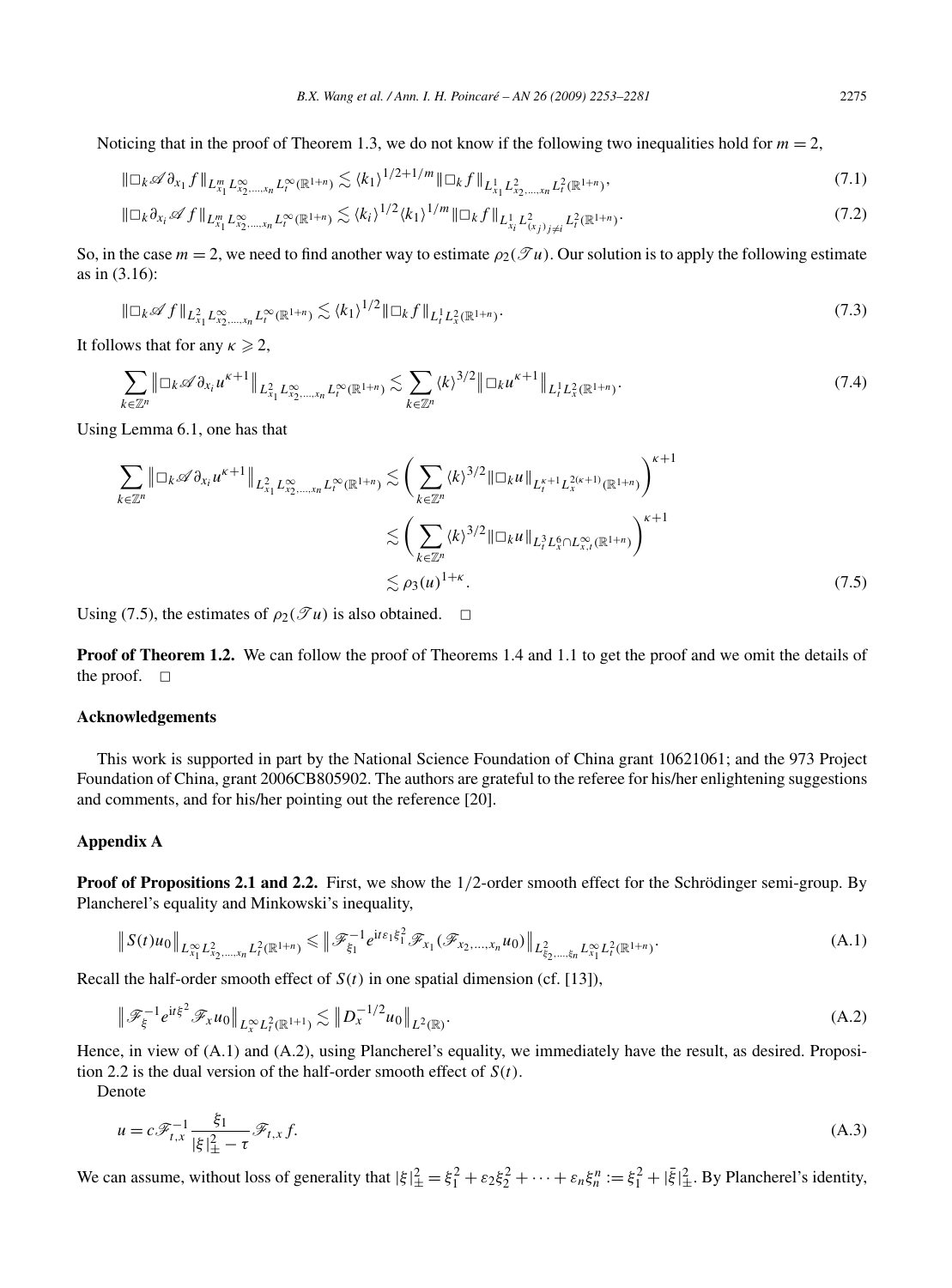Noticing that in the proof of Theorem 1.3, we do not know if the following two inequalities hold for  $m = 2$ ,

$$
\|\Box_k \mathscr{A}\partial_{x_1} f\|_{L^m_{x_1} L^\infty_{x_2,\dots,x_n} L^\infty_t(\mathbb{R}^{1+n})} \lesssim \langle k_1 \rangle^{1/2 + 1/m} \|\Box_k f\|_{L^1_{x_1} L^2_{x_2,\dots,x_n} L^2_t(\mathbb{R}^{1+n})},\tag{7.1}
$$

$$
\|\Box_k \partial_{x_i} \mathscr{A} f\|_{L_{x_1}^m L_{x_2,\ldots,x_n}^\infty L_t^\infty(\mathbb{R}^{1+n})} \lesssim \langle k_i \rangle^{1/2} \langle k_1 \rangle^{1/m} \|\Box_k f\|_{L_{x_i}^1 L_{(x_j)_{j\neq i}}^2 L_t^2(\mathbb{R}^{1+n})}.
$$
\n(7.2)

So, in the case  $m = 2$ , we need to find another way to estimate  $\rho_2(\mathcal{T}u)$ . Our solution is to apply the following estimate as in (3.16):

$$
\|\Box_k \mathscr{A} f\|_{L^2_{x_1} L^\infty_{x_2,\dots,x_n} L^\infty_t (\mathbb{R}^{1+n})} \lesssim \langle k_1 \rangle^{1/2} \|\Box_k f\|_{L^1_t L^2_x (\mathbb{R}^{1+n})}. \tag{7.3}
$$

It follows that for any  $\kappa \geq 2$ ,

$$
\sum_{k\in\mathbb{Z}^n} \left\| \Box_k \mathscr{A}\partial_{x_i} u^{\kappa+1} \right\|_{L^2_{x_1} L^\infty_{x_2,\ldots,x_n} L^\infty_t(\mathbb{R}^{1+n})} \lesssim \sum_{k\in\mathbb{Z}^n} \langle k \rangle^{3/2} \left\| \Box_k u^{\kappa+1} \right\|_{L^1_t L^2_x(\mathbb{R}^{1+n})}. \tag{7.4}
$$

Using Lemma 6.1, one has that

$$
\sum_{k \in \mathbb{Z}^n} \|\Box_k \mathscr{A} \partial_{x_i} u^{\kappa+1} \|_{L^2_{x_1} L^\infty_{x_2, \dots, x_n} L^\infty_t(\mathbb{R}^{1+n})} \lesssim \left( \sum_{k \in \mathbb{Z}^n} \langle k \rangle^{3/2} \|\Box_k u \|_{L_t^{\kappa+1} L_x^{2(\kappa+1)}(\mathbb{R}^{1+n})} \right)^{\kappa+1} \lesssim \left( \sum_{k \in \mathbb{Z}^n} \langle k \rangle^{3/2} \|\Box_k u \|_{L_t^3 L^\delta_x \cap L^\infty_{x,t}(\mathbb{R}^{1+n})} \right)^{\kappa+1} \lesssim \rho_3(u)^{1+\kappa} . \tag{7.5}
$$

Using (7.5), the estimates of  $\rho_2(\mathcal{T}u)$  is also obtained.  $\Box$ 

**Proof of Theorem 1.2.** We can follow the proof of Theorems 1.4 and 1.1 to get the proof and we omit the details of the proof.  $\square$ 

#### **Acknowledgements**

This work is supported in part by the National Science Foundation of China grant 10621061; and the 973 Project Foundation of China, grant 2006CB805902. The authors are grateful to the referee for his/her enlightening suggestions and comments, and for his/her pointing out the reference [20].

### **Appendix A**

**Proof of Propositions 2.1 and 2.2.** First, we show the 1/2-order smooth effect for the Schrödinger semi-group. By Plancherel's equality and Minkowski's inequality,

$$
\|S(t)u_0\|_{L^{\infty}_{x_1}L^2_{x_2,\ldots,x_n}L^2_t(\mathbb{R}^{1+n})} \leq \|\mathscr{F}_{\xi_1}^{-1}e^{it\epsilon_1\xi_1^2}\mathscr{F}_{x_1}(\mathscr{F}_{x_2,\ldots,x_n}u_0)\|_{L^2_{\xi_2,\ldots,\xi_n}L^{\infty}_{x_1}L^2_t(\mathbb{R}^{1+n})}.
$$
\n(A.1)

Recall the half-order smooth effect of  $S(t)$  in one spatial dimension (cf. [13]),

$$
\|\mathcal{F}_{\xi}^{-1}e^{it\xi^{2}}\mathcal{F}_{x}u_{0}\|_{L_{x}^{\infty}L_{t}^{2}(\mathbb{R}^{1+1})}\lesssim\|D_{x}^{-1/2}u_{0}\|_{L^{2}(\mathbb{R})}.
$$
\n(A.2)

Hence, in view of (A.1) and (A.2), using Plancherel's equality, we immediately have the result, as desired. Proposition 2.2 is the dual version of the half-order smooth effect of *S(t)*.

Denote

$$
u = c \mathcal{F}_{t,x}^{-1} \frac{\xi_1}{|\xi|_{\pm}^2 - \tau} \mathcal{F}_{t,x} f. \tag{A.3}
$$

We can assume, without loss of generality that  $|\xi|_{\pm}^2 = \xi_1^2 + \varepsilon_2 \xi_2^2 + \cdots + \varepsilon_n \xi_n^n := \xi_1^2 + |\bar{\xi}|_{\pm}^2$ . By Plancherel's identity,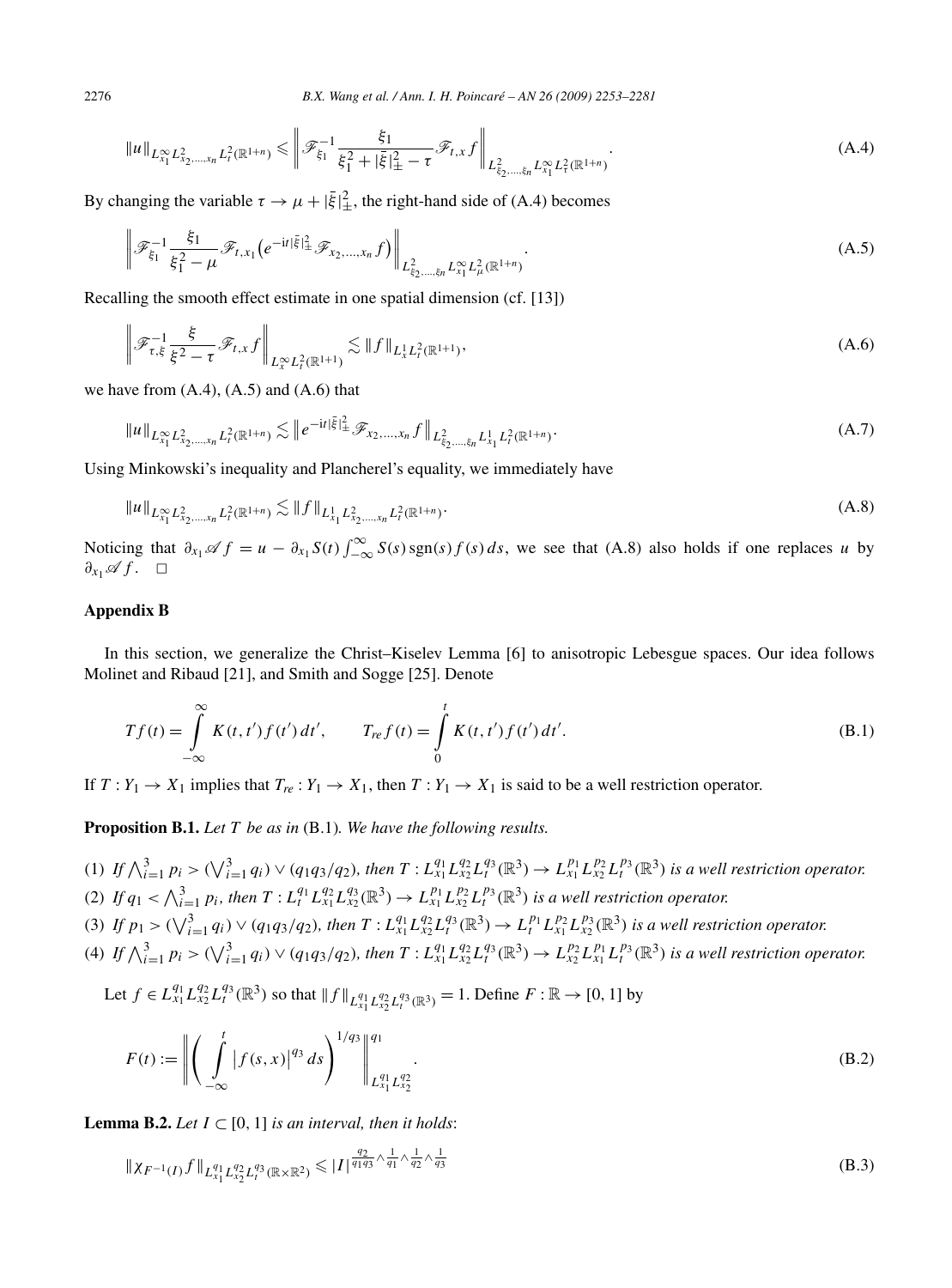$$
\|u\|_{L^{\infty}_{x_1} L^2_{x_2,\dots,x_n} L^2_t(\mathbb{R}^{1+n})} \leq \left\|\mathcal{F}_{\xi_1}^{-1} \frac{\xi_1}{\xi_1^2 + |\bar{\xi}|^2_{\pm} - \tau} \mathcal{F}_{t,x} f \right\|_{L^2_{\xi_2,\dots,\xi_n} L^{\infty}_{x_1} L^2_t(\mathbb{R}^{1+n})}.
$$
\n(A.4)

By changing the variable  $\tau \to \mu + |\bar{\xi}|^2_{\pm}$ , the right-hand side of (A.4) becomes

$$
\left\| \mathcal{F}_{\xi_1}^{-1} \frac{\xi_1}{\xi_1^2 - \mu} \mathcal{F}_{t,x_1} \left( e^{-it|\bar{\xi}|_{\pm}^2} \mathcal{F}_{x_2,...,x_n} f \right) \right\|_{L^2_{\xi_2,...,\xi_n} L^\infty_{x_1} L^2_{\mu}(\mathbb{R}^{1+n})} . \tag{A.5}
$$

Recalling the smooth effect estimate in one spatial dimension (cf. [13])

$$
\left\| \mathcal{F}_{\tau,\xi}^{-1} \frac{\xi}{\xi^2 - \tau} \mathcal{F}_{t,x} f \right\|_{L_x^{\infty} L_t^2(\mathbb{R}^{1+1})} \lesssim \|f\|_{L_x^1 L_t^2(\mathbb{R}^{1+1})},\tag{A.6}
$$

we have from  $(A.4)$ ,  $(A.5)$  and  $(A.6)$  that

$$
||u||_{L^{\infty}_{x_1} L^2_{x_2,\dots,x_n} L^2_t(\mathbb{R}^{1+n})} \lesssim ||e^{-it|\bar{\xi}|^2_{\pm}} \mathscr{F}_{x_2,\dots,x_n} f||_{L^2_{\bar{\xi}_2,\dots,\bar{\xi}_n} L^1_{x_1} L^2_t(\mathbb{R}^{1+n})}.
$$
\n(A.7)

Using Minkowski's inequality and Plancherel's equality, we immediately have

$$
\|u\|_{L^{\infty}_{x_1} L^2_{x_2,\ldots,x_n} L^2_t(\mathbb{R}^{1+n})} \lesssim \|f\|_{L^1_{x_1} L^2_{x_2,\ldots,x_n} L^2_t(\mathbb{R}^{1+n})}.
$$
\n(A.8)

Noticing that  $\partial_{x_1} \mathscr{A} f = u - \partial_{x_1} S(t) \int_{-\infty}^{\infty} S(s) \operatorname{sgn}(s) f(s) ds$ , we see that (A.8) also holds if one replaces *u* by *∂<sub>x<sub>1</sub></sub>* $\mathscr A$ *f* . □

# **Appendix B**

In this section, we generalize the Christ–Kiselev Lemma [6] to anisotropic Lebesgue spaces. Our idea follows Molinet and Ribaud [21], and Smith and Sogge [25]. Denote

$$
Tf(t) = \int_{-\infty}^{\infty} K(t, t') f(t') dt', \qquad T_{ref}(t) = \int_{0}^{t} K(t, t') f(t') dt'.
$$
 (B.1)

If  $T: Y_1 \to X_1$  implies that  $T_{re}: Y_1 \to X_1$ , then  $T: Y_1 \to X_1$  is said to be a well restriction operator.

**Proposition B.1.** *Let T be as in* (B.1)*. We have the following results.*

- (1) If  $\bigwedge_{i=1}^{3} p_i > (\bigvee_{i=1}^{3} q_i) \vee (q_1q_3/q_2)$ , then  $T: L_{x_1}^{q_1} L_{x_2}^{q_2} L_f^{q_3}(\mathbb{R}^3) \to L_{x_1}^{p_1} L_{x_2}^{p_2} L_f^{p_3}(\mathbb{R}^3)$  is a well restriction operator. (2) If  $q_1 < \bigwedge_{i=1}^3 p_i$ , then  $T: L_t^{q_1} L_{x_1}^{q_2} L_{x_2}^{q_3}(\mathbb{R}^3) \to L_{x_1}^{p_1} L_{x_2}^{p_2} L_t^{p_3}(\mathbb{R}^3)$  is a well restriction operator.
- (3) If  $p_1 > (\sqrt{\frac{3}{i-1} q_i}) \vee (q_1 q_3/q_2)$ , then  $T: L_{x_1}^{q_1} L_{x_2}^{q_2} L_f^{q_3}(\mathbb{R}^3) \to L_t^{p_1} L_{x_1}^{p_2} L_{x_2}^{p_3}(\mathbb{R}^3)$  is a well restriction operator.
- (4) If  $\bigwedge_{i=1}^{3} p_i > (\bigvee_{i=1}^{3} q_i) \vee (q_1q_3/q_2)$ , then  $T: L_{x_1}^{q_1} L_{x_2}^{q_2} L_f^{q_3}(\mathbb{R}^3) \to L_{x_2}^{p_2} L_{x_1}^{p_1} L_f^{p_3}(\mathbb{R}^3)$  is a well restriction operator.

Let  $f \in L_{x_1}^{q_1} L_{x_2}^{q_2} L_l^{q_3}(\mathbb{R}^3)$  so that  $|| f ||_{L_{x_1}^{q_1} L_{x_2}^{q_2} L_l^{q_3}(\mathbb{R}^3)} = 1$ . Define  $F : \mathbb{R} \to [0, 1]$  by

$$
F(t) := \left\| \left( \int_{-\infty}^{t} |f(s, x)|^{q_3} ds \right)^{1/q_3} \right\|_{L_{x_1}^{q_1} L_{x_2}^{q_2}}^{q_1}.
$$
\n(B.2)

**Lemma B.2.** *Let*  $I \subset [0, 1]$  *is an interval, then it holds:* 

$$
\|\chi_{F^{-1}(I)}f\|_{L_{x_1}^{q_1}L_{x_2}^{q_2}L_{t}^{q_3}(\mathbb{R}\times\mathbb{R}^2)} \leqslant |I|^{\frac{q_2}{q_1q_3}\wedge\frac{1}{q_1}\wedge\frac{1}{q_2}\wedge\frac{1}{q_3}} \tag{B.3}
$$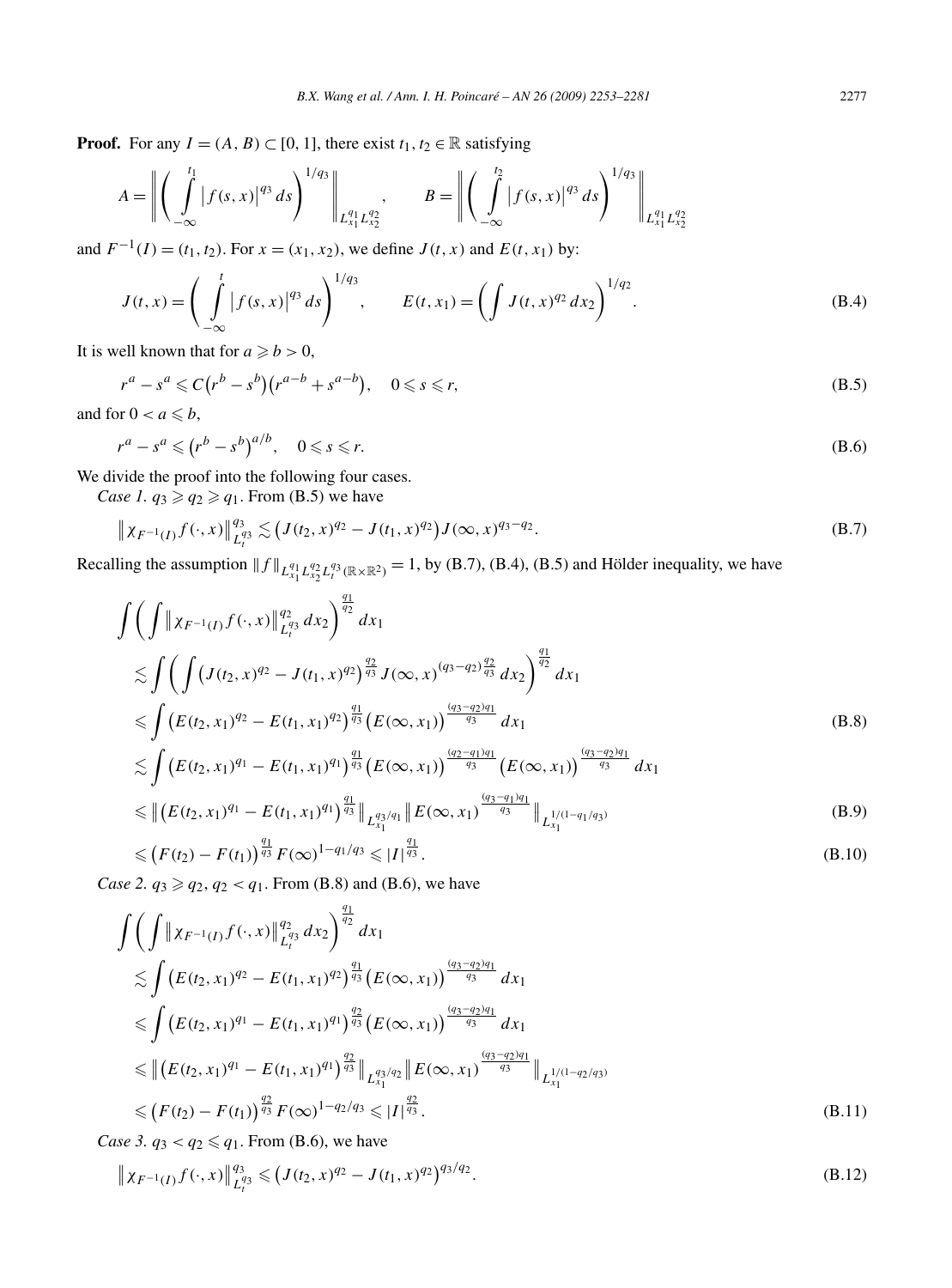**Proof.** For any  $I = (A, B) \subset [0, 1]$ , there exist  $t_1, t_2 \in \mathbb{R}$  satisfying

$$
A = \left\| \left( \int_{-\infty}^{t_1} |f(s, x)|^{q_3} ds \right)^{1/q_3} \right\|_{L_{x_1}^{q_1} L_{x_2}^{q_2}}, \qquad B = \left\| \left( \int_{-\infty}^{t_2} |f(s, x)|^{q_3} ds \right)^{1/q_3} \right\|_{L_{x_1}^{q_1} L_{x_2}^{q_2}}
$$

and  $F^{-1}(I) = (t_1, t_2)$ . For  $x = (x_1, x_2)$ , we define  $J(t, x)$  and  $E(t, x_1)$  by:

$$
J(t,x) = \left(\int_{-\infty}^{t} |f(s,x)|^{q_3} ds\right)^{1/q_3}, \qquad E(t,x_1) = \left(\int J(t,x)^{q_2} dx_2\right)^{1/q_2}.
$$
 (B.4)

It is well known that for  $a \ge b > 0$ ,

$$
r^a - s^a \leqslant C(r^b - s^b)(r^{a-b} + s^{a-b}), \quad 0 \leqslant s \leqslant r,
$$
\n(B.5)

and for  $0 < a \leq b$ ,

$$
r^a - s^a \leqslant (r^b - s^b)^{a/b}, \quad 0 \leqslant s \leqslant r. \tag{B.6}
$$

We divide the proof into the following four cases.

*Case 1.*  $q_3 \geq q_2 \geq q_1$ . From (B.5) we have

$$
\|\chi_{F^{-1}(I)}f(\cdot,x)\|_{L_t^{q_3}}^{q_3} \lesssim \left(J(t_2,x)^{q_2} - J(t_1,x)^{q_2}\right)J(\infty,x)^{q_3-q_2}.
$$
 (B.7)

Recalling the assumption  $|| f ||_{L_{x_1}^{q_1} L_{x_2}^{q_2} L_i^{q_3}(\mathbb{R} \times \mathbb{R}^2)} = 1$ , by (B.7), (B.4), (B.5) and Hölder inequality, we have

$$
\int \left( \int \left\| \chi_{F^{-1}(I)} f(\cdot, x) \right\|_{L_t^{q_3}}^{q_2} dx_2 \right)^{\frac{q_1}{q_2}} dx_1
$$
\n
$$
\lesssim \int \left( \int (J(t_2, x)^{q_2} - J(t_1, x)^{q_2} \right)^{\frac{q_2}{q_3}} J(\infty, x)^{(q_3 - q_2)\frac{q_2}{q_3}} dx_2 \right)^{\frac{q_1}{q_2}} dx_1
$$
\n
$$
\leq \int (E(t_2, x_1)^{q_2} - E(t_1, x_1)^{q_2} \Big)^{\frac{q_1}{q_3}} (E(\infty, x_1)) \frac{\frac{(q_3 - q_2)q_1}{q_3}}{\frac{q_3}{q_3}} dx_1
$$
\n
$$
\lesssim \int (E(t_2, x_1)^{q_1} - E(t_1, x_1)^{q_1} \Big)^{\frac{q_1}{q_3}} (E(\infty, x_1)) \frac{\frac{(q_2 - q_1)q_1}{q_3}}{\frac{q_3}{q_3}} (E(\infty, x_1)) \frac{\frac{(q_3 - q_2)q_1}{q_3}}{\frac{q_3}{q_3}} dx_1
$$
\n(B.8)

$$
\leq \left\| \left( E(t_2, x_1)^{q_1} - E(t_1, x_1)^{q_1} \right)^{\frac{q_1}{q_3}} \right\|_{L_{x_1}^{q_3/q_1}} \left\| E(\infty, x_1)^{\frac{(q_3 - q_1)q_1}{q_3}} \right\|_{L_{x_1}^{1/(1-q_1/q_3)}} \tag{B.9}
$$

$$
\leqslant \left(F(t_2) - F(t_1)\right)^{\frac{q_1}{q_3}} F(\infty)^{1 - q_1/q_3} \leqslant |I|^{\frac{q_1}{q_3}}.
$$
\n(B.10)

*Case 2.*  $q_3 \geq q_2, q_2 < q_1$ . From (B.8) and (B.6), we have

$$
\int \left( \int \left\| \chi_{F^{-1}(I)} f(\cdot, x) \right\|_{L_t^{q_3}}^{q_2} dx_2 \right)^{\frac{q_1}{q_2}} dx_1
$$
\n
$$
\lesssim \int \left( E(t_2, x_1)^{q_2} - E(t_1, x_1)^{q_2} \right)^{\frac{q_1}{q_3}} \left( E(\infty, x_1) \right)^{\frac{(q_3 - q_2)q_1}{q_3}} dx_1
$$
\n
$$
\leq \int \left( E(t_2, x_1)^{q_1} - E(t_1, x_1)^{q_1} \right)^{\frac{q_2}{q_3}} \left( E(\infty, x_1) \right)^{\frac{(q_3 - q_2)q_1}{q_3}} dx_1
$$
\n
$$
\leq \left\| \left( E(t_2, x_1)^{q_1} - E(t_1, x_1)^{q_1} \right)^{\frac{q_2}{q_3}} \right\|_{L_{x_1}^{q_3/q_2}} \left\| E(\infty, x_1) \right)^{\frac{(q_3 - q_2)q_1}{q_3}} \right\|_{L_{x_1}^{1/(1-q_2/q_3)}} \leq (F(t_2) - F(t_1))^{\frac{q_2}{q_3}} F(\infty)^{1 - q_2/q_3} \leq |I|^{\frac{q_2}{q_3}}.
$$
\n(B.11)

*Case 3.*  $q_3 < q_2 \leq q_1$ . From (B.6), we have

$$
\|\chi_{F^{-1}(I)}f(\cdot,x)\|_{L_t^{q_3}}^{q_3} \leq (J(t_2,x)^{q_2} - J(t_1,x)^{q_2})^{q_3/q_2}.
$$
 (B.12)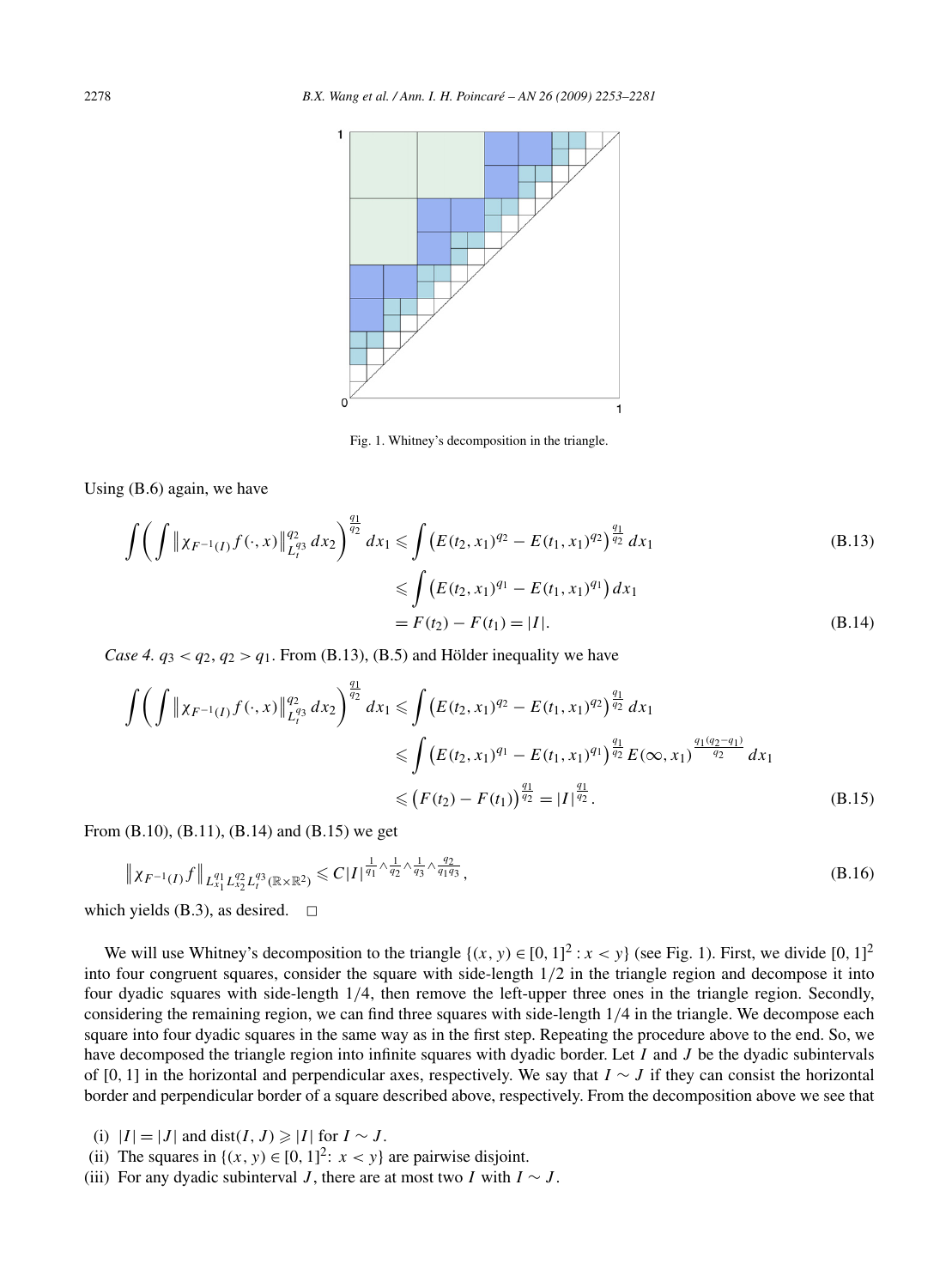

Fig. 1. Whitney's decomposition in the triangle.

Using (B.6) again, we have

$$
\int \left( \int \|x_{F^{-1}(I)} f(\cdot, x)\|_{L_{I}^{q_3}}^{q_2} dx_2 \right)^{\frac{q_1}{q_2}} dx_1 \le \int \left( E(t_2, x_1)^{q_2} - E(t_1, x_1)^{q_2} \right)^{\frac{q_1}{q_2}} dx_1
$$
\n
$$
\le \int \left( E(t_2, x_1)^{q_1} - E(t_1, x_1)^{q_1} \right) dx_1
$$
\n
$$
= F(t_2) - F(t_1) = |I|.
$$
\n(B.14)

*Case 4.*  $q_3 < q_2$ ,  $q_2 > q_1$ . From (B.13), (B.5) and Hölder inequality we have

$$
\iint \left( \int \|x_{F^{-1}(I)} f(\cdot, x)\|_{L_t^{q_3}}^{q_2} dx_2 \right)^{\frac{q_1}{q_2}} dx_1 \le \int \left( E(t_2, x_1)^{q_2} - E(t_1, x_1)^{q_2} \right)^{\frac{q_1}{q_2}} dx_1
$$
  
\n
$$
\le \int \left( E(t_2, x_1)^{q_1} - E(t_1, x_1)^{q_1} \right)^{\frac{q_1}{q_2}} E(\infty, x_1)^{\frac{q_1(q_2 - q_1)}{q_2}} dx_1
$$
  
\n
$$
\le \left( F(t_2) - F(t_1) \right)^{\frac{q_1}{q_2}} = |I|^{\frac{q_1}{q_2}}.
$$
\n(B.15)

From (B.10), (B.11), (B.14) and (B.15) we get

$$
\|\chi_{F^{-1}(I)}f\|_{L_{x_1}^{q_1}L_{x_2}^{q_2}L_{t}^{q_3}(\mathbb{R}\times\mathbb{R}^2)} \leq C|I|^{\frac{1}{q_1}\wedge\frac{1}{q_2}\wedge\frac{1}{q_3}\wedge\frac{q_2}{q_1q_3}},\tag{B.16}
$$

which yields (B.3), as desired.  $\square$ 

We will use Whitney's decomposition to the triangle  $\{(x, y) \in [0, 1]^2 : x < y\}$  (see Fig. 1). First, we divide [0, 1]<sup>2</sup> into four congruent squares, consider the square with side-length 1*/*2 in the triangle region and decompose it into four dyadic squares with side-length 1*/*4, then remove the left-upper three ones in the triangle region. Secondly, considering the remaining region, we can find three squares with side-length 1*/*4 in the triangle. We decompose each square into four dyadic squares in the same way as in the first step. Repeating the procedure above to the end. So, we have decomposed the triangle region into infinite squares with dyadic border. Let *I* and *J* be the dyadic subintervals of [0*,* 1] in the horizontal and perpendicular axes, respectively. We say that *I* ∼ *J* if they can consist the horizontal border and perpendicular border of a square described above, respectively. From the decomposition above we see that

- (i)  $|I| = |J|$  and dist $(I, J) \geq |I|$  for  $I \sim J$ .
- (ii) The squares in  $\{(x, y) \in [0, 1]^2: x < y\}$  are pairwise disjoint.
- (iii) For any dyadic subinterval *J*, there are at most two *I* with  $I \sim J$ .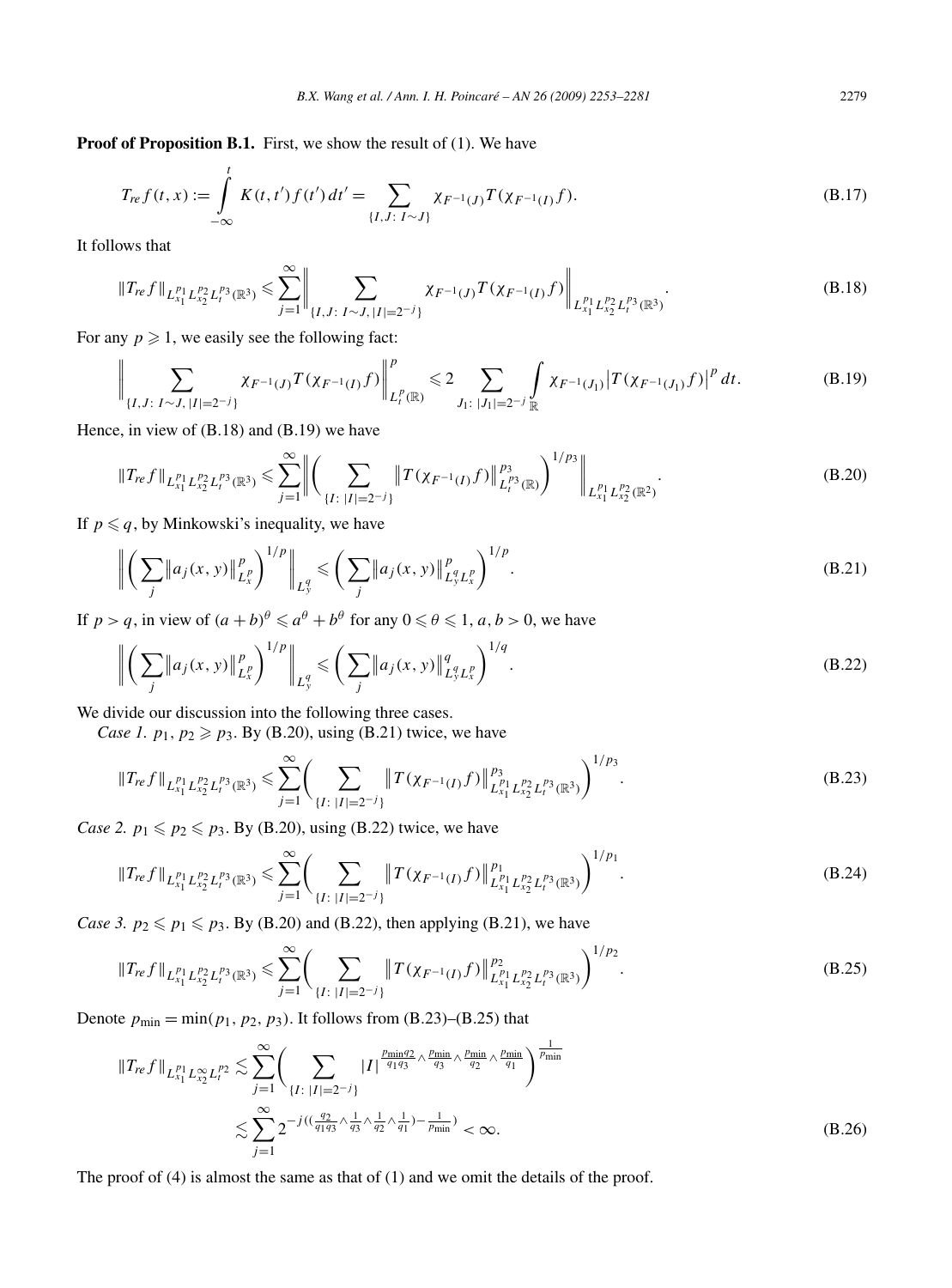**Proof of Proposition B.1.** First, we show the result of (1). We have

$$
T_{ref}(t,x) := \int_{-\infty}^{t} K(t,t')f(t')dt' = \sum_{\{I,J:\ I\sim J\}} \chi_{F^{-1}(J)}T(\chi_{F^{-1}(I)}f).
$$
 (B.17)

It follows that

$$
\|T_{re}f\|_{L_{x_1}^{p_1}L_{x_2}^{p_2}L_i^{p_3}(\mathbb{R}^3)} \leq \sum_{j=1}^{\infty} \left\| \sum_{\{I,J:\ I \sim J,\ |I|=2^{-j}\}} \chi_{F^{-1}(J)} T(\chi_{F^{-1}(I)}f) \right\|_{L_{x_1}^{p_1}L_{x_2}^{p_2}L_i^{p_3}(\mathbb{R}^3)}.
$$
\n(B.18)

For any  $p \ge 1$ , we easily see the following fact:

$$
\bigg\| \sum_{\{I, J: I \sim J, |I| = 2^{-j}\}} \chi_{F^{-1}(J)} T(\chi_{F^{-1}(I)} f) \bigg\|_{L_t^p(\mathbb{R})}^p \leq 2 \sum_{J_1: |J_1| = 2^{-j}} \int_{\mathbb{R}} \chi_{F^{-1}(J_1)} |T(\chi_{F^{-1}(J_1)} f)|^p dt.
$$
 (B.19)

Hence, in view of (B.18) and (B.19) we have

$$
\|T_{re}f\|_{L_{x_1}^{p_1}L_{x_2}^{p_2}L_i^{p_3}(\mathbb{R}^3)} \leq \sum_{j=1}^{\infty} \left\| \left( \sum_{\{I: \ |I|=2^{-j}\}} \|T(\chi_{F^{-1}(I)}f)\|_{L_i^{p_3}(\mathbb{R})}^{p_3} \right)^{1/p_3} \right\|_{L_{x_1}^{p_1}L_{x_2}^{p_2}(\mathbb{R}^2)}.
$$
\n(B.20)

If  $p \leqslant q$ , by Minkowski's inequality, we have

$$
\left\| \left( \sum_{j} \|a_{j}(x, y)\|_{L_{x}^{p}}^{p} \right)^{1/p} \right\|_{L_{y}^{q}} \leqslant \left( \sum_{j} \|a_{j}(x, y)\|_{L_{y}^{q} L_{x}^{p}}^{p} \right)^{1/p}.
$$
\n(B.21)

If  $p > q$ , in view of  $(a + b)^{\theta} \le a^{\theta} + b^{\theta}$  for any  $0 \le \theta \le 1$ ,  $a, b > 0$ , we have

$$
\left\| \left( \sum_{j} \|a_{j}(x, y)\|_{L_{x}^{p}}^{p} \right)^{1/p} \right\|_{L_{y}^{q}} \leqslant \left( \sum_{j} \|a_{j}(x, y)\|_{L_{y}^{q} L_{x}^{p}}^{q} \right)^{1/q}.
$$
\n(B.22)

We divide our discussion into the following three cases.

*Case 1.*  $p_1, p_2 \geq p_3$ . By (B.20), using (B.21) twice, we have

$$
\|T_{re}f\|_{L_{x_1}^{p_1}L_{x_2}^{p_2}L_{t}^{p_3}(\mathbb{R}^3)} \leq \sum_{j=1}^{\infty} \Biggl(\sum_{\{I:\ |I|=2^{-j}\}} \|T(\chi_{F^{-1}(I)}f)\|_{L_{x_1}^{p_1}L_{x_2}^{p_2}L_{t}^{p_3}(\mathbb{R}^3)}^{2}\Biggr)^{1/p_3}.
$$
\n(B.23)

*Case 2.*  $p_1 \leq p_2 \leq p_3$ . By (B.20), using (B.22) twice, we have

$$
\|T_{re}f\|_{L_{x_1}^{p_1}L_{x_2}^{p_2}L_i^{p_3}(\mathbb{R}^3)} \leq \sum_{j=1}^{\infty} \Biggl(\sum_{\{I: \;|I|=2^{-j}\}} \|T(\chi_{F^{-1}(I)}f)\|_{L_{x_1}^{p_1}L_{x_2}^{p_2}L_i^{p_3}(\mathbb{R}^3)}^{p_1}\Biggr)^{1/p_1}.
$$
\n(B.24)

*Case 3.*  $p_2 \leqslant p_1 \leqslant p_3$ . By (B.20) and (B.22), then applying (B.21), we have

$$
\|T_{re}f\|_{L_{x_1}^{p_1}L_{x_2}^{p_2}L_i^{p_3}(\mathbb{R}^3)} \leq \sum_{j=1}^{\infty} \Biggl(\sum_{\{I: \;|I|=2^{-j}\}} \|T(\chi_{F^{-1}(I)}f)\|_{L_{x_1}^{p_1}L_{x_2}^{p_2}L_i^{p_3}(\mathbb{R}^3)}^{p_2}\Biggr)^{1/p_2}.
$$
\n(B.25)

Denote  $p_{\min} = \min(p_1, p_2, p_3)$ . It follows from (B.23)–(B.25) that

$$
||T_{re}f||_{L_{x_1}^{p_1}L_{x_2}^{\infty}L_t^{p_2}} \lesssim \sum_{j=1}^{\infty} \Biggl(\sum_{\{I: \ |I|=2^{-j}\}} |I|^{\frac{p_{\min}q_2}{q_1q_3} \wedge \frac{p_{\min}}{q_3} \wedge \frac{p_{\min}}{q_2} \wedge \frac{p_{\min}}{q_1}}\Biggr)^{\frac{1}{p_{\min}}}
$$
  

$$
\lesssim \sum_{j=1}^{\infty} 2^{-j((\frac{q_2}{q_1q_3} \wedge \frac{1}{q_3} \wedge \frac{1}{q_2} \wedge \frac{1}{q_1}) - \frac{1}{p_{\min}}}) < \infty.
$$
 (B.26)

The proof of (4) is almost the same as that of (1) and we omit the details of the proof.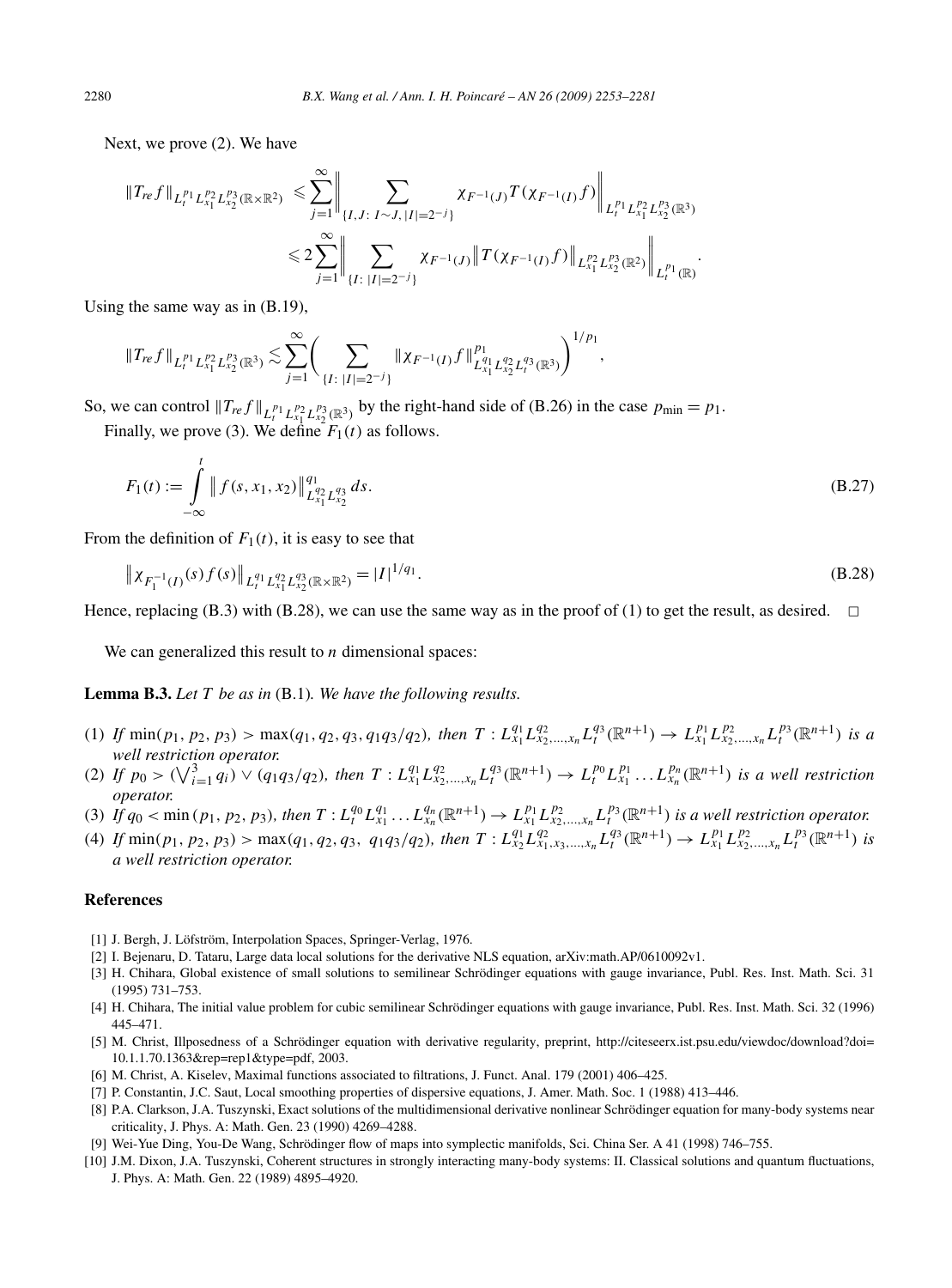Next, we prove (2). We have

$$
\|T_{re}f\|_{L_t^{p_1}L_{x_1}^{p_2}L_{x_2}^{p_3}(\mathbb{R}\times\mathbb{R}^2)} \leq \sum_{j=1}^{\infty} \left\| \sum_{\{I,J:\;I\sim J,\;|I|=2^{-j}\}} \chi_{F^{-1}(J)}T(\chi_{F^{-1}(I)}f) \right\|_{L_t^{p_1}L_{x_1}^{p_2}L_{x_2}^{p_3}(\mathbb{R}^3)} \leq 2\sum_{j=1}^{\infty} \left\| \sum_{\{I:\;|I|=2^{-j}\}} \chi_{F^{-1}(J)}\|T(\chi_{F^{-1}(I)}f)\|_{L_{x_1}^{p_2}L_{x_2}^{p_3}(\mathbb{R}^2)} \right\|_{L_t^{p_1}(\mathbb{R})}.
$$

Using the same way as in (B.19),

$$
\|T_{re}f\|_{L_t^{p_1}L_{x_1}^{p_2}L_{x_2}^{p_3}(\mathbb{R}^3)} \lesssim \sum_{j=1}^{\infty} \Biggl(\sum_{\{I:\ |I|=2^{-j}\}}\|\chi_{F^{-1}(I)}f\|_{L_{x_1}^{q_1}L_{x_2}^{q_2}L_{t}^{q_3}(\mathbb{R}^3)}^{p_1}\Biggr)^{1/p_1},
$$

So, we can control  $||T_{re}f||_{L_t^{p_1}L_{x_1}^{p_2}L_{x_2}^{p_3}(\mathbb{R}^3)}$  by the right-hand side of (B.26) in the case  $p_{\min} = p_1$ .

Finally, we prove (3). We define  $F_1(t)$  as follows.

$$
F_1(t) := \int_{-\infty}^t \| f(s, x_1, x_2) \|_{L^{q_2}_{x_1} L^{q_3}_{x_2}}^{q_1} ds.
$$
 (B.27)

From the definition of  $F_1(t)$ , it is easy to see that

$$
\|\chi_{F_1^{-1}(I)}(s)f(s)\|_{L_t^{q_1}L_{x_1}^{q_2}L_{x_2}^{q_3}(\mathbb{R}\times\mathbb{R}^2)} = |I|^{1/q_1}.
$$
\n(B.28)

Hence, replacing (B.3) with (B.28), we can use the same way as in the proof of (1) to get the result, as desired.  $\Box$ 

We can generalized this result to *n* dimensional spaces:

**Lemma B.3.** *Let T be as in* (B.1)*. We have the following results.*

- (1) If  $\min(p_1, p_2, p_3) > \max(q_1, q_2, q_3, q_1q_3/q_2)$ , then  $T: L_{x_1}^{q_1} L_{x_2,...,x_n}^{q_2} L_t^{q_3}(\mathbb{R}^{n+1}) \to L_{x_1}^{p_1} L_{x_2,...,x_n}^{p_2} L_t^{p_3}(\mathbb{R}^{n+1})$  is a *well restriction operator.*
- (2) If  $p_0 > (\sqrt{\frac{3}{i-1} q_i}) \vee (q_1 q_3/q_2)$ , then  $T: L_{x_1}^{q_1} L_{x_2,...,x_n}^{q_2} L_i^{q_3}(\mathbb{R}^{n+1}) \to L_i^{p_0} L_{x_1}^{p_1} ... L_{x_n}^{p_n}(\mathbb{R}^{n+1})$  is a well restriction *operator.*
- (3) If  $q_0 < \min(p_1, p_2, p_3)$ , then  $T: L_t^{q_0} L_{x_1}^{q_1} \dots L_{x_n}^{q_n} (\mathbb{R}^{n+1}) \to L_{x_1}^{p_1} L_{x_2,\dots,x_n}^{p_2} L_t^{p_3} (\mathbb{R}^{n+1})$  is a well restriction operator.
- (4) If  $\min(p_1, p_2, p_3) > \max(q_1, q_2, q_3, q_1q_3/q_2)$ , then  $T: L_{x_2}^{q_1} L_{x_1, x_3, ..., x_n}^{q_2} L_{t}^{q_3}(\mathbb{R}^{n+1}) \to L_{x_1}^{p_1} L_{x_2, ..., x_n}^{p_2} L_{t}^{p_3}(\mathbb{R}^{n+1})$  is *a well restriction operator.*

#### **References**

- [1] J. Bergh, J. Löfström, Interpolation Spaces, Springer-Verlag, 1976.
- [2] I. Bejenaru, D. Tataru, Large data local solutions for the derivative NLS equation, arXiv:math.AP/0610092v1.
- [3] H. Chihara, Global existence of small solutions to semilinear Schrödinger equations with gauge invariance, Publ. Res. Inst. Math. Sci. 31 (1995) 731–753.
- [4] H. Chihara, The initial value problem for cubic semilinear Schrödinger equations with gauge invariance, Publ. Res. Inst. Math. Sci. 32 (1996) 445–471.
- [5] M. Christ, Illposedness of a Schrödinger equation with derivative regularity, preprint, http://citeseerx.ist.psu.edu/viewdoc/download?doi= 10.1.1.70.1363&rep=rep1&type=pdf, 2003.
- [6] M. Christ, A. Kiselev, Maximal functions associated to filtrations, J. Funct. Anal. 179 (2001) 406–425.
- [7] P. Constantin, J.C. Saut, Local smoothing properties of dispersive equations, J. Amer. Math. Soc. 1 (1988) 413–446.
- [8] P.A. Clarkson, J.A. Tuszynski, Exact solutions of the multidimensional derivative nonlinear Schrödinger equation for many-body systems near criticality, J. Phys. A: Math. Gen. 23 (1990) 4269–4288.
- [9] Wei-Yue Ding, You-De Wang, Schrödinger flow of maps into symplectic manifolds, Sci. China Ser. A 41 (1998) 746–755.
- [10] J.M. Dixon, J.A. Tuszynski, Coherent structures in strongly interacting many-body systems: II. Classical solutions and quantum fluctuations, J. Phys. A: Math. Gen. 22 (1989) 4895–4920.